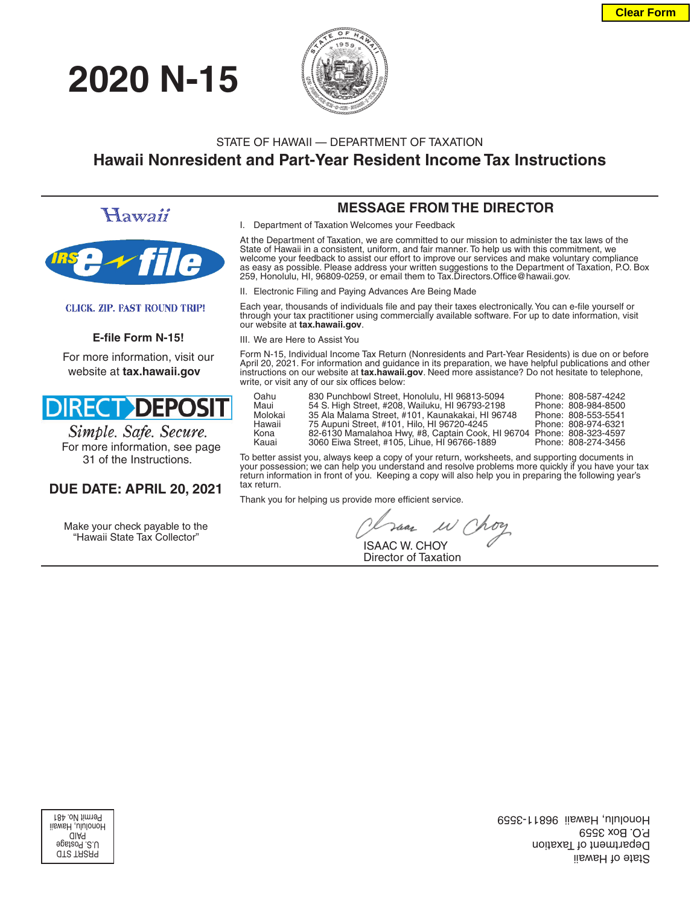# **2020 N-15**



# STATE OF HAWAII — DEPARTMENT OF TAXATION **Hawaii Nonresident and Part-Year Resident Income Tax Instructions**

Hawaii



#### **CLICK. ZIP. FAST ROUND TRIP!**

#### E-file Form N-15!

For more information, visit our website at **tax.hawaii.gov**



Simple. Safe. Secure. For more information, see page 31 of the Instructions.

### **DUE DATE: APRIL 20, 2021**

Make your check payable to the "Hawaii State Tax Collector"

### **MESSAGE FROM THE DIRECTOR**

I. Department of Taxation Welcomes your Feedback

At the Department of Taxation, we are committed to our mission to administer the tax laws of the State of Hawaii in a consistent, uniform, and fair manner. To help us with this commitment, we welcome your feedback to assist our effort to improve our services and make voluntary compliance as easy as possible. Please address your written suggestions to the Department of Taxation, P.O. Box 259, Honolulu, HI, 96809-0259, or email them to Tax.Directors.Office@hawaii.gov.

II. Electronic Filing and Paying Advances Are Being Made

Each year, thousands of individuals file and pay their taxes electronically. You can e-file yourself or through your tax practitioner using commercially available software. For up to date information, visit our website at **tax.hawaii.gov**.

III. We are Here to Assist You

Form N-15, Individual Income Tax Return (Nonresidents and Part-Year Residents) is due on or before April 20, 2021. For information and guidance in its preparation, we have helpful publications and other instructions on our website at **tax.hawaii.gov**. Need more assistance? Do not hesitate to telephone, write, or visit any of our six offices below:

| Oahu    | 830 Punchbowl Street, Honolulu, HI 96813-5094     | Phone: 808-587-4242 |
|---------|---------------------------------------------------|---------------------|
| Maui    | 54 S. High Street, #208, Wailuku, HI 96793-2198   | Phone: 808-984-8500 |
| Molokai | 35 Ala Malama Street, #101, Kaunakakai, HI 96748  | Phone: 808-553-5541 |
| Hawaii  | 75 Aupuni Street, #101, Hilo, HI 96720-4245       | Phone: 808-974-6321 |
| Kona    | 82-6130 Mamalahoa Hwy, #8, Captain Cook, HI 96704 | Phone: 808-323-4597 |
| Kauai   | 3060 Eiwa Street. #105. Lihue. HI 96766-1889      | Phone: 808-274-3456 |

To better assist you, always keep a copy of your return, worksheets, and supporting documents in your possession; we can help you understand and resolve problems more quickly if you have your tax return information in front of you. Keeping a copy will also help you in preparing the following year's tax return.

Thank you for helping us provide more efficient service.

Har  $\mu$ 

 ISAAC W. CHOY Director of Taxation

PRSRT STD U.S. Postage PAID Honolulu, Hawaii Permit No. 481

State of Hawaii Department of Taxation P.O. Box 3559 Honolulu, Hawaii 96811-3559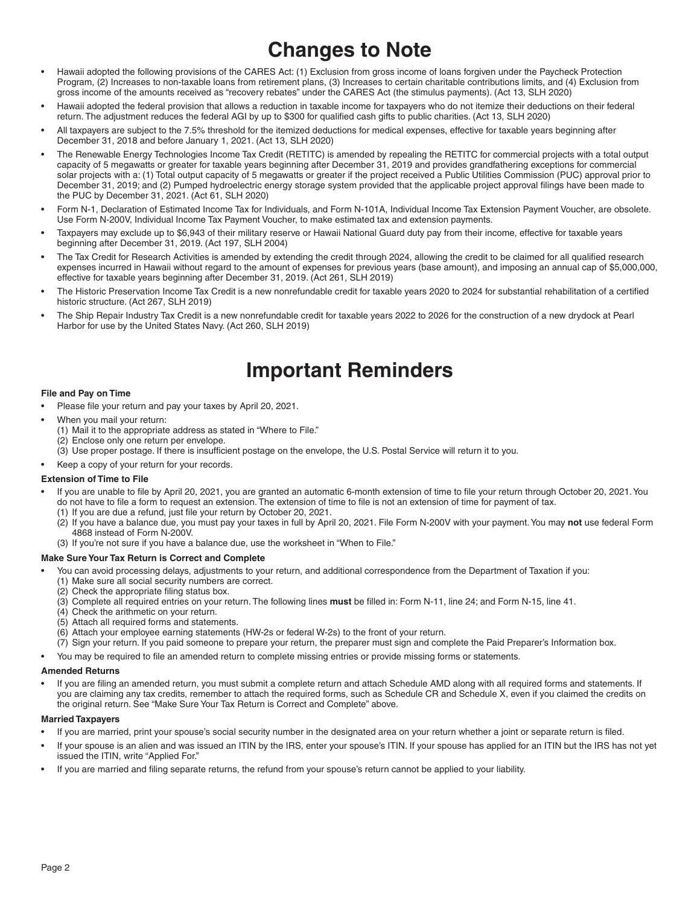# **Changes to Note**

- Hawaii adopted the following provisions of the CARES Act: (1) Exclusion from gross income of loans forgiven under the Paycheck Protection Program, (2) Increases to non-taxable loans from retirement plans, (3) Increases to certain charitable contributions limits, and (4) Exclusion from gross income of the amounts received as "recovery rebates" under the CARES Act (the stimulus payments). (Act 13, SLH 2020)
- Hawaii adopted the federal provision that allows a reduction in taxable income for taxpayers who do not itemize their deductions on their federal return. The adjustment reduces the federal AGI by up to \$300 for qualified cash gifts to public charities. (Act 13, SLH 2020)
- All taxpayers are subject to the 7.5% threshold for the itemized deductions for medical expenses, effective for taxable years beginning after December 31, 2018 and before January 1, 2021. (Act 13, SLH 2020)
- The Renewable Energy Technologies Income Tax Credit (RETITC) is amended by repealing the RETITC for commercial projects with a total output capacity of 5 megawatts or greater for taxable years beginning after December 31, 2019 and provides grandfathering exceptions for commercial solar projects with a: (1) Total output capacity of 5 megawatts or greater if the project received a Public Utilities Commission (PUC) approval prior to December 31, 2019; and (2) Pumped hydroelectric energy storage system provided that the applicable project approval filings have been made to the PUC by December 31, 2021. (Act 61, SLH 2020)
- Form N-1, Declaration of Estimated Income Tax for Individuals, and Form N-101A, Individual Income Tax Extension Payment Voucher, are obsolete. Use Form N-200V, Individual Income Tax Payment Voucher, to make estimated tax and extension payments.
- Taxpayers may exclude up to \$6,943 of their military reserve or Hawaii National Guard duty pay from their income, effective for taxable years beginning after December 31, 2019. (Act 197, SLH 2004)
- The Tax Credit for Research Activities is amended by extending the credit through 2024, allowing the credit to be claimed for all qualified research expenses incurred in Hawaii without regard to the amount of expenses for previous years (base amount), and imposing an annual cap of \$5,000,000, effective for taxable years beginning after December 31, 2019. (Act 261, SLH 2019)
- The Historic Preservation Income Tax Credit is a new nonrefundable credit for taxable years 2020 to 2024 for substantial rehabilitation of a certified historic structure. (Act 267, SLH 2019)
- The Ship Repair Industry Tax Credit is a new nonrefundable credit for taxable years 2022 to 2026 for the construction of a new drydock at Pearl Harbor for use by the United States Navy. (Act 260, SLH 2019)

# **Important Reminders**

#### **File and Pay on Time**

- Please file your return and pay your taxes by April 20, 2021.
- When you mail your return:
	- (1) Mail it to the appropriate address as stated in "Where to File." (2) Enclose only one return per envelope.
	- (3) Use proper postage. If there is insufficient postage on the envelope, the U.S. Postal Service will return it to you.
- Keep a copy of your return for your records.

#### **Extension of Time to File**

- If you are unable to file by April 20, 2021, you are granted an automatic 6-month extension of time to file your return through October 20, 2021. You do not have to file a form to request an extension. The extension of time to file is not an extension of time for payment of tax.
	- (1) If you are due a refund, just file your return by October 20, 2021.
	- (2) If you have a balance due, you must pay your taxes in full by April 20, 2021. File Form N-200V with your payment. You may **not** use federal Form 4868 instead of Form N-200V.
	- (3) If you're not sure if you have a balance due, use the worksheet in "When to File."

#### **Make Sure Your Tax Return is Correct and Complete**

- You can avoid processing delays, adjustments to your return, and additional correspondence from the Department of Taxation if you:
	- (1) Make sure all social security numbers are correct.
	- (2) Check the appropriate filing status box.
	- (3) Complete all required entries on your return. The following lines must be filled in: Form N-11, line 24; and Form N-15, line 41.
	- (4) Check the arithmetic on your return.
	- (5) Attach all required forms and statements.
	- (6) Attach your employee earning statements (HW-2s or federal W-2s) to the front of your return.
	- (7) Sign your return. If you paid someone to prepare your return, the preparer must sign and complete the Paid Preparer's Information box.
- You may be required to file an amended return to complete missing entries or provide missing forms or statements.

#### **Amended Returns**

• If you are fi ling an amended return, you must submit a complete return and attach Schedule AMD along with all required forms and statements. If you are claiming any tax credits, remember to attach the required forms, such as Schedule CR and Schedule X, even if you claimed the credits on the original return. See "Make Sure Your Tax Return is Correct and Complete" above.

#### **Married Taxpayers**

- If you are married, print your spouse's social security number in the designated area on your return whether a joint or separate return is filed.
- If your spouse is an alien and was issued an ITIN by the IRS, enter your spouse's ITIN. If your spouse has applied for an ITIN but the IRS has not yet issued the ITIN, write "Applied For."
- If you are married and filing separate returns, the refund from your spouse's return cannot be applied to your liability.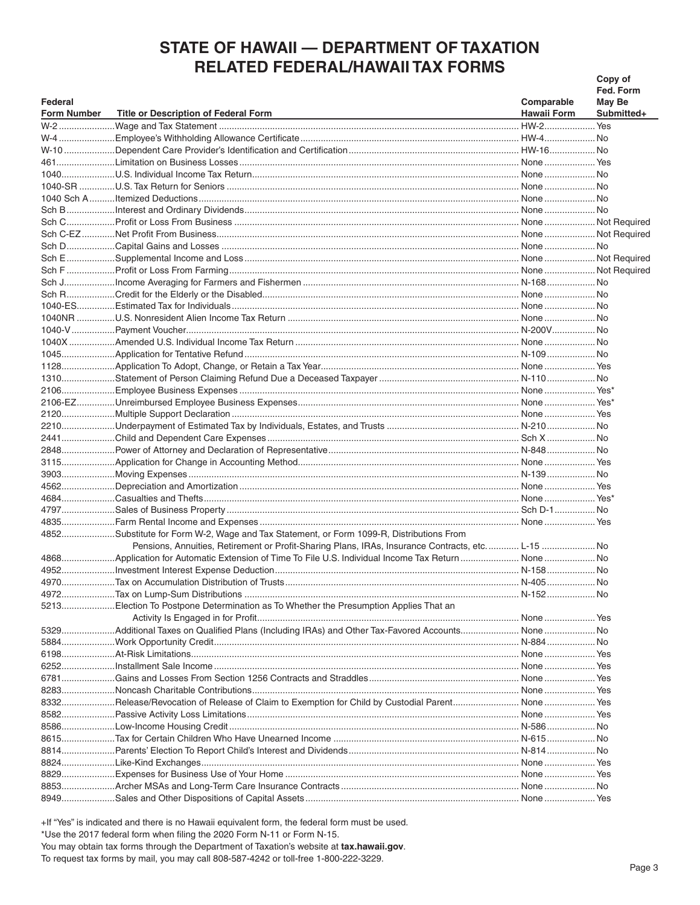# **STATE OF HAWAII - DEPARTMENT OF TAXATION RELATED FEDERAL/HAWAII TAX FORMS**

|                    |                                                                                                     |                    | Copy of    |
|--------------------|-----------------------------------------------------------------------------------------------------|--------------------|------------|
|                    |                                                                                                     |                    | Fed. Form  |
| Federal            |                                                                                                     | Comparable         | May Be     |
| <b>Form Number</b> | <b>Title or Description of Federal Form</b>                                                         | <b>Hawaii Form</b> | Submitted+ |
|                    |                                                                                                     |                    |            |
|                    |                                                                                                     |                    |            |
|                    |                                                                                                     |                    |            |
|                    |                                                                                                     |                    |            |
|                    |                                                                                                     |                    |            |
|                    |                                                                                                     |                    |            |
|                    |                                                                                                     |                    |            |
|                    |                                                                                                     |                    |            |
|                    |                                                                                                     |                    |            |
|                    |                                                                                                     |                    |            |
|                    |                                                                                                     |                    |            |
|                    |                                                                                                     |                    |            |
|                    |                                                                                                     |                    |            |
|                    |                                                                                                     |                    |            |
|                    |                                                                                                     |                    |            |
|                    |                                                                                                     |                    |            |
|                    |                                                                                                     |                    |            |
|                    |                                                                                                     |                    |            |
|                    |                                                                                                     |                    |            |
|                    |                                                                                                     |                    |            |
|                    |                                                                                                     |                    |            |
|                    |                                                                                                     |                    |            |
|                    |                                                                                                     |                    |            |
|                    |                                                                                                     |                    |            |
|                    |                                                                                                     |                    |            |
|                    |                                                                                                     |                    |            |
|                    |                                                                                                     |                    |            |
|                    |                                                                                                     |                    |            |
|                    |                                                                                                     |                    |            |
|                    |                                                                                                     |                    |            |
|                    |                                                                                                     |                    |            |
|                    |                                                                                                     |                    |            |
|                    |                                                                                                     |                    |            |
|                    | 4852Substitute for Form W-2, Wage and Tax Statement, or Form 1099-R, Distributions From             |                    |            |
|                    | Pensions, Annuities, Retirement or Profit-Sharing Plans, IRAs, Insurance Contracts, etc L-15 No     |                    |            |
|                    | 4868Application for Automatic Extension of Time To File U.S. Individual Income Tax Return  None  No |                    |            |
|                    |                                                                                                     |                    |            |
|                    |                                                                                                     |                    |            |
|                    |                                                                                                     |                    |            |
|                    | 5213Election To Postpone Determination as To Whether the Presumption Applies That an                |                    |            |
|                    |                                                                                                     |                    |            |
|                    | 5329Additional Taxes on Qualified Plans (Including IRAs) and Other Tax-Favored Accounts None  No    |                    |            |
|                    |                                                                                                     |                    |            |
|                    |                                                                                                     |                    |            |
|                    |                                                                                                     |                    |            |
|                    |                                                                                                     |                    |            |
|                    |                                                                                                     |                    |            |
|                    | 8332Release/Revocation of Release of Claim to Exemption for Child by Custodial Parent None  Yes     |                    |            |
|                    |                                                                                                     |                    |            |
|                    |                                                                                                     |                    |            |
|                    |                                                                                                     |                    |            |
|                    |                                                                                                     |                    |            |
|                    |                                                                                                     |                    |            |
|                    |                                                                                                     |                    |            |
|                    |                                                                                                     |                    |            |
|                    |                                                                                                     |                    |            |

+If "Yes" is indicated and there is no Hawaii equivalent form, the federal form must be used. \*Use the 2017 federal form when filing the 2020 Form N-11 or Form N-15. You may obtain tax forms through the Department of Taxation's website at tax.hawaii.gov. To request tax forms by mail, you may call 808-587-4242 or toll-free 1-800-222-3229.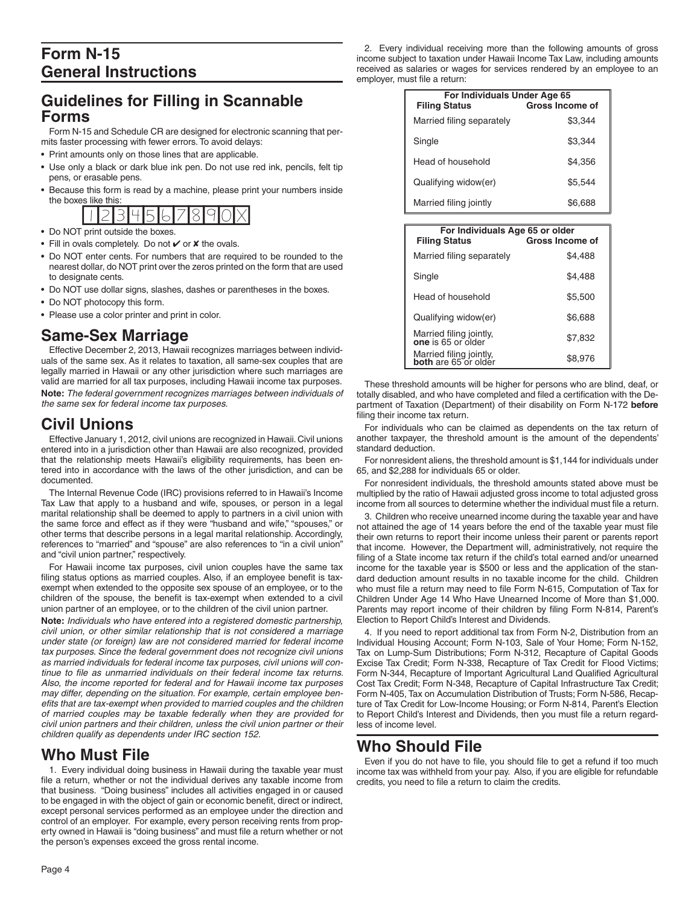# **Form N-15 General Instructions**

## **Guidelines for Filling in Scannable Forms**

Form N-15 and Schedule CR are designed for electronic scanning that permits faster processing with fewer errors. To avoid delays:

- Print amounts only on those lines that are applicable.
- Use only a black or dark blue ink pen. Do not use red ink, pencils, felt tip pens, or erasable pens.
- Because this form is read by a machine, please print your numbers inside the boxes like this:



- 
- Fill in ovals completely. Do not ✔ or <sup>★</sup> the ovals.
- Do NOT enter cents. For numbers that are required to be rounded to the nearest dollar, do NOT print over the zeros printed on the form that are used to designate cents.
- Do NOT use dollar signs, slashes, dashes or parentheses in the boxes.
- Do NOT photocopy this form.
- Please use a color printer and print in color.

### **Same-Sex Marriage**

Effective December 2, 2013, Hawaii recognizes marriages between individuals of the same sex. As it relates to taxation, all same-sex couples that are legally married in Hawaii or any other jurisdiction where such marriages are valid are married for all tax purposes, including Hawaii income tax purposes. **Note:** *The federal government recognizes marriages between individuals of the same sex for federal income tax purposes.*

# **Civil Unions**

Effective January 1, 2012, civil unions are recognized in Hawaii. Civil unions entered into in a jurisdiction other than Hawaii are also recognized, provided that the relationship meets Hawaii's eligibility requirements, has been entered into in accordance with the laws of the other jurisdiction, and can be documented.

The Internal Revenue Code (IRC) provisions referred to in Hawaii's Income Tax Law that apply to a husband and wife, spouses, or person in a legal marital relationship shall be deemed to apply to partners in a civil union with the same force and effect as if they were "husband and wife," "spouses," or other terms that describe persons in a legal marital relationship. Accordingly, references to "married" and "spouse" are also references to "in a civil union" and "civil union partner," respectively.

For Hawaii income tax purposes, civil union couples have the same tax filing status options as married couples. Also, if an employee benefit is taxexempt when extended to the opposite sex spouse of an employee, or to the children of the spouse, the benefit is tax-exempt when extended to a civil union partner of an employee, or to the children of the civil union partner.

**Note:** *Individuals who have entered into a registered domestic partnership, civil union, or other similar relationship that is not considered a marriage under state (or foreign) law are not considered married for federal income tax purposes. Since the federal government does not recognize civil unions as married individuals for federal income tax purposes, civil unions will con*tinue to file as unmarried individuals on their federal income tax returns. *Also, the income reported for federal and for Hawaii income tax purposes may differ, depending on the situation. For example, certain employee ben*efits that are tax-exempt when provided to married couples and the children *of married couples may be taxable federally when they are provided for civil union partners and their children, unless the civil union partner or their children qualify as dependents under IRC section 152.*

### **Who Must File**

1. Every individual doing business in Hawaii during the taxable year must file a return, whether or not the individual derives any taxable income from that business. "Doing business" includes all activities engaged in or caused to be engaged in with the object of gain or economic benefit, direct or indirect, except personal services performed as an employee under the direction and control of an employer. For example, every person receiving rents from property owned in Hawaii is "doing business" and must file a return whether or not the person's expenses exceed the gross rental income.

2. Every individual receiving more than the following amounts of gross income subject to taxation under Hawaii Income Tax Law, including amounts received as salaries or wages for services rendered by an employee to an employer, must file a return:

| For Individuals Under Age 65<br><b>Gross Income of</b><br><b>Filing Status</b> |         |  |
|--------------------------------------------------------------------------------|---------|--|
| Married filing separately                                                      | \$3.344 |  |
| Single                                                                         | \$3.344 |  |
| Head of household                                                              | \$4.356 |  |
| Qualifying widow(er)                                                           | \$5.544 |  |
| Married filing jointly                                                         | \$6.688 |  |

| For Individuals Age 65 or older<br>Gross Income of<br><b>Filing Status</b> |         |  |
|----------------------------------------------------------------------------|---------|--|
| Married filing separately                                                  | \$4.488 |  |
| Single                                                                     | \$4,488 |  |
| Head of household                                                          | \$5,500 |  |
| Qualifying widow(er)                                                       | \$6,688 |  |
| Married filing jointly,<br>one is 65 or older                              | \$7,832 |  |
| Married filing jointly,<br>both are 65 or older                            | \$8.976 |  |

These threshold amounts will be higher for persons who are blind, deaf, or totally disabled, and who have completed and filed a certification with the Department of Taxation (Department) of their disability on Form N-172 **before** filing their income tax return.

For individuals who can be claimed as dependents on the tax return of another taxpayer, the threshold amount is the amount of the dependents' standard deduction.

For nonresident aliens, the threshold amount is \$1,144 for individuals under 65, and \$2,288 for individuals 65 or older.

For nonresident individuals, the threshold amounts stated above must be multiplied by the ratio of Hawaii adjusted gross income to total adjusted gross income from all sources to determine whether the individual must file a return.

3. Children who receive unearned income during the taxable year and have not attained the age of 14 years before the end of the taxable year must file their own returns to report their income unless their parent or parents report that income. However, the Department will, administratively, not require the filing of a State income tax return if the child's total earned and/or unearned income for the taxable year is \$500 or less and the application of the standard deduction amount results in no taxable income for the child. Children who must file a return may need to file Form N-615, Computation of Tax for Children Under Age 14 Who Have Unearned Income of More than \$1,000. Parents may report income of their children by filing Form N-814, Parent's Election to Report Child's Interest and Dividends.

4. If you need to report additional tax from Form N-2, Distribution from an Individual Housing Account; Form N-103, Sale of Your Home; Form N-152, Tax on Lump-Sum Distributions; Form N-312, Recapture of Capital Goods Excise Tax Credit; Form N-338, Recapture of Tax Credit for Flood Victims; Form N-344, Recapture of Important Agricultural Land Qualified Agricultural Cost Tax Credit; Form N-348, Recapture of Capital Infrastructure Tax Credit; Form N-405, Tax on Accumulation Distribution of Trusts; Form N-586, Recapture of Tax Credit for Low-Income Housing; or Form N-814, Parent's Election to Report Child's Interest and Dividends, then you must file a return regardless of income level.

## **Who Should File**

Even if you do not have to file, you should file to get a refund if too much income tax was withheld from your pay. Also, if you are eligible for refundable credits, you need to file a return to claim the credits.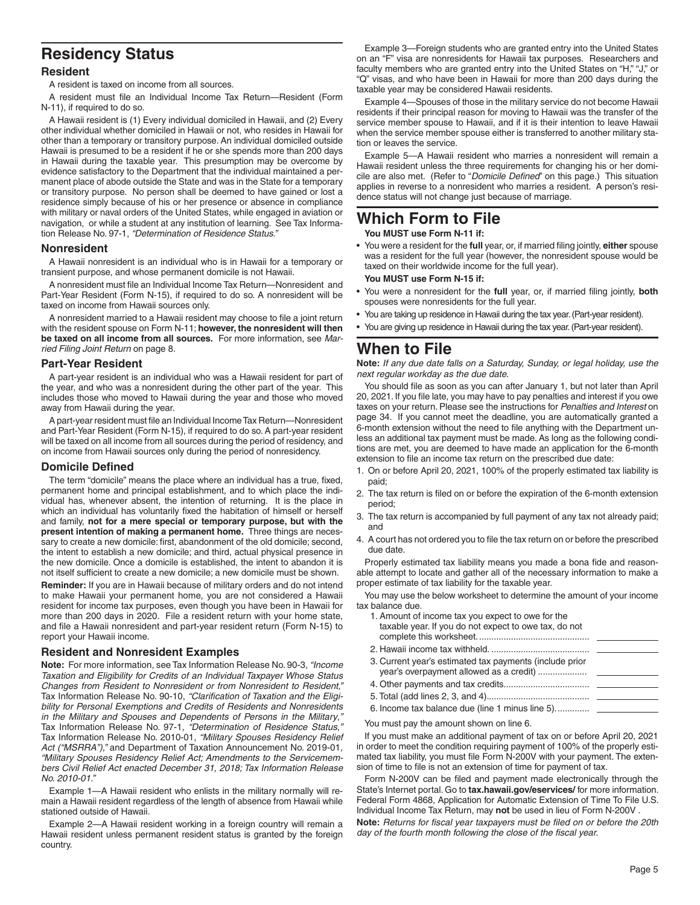## **Residency Status**

#### **Resident**

A resident is taxed on income from all sources.

A resident must file an Individual Income Tax Return—Resident (Form N-11), if required to do so.

A Hawaii resident is (1) Every individual domiciled in Hawaii, and (2) Every other individual whether domiciled in Hawaii or not, who resides in Hawaii for other than a temporary or transitory purpose. An individual domiciled outside Hawaii is presumed to be a resident if he or she spends more than 200 days in Hawaii during the taxable year. This presumption may be overcome by evidence satisfactory to the Department that the individual maintained a permanent place of abode outside the State and was in the State for a temporary or transitory purpose. No person shall be deemed to have gained or lost a residence simply because of his or her presence or absence in compliance with military or naval orders of the United States, while engaged in aviation or navigation, or while a student at any institution of learning. See Tax Information Release No. 97-1, *"Determination of Residence Status."*

#### **Nonresident**

A Hawaii nonresident is an individual who is in Hawaii for a temporary or transient purpose, and whose permanent domicile is not Hawaii.

A nonresident must file an Individual Income Tax Return-Nonresident and Part-Year Resident (Form N-15), if required to do so. A nonresident will be taxed on income from Hawaii sources only.

A nonresident married to a Hawaii resident may choose to file a joint return with the resident spouse on Form N-11; **however, the nonresident will then be taxed on all income from all sources.** For more information, see *Married Filing Joint Return* on page 8.

#### **Part-Year Resident**

A part-year resident is an individual who was a Hawaii resident for part of the year, and who was a nonresident during the other part of the year. This includes those who moved to Hawaii during the year and those who moved away from Hawaii during the year.

A part-year resident must file an Individual Income Tax Return-Nonresident and Part-Year Resident (Form N-15), if required to do so. A part-year resident will be taxed on all income from all sources during the period of residency, and on income from Hawaii sources only during the period of nonresidency.

#### **Domicile Defined**

The term "domicile" means the place where an individual has a true, fixed, permanent home and principal establishment, and to which place the individual has, whenever absent, the intention of returning. It is the place in which an individual has voluntarily fixed the habitation of himself or herself and family, **not for a mere special or temporary purpose, but with the present intention of making a permanent home.** Three things are necessary to create a new domicile: first, abandonment of the old domicile; second, the intent to establish a new domicile; and third, actual physical presence in the new domicile. Once a domicile is established, the intent to abandon it is not itself sufficient to create a new domicile; a new domicile must be shown.

**Reminder:** If you are in Hawaii because of military orders and do not intend to make Hawaii your permanent home, you are not considered a Hawaii resident for income tax purposes, even though you have been in Hawaii for more than 200 days in 2020. File a resident return with your home state, and file a Hawaii nonresident and part-year resident return (Form N-15) to report your Hawaii income.

#### **Resident and Nonresident Examples**

**Note:** For more information, see Tax Information Release No. 90-3, *"Income Taxation and Eligibility for Credits of an Individual Taxpayer Whose Status Changes from Resident to Nonresident or from Nonresident to Resident,"* Tax Information Release No. 90-10, "Clarification of Taxation and the Eligi*bility for Personal Exemptions and Credits of Residents and Nonresidents in the Military and Spouses and Dependents of Persons in the Military*,*"* Tax Information Release No. 97-1, *"Determination of Residence Status*,*"* Tax Information Release No. 2010-01, *"Military Spouses Residency Relief Act ("MSRRA"),"* and Department of Taxation Announcement No. 2019-01*, "Military Spouses Residency Relief Act; Amendments to the Servicemembers Civil Relief Act enacted December 31, 2018; Tax Information Release No. 2010-01."*

Example 1—A Hawaii resident who enlists in the military normally will remain a Hawaii resident regardless of the length of absence from Hawaii while stationed outside of Hawaii.

Example 2—A Hawaii resident working in a foreign country will remain a Hawaii resident unless permanent resident status is granted by the foreign country.

Example 3—Foreign students who are granted entry into the United States on an "F" visa are nonresidents for Hawaii tax purposes. Researchers and faculty members who are granted entry into the United States on "H," "J," or "Q" visas, and who have been in Hawaii for more than 200 days during the taxable year may be considered Hawaii residents.

Example 4—Spouses of those in the military service do not become Hawaii residents if their principal reason for moving to Hawaii was the transfer of the service member spouse to Hawaii, and if it is their intention to leave Hawaii when the service member spouse either is transferred to another military station or leaves the service.

Example 5—A Hawaii resident who marries a nonresident will remain a Hawaii resident unless the three requirements for changing his or her domicile are also met. (Refer to "*Domicile Defined*" on this page.) This situation applies in reverse to a nonresident who marries a resident. A person's residence status will not change just because of marriage.

# **Which Form to File**

**You MUST use Form N-11 if:**

- You were a resident for the full year, or, if married filing jointly, either spouse was a resident for the full year (however, the nonresident spouse would be taxed on their worldwide income for the full year). **You MUST use Form N-15 if:**
- You were a nonresident for the full year, or, if married filing jointly, both spouses were nonresidents for the full year.
- You are taking up residence in Hawaii during the tax year. (Part-year resident).
- You are giving up residence in Hawaii during the tax year. (Part-year resident).

## **When to File**

**Note:** *If any due date falls on a Saturday, Sunday, or legal holiday, use the next regular workday as the due date.*

You should file as soon as you can after January 1, but not later than April 20, 2021. If you file late, you may have to pay penalties and interest if you owe taxes on your return. Please see the instructions for *Penalties and Interest* on page 34. If you cannot meet the deadline, you are automatically granted a 6-month extension without the need to file anything with the Department unless an additional tax payment must be made. As long as the following conditions are met, you are deemed to have made an application for the 6-month extension to file an income tax return on the prescribed due date:

- 1. On or before April 20, 2021, 100% of the properly estimated tax liability is paid;
- 2. The tax return is filed on or before the expiration of the 6-month extension period;
- 3. The tax return is accompanied by full payment of any tax not already paid; and
- 4. A court has not ordered you to file the tax return on or before the prescribed due date.

Properly estimated tax liability means you made a bona fide and reasonable attempt to locate and gather all of the necessary information to make a proper estimate of tax liability for the taxable year.

You may use the below worksheet to determine the amount of your income tax balance due.

- 1. Amount of income tax you expect to owe for the taxable year. If you do not expect to owe tax, do not complete this worksheet. .............................................
- 2. Hawaii income tax withheld. ........................................ 3. Current year's estimated tax payments (include prior
- year's overpayment allowed as a credit) ....................
- 4. Other payments and tax credits. .................................. 5. Total (add lines 2, 3, and 4). .........................................
- 6. Income tax balance due (line 1 minus line 5)...............

You must pay the amount shown on line 6.

If you must make an additional payment of tax on or before April 20, 2021 in order to meet the condition requiring payment of 100% of the properly estimated tax liability, you must file Form N-200V with your payment. The extension of time to file is not an extension of time for payment of tax.

Form N-200V can be filed and payment made electronically through the State's Internet portal. Go to **tax.hawaii.gov/eservices/** for more information. Federal Form 4868, Application for Automatic Extension of Time To File U.S. Individual Income Tax Return, may **not** be used in lieu of Form N-200V .

Note: Returns for fiscal year taxpayers must be filed on or before the 20th day of the fourth month following the close of the fiscal year.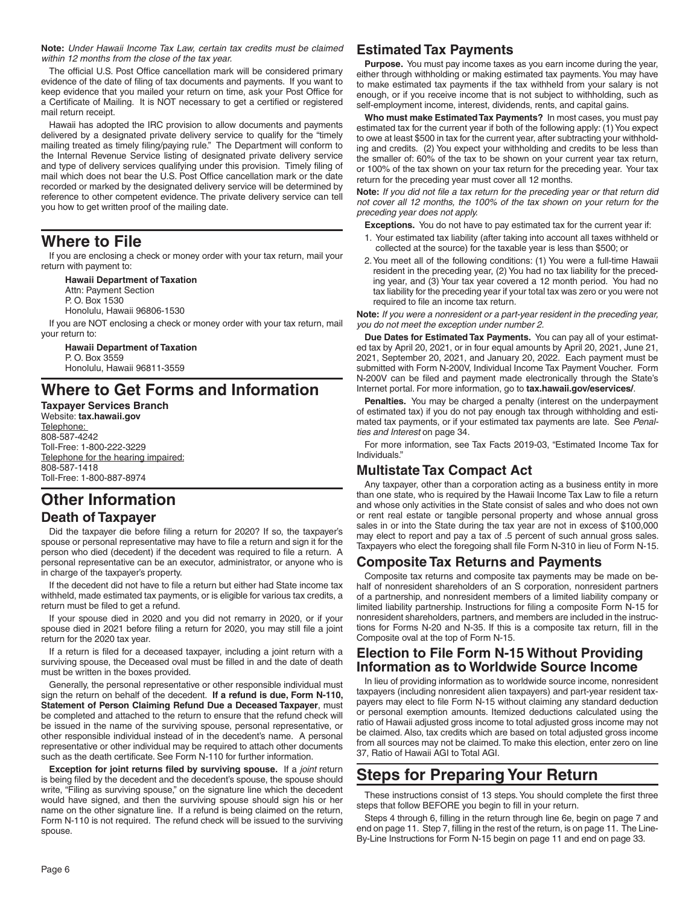**Note:** *Under Hawaii Income Tax Law, certain tax credits must be claimed within 12 months from the close of the tax year.*

The official U.S. Post Office cancellation mark will be considered primary evidence of the date of filing of tax documents and payments. If you want to keep evidence that you mailed your return on time, ask your Post Office for a Certificate of Mailing. It is NOT necessary to get a certified or registered mail return receipt.

Hawaii has adopted the IRC provision to allow documents and payments delivered by a designated private delivery service to qualify for the "timely mailing treated as timely filing/paying rule." The Department will conform to the Internal Revenue Service listing of designated private delivery service and type of delivery services qualifying under this provision. Timely filing of mail which does not bear the U.S. Post Office cancellation mark or the date recorded or marked by the designated delivery service will be determined by reference to other competent evidence. The private delivery service can tell you how to get written proof of the mailing date.

### **Where to File**

If you are enclosing a check or money order with your tax return, mail your return with payment to:

**Hawaii Department of Taxation** Attn: Payment Section P. O. Box 1530 Honolulu, Hawaii 96806-1530 If you are NOT enclosing a check or money order with your tax return, mail your return to:

**Hawaii Department of Taxation** P. O. Box 3559 Honolulu, Hawaii 96811-3559

# **Where to Get Forms and Information**

**Taxpayer Services Branch** Website: **tax.hawaii.gov** Telephone: 808-587-4242 Toll-Free: 1-800-222-3229 Telephone for the hearing impaired: 808-587-1418 Toll-Free: 1-800-887-8974

# **Other Information Death of Taxpayer**

Did the taxpayer die before filing a return for 2020? If so, the taxpayer's spouse or personal representative may have to file a return and sign it for the person who died (decedent) if the decedent was required to file a return. A personal representative can be an executor, administrator, or anyone who is in charge of the taxpayer's property.

If the decedent did not have to file a return but either had State income tax withheld, made estimated tax payments, or is eligible for various tax credits, a return must be filed to get a refund.

If your spouse died in 2020 and you did not remarry in 2020, or if your spouse died in 2021 before filing a return for 2020, you may still file a joint return for the 2020 tax year.

If a return is filed for a deceased taxpayer, including a joint return with a surviving spouse, the Deceased oval must be filled in and the date of death must be written in the boxes provided.

Generally, the personal representative or other responsible individual must sign the return on behalf of the decedent. **If a refund is due, Form N-110, Statement of Person Claiming Refund Due a Deceased Taxpayer**, must be completed and attached to the return to ensure that the refund check will be issued in the name of the surviving spouse, personal representative, or other responsible individual instead of in the decedent's name. A personal representative or other individual may be required to attach other documents such as the death certificate. See Form N-110 for further information.

**Exception for joint returns filed by surviving spouse.** If a *joint* return is being filed by the decedent and the decedent's spouse, the spouse should write, "Filing as surviving spouse," on the signature line which the decedent would have signed, and then the surviving spouse should sign his or her name on the other signature line. If a refund is being claimed on the return, Form N-110 is not required. The refund check will be issued to the surviving spouse.

### **Estimated Tax Payments**

**Purpose.** You must pay income taxes as you earn income during the year, either through withholding or making estimated tax payments. You may have to make estimated tax payments if the tax withheld from your salary is not enough, or if you receive income that is not subject to withholding, such as self-employment income, interest, dividends, rents, and capital gains.

**Who must make Estimated Tax Payments?** In most cases, you must pay estimated tax for the current year if both of the following apply: (1) You expect to owe at least \$500 in tax for the current year, after subtracting your withholding and credits. (2) You expect your withholding and credits to be less than the smaller of: 60% of the tax to be shown on your current year tax return, or 100% of the tax shown on your tax return for the preceding year. Your tax return for the preceding year must cover all 12 months.

**Note:** If you did not file a tax return for the preceding year or that return did *not cover all 12 months, the 100% of the tax shown on your return for the preceding year does not apply.*

**Exceptions.** You do not have to pay estimated tax for the current year if:

- 1. Your estimated tax liability (after taking into account all taxes withheld or collected at the source) for the taxable year is less than \$500; or
- 2. You meet all of the following conditions: (1) You were a full-time Hawaii resident in the preceding year, (2) You had no tax liability for the preceding year, and (3) Your tax year covered a 12 month period. You had no tax liability for the preceding year if your total tax was zero or you were not required to file an income tax return.

**Note:** *If you were a nonresident or a part-year resident in the preceding year, you do not meet the exception under number 2.*

**Due Dates for Estimated Tax Payments.** You can pay all of your estimated tax by April 20, 2021, or in four equal amounts by April 20, 2021, June 21, 2021, September 20, 2021, and January 20, 2022. Each payment must be submitted with Form N-200V, Individual Income Tax Payment Voucher. Form N-200V can be filed and payment made electronically through the State's Internet portal. For more information, go to **tax.hawaii.gov/eservices/**.

**Penalties.** You may be charged a penalty (interest on the underpayment of estimated tax) if you do not pay enough tax through withholding and estimated tax payments, or if your estimated tax payments are late. See *Penalties and Interest* on page 34.

For more information, see Tax Facts 2019-03, "Estimated Income Tax for Individuals."

### **Multistate Tax Compact Act**

Any taxpayer, other than a corporation acting as a business entity in more than one state, who is required by the Hawaii Income Tax Law to file a return and whose only activities in the State consist of sales and who does not own or rent real estate or tangible personal property and whose annual gross sales in or into the State during the tax year are not in excess of \$100,000 may elect to report and pay a tax of .5 percent of such annual gross sales. Taxpayers who elect the foregoing shall file Form N-310 in lieu of Form N-15.

#### **Composite Tax Returns and Payments**

Composite tax returns and composite tax payments may be made on behalf of nonresident shareholders of an S corporation, nonresident partners of a partnership, and nonresident members of a limited liability company or limited liability partnership. Instructions for filing a composite Form N-15 for nonresident shareholders, partners, and members are included in the instructions for Forms N-20 and N-35. If this is a composite tax return, fill in the Composite oval at the top of Form N-15.

### **Election to File Form N-15 Without Providing Information as to Worldwide Source Income**

In lieu of providing information as to worldwide source income, nonresident taxpayers (including nonresident alien taxpayers) and part-year resident taxpayers may elect to file Form N-15 without claiming any standard deduction or personal exemption amounts. Itemized deductions calculated using the ratio of Hawaii adjusted gross income to total adjusted gross income may not be claimed. Also, tax credits which are based on total adjusted gross income from all sources may not be claimed. To make this election, enter zero on line 37, Ratio of Hawaii AGI to Total AGI.

# **Steps for Preparing Your Return**

These instructions consist of 13 steps. You should complete the first three steps that follow BEFORE you begin to fill in your return.

Steps 4 through 6, filling in the return through line 6e, begin on page 7 and end on page 11. Step 7, filling in the rest of the return, is on page 11. The Line-By-Line Instructions for Form N-15 begin on page 11 and end on page 33.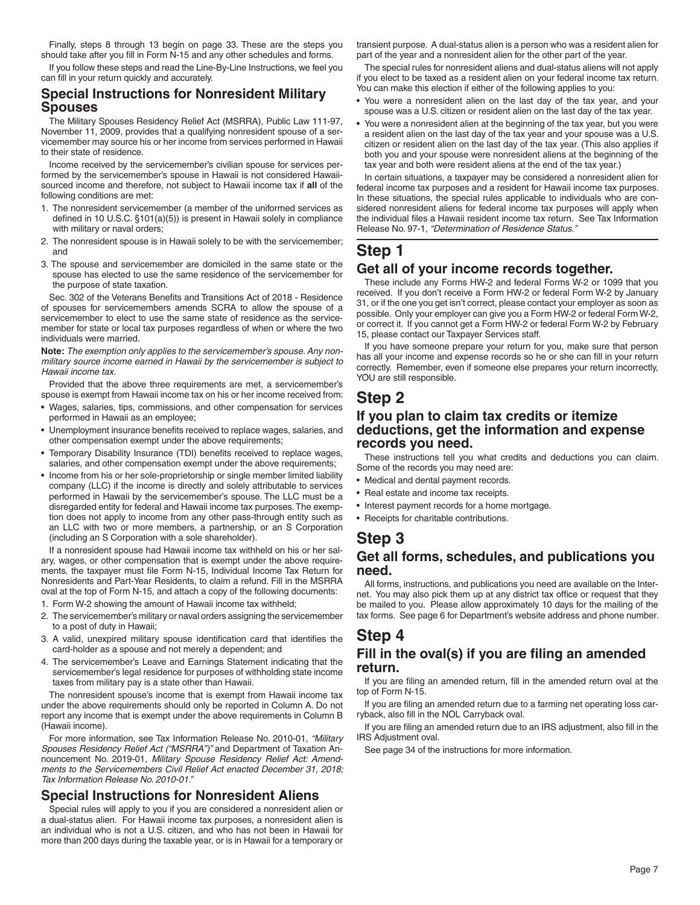Finally, steps 8 through 13 begin on page 33. These are the steps you should take after you fill in Form N-15 and any other schedules and forms.

If you follow these steps and read the Line-By-Line Instructions, we feel you can fill in your return quickly and accurately.

### **Special Instructions for Nonresident Military Spouses**

The Military Spouses Residency Relief Act (MSRRA), Public Law 111-97, November 11, 2009, provides that a qualifying nonresident spouse of a servicemember may source his or her income from services performed in Hawaii to their state of residence.

Income received by the servicemember's civilian spouse for services performed by the servicemember's spouse in Hawaii is not considered Hawaiisourced income and therefore, not subject to Hawaii income tax if **all** of the following conditions are met:

- 1. The nonresident servicemember (a member of the uniformed services as defined in 10 U.S.C. §101(a)(5)) is present in Hawaii solely in compliance with military or naval orders;
- 2. The nonresident spouse is in Hawaii solely to be with the servicemember; and
- 3. The spouse and servicemember are domiciled in the same state or the spouse has elected to use the same residence of the servicemember for the purpose of state taxation.

Sec. 302 of the Veterans Benefits and Transitions Act of 2018 - Residence of spouses for servicemembers amends SCRA to allow the spouse of a servicemember to elect to use the same state of residence as the servicemember for state or local tax purposes regardless of when or where the two individuals were married.

**Note:** *The exemption only applies to the servicemember's spouse. Any nonmilitary source income earned in Hawaii by the servicemember is subject to Hawaii income tax.*

Provided that the above three requirements are met, a servicemember's spouse is exempt from Hawaii income tax on his or her income received from:

- Wages, salaries, tips, commissions, and other compensation for services performed in Hawaii as an employee;
- Unemployment insurance benefits received to replace wages, salaries, and other compensation exempt under the above requirements;
- Temporary Disability Insurance (TDI) benefits received to replace wages, salaries, and other compensation exempt under the above requirements;
- Income from his or her sole-proprietorship or single member limited liability company (LLC) if the income is directly and solely attributable to services performed in Hawaii by the servicemember's spouse. The LLC must be a disregarded entity for federal and Hawaii income tax purposes. The exemption does not apply to income from any other pass-through entity such as an LLC with two or more members, a partnership, or an S Corporation (including an S Corporation with a sole shareholder).

If a nonresident spouse had Hawaii income tax withheld on his or her salary, wages, or other compensation that is exempt under the above requirements, the taxpayer must file Form N-15, Individual Income Tax Return for Nonresidents and Part-Year Residents, to claim a refund. Fill in the MSRRA oval at the top of Form N-15, and attach a copy of the following documents:

- 1. Form W-2 showing the amount of Hawaii income tax withheld;
- 2. The servicemember's military or naval orders assigning the servicemember to a post of duty in Hawaii;
- 3. A valid, unexpired military spouse identification card that identifies the card-holder as a spouse and not merely a dependent; and
- 4. The servicemember's Leave and Earnings Statement indicating that the servicemember's legal residence for purposes of withholding state income taxes from military pay is a state other than Hawaii.

The nonresident spouse's income that is exempt from Hawaii income tax under the above requirements should only be reported in Column A. Do not report any income that is exempt under the above requirements in Column B (Hawaii income).

For more information, see Tax Information Release No. 2010-01, *"Military Spouses Residency Relief Act ("MSRRA")"* and Department of Taxation Announcement No. 2019-01*, Military Spouse Residency Relief Act: Amendments to the Servicemembers Civil Relief Act enacted December 31, 2018; Tax Information Release No. 2010-01."*

#### **Special Instructions for Nonresident Aliens**

Special rules will apply to you if you are considered a nonresident alien or a dual-status alien. For Hawaii income tax purposes, a nonresident alien is an individual who is not a U.S. citizen, and who has not been in Hawaii for more than 200 days during the taxable year, or is in Hawaii for a temporary or

transient purpose. A dual-status alien is a person who was a resident alien for part of the year and a nonresident alien for the other part of the year.

The special rules for nonresident aliens and dual-status aliens will not apply if you elect to be taxed as a resident alien on your federal income tax return. You can make this election if either of the following applies to you:

- You were a nonresident alien on the last day of the tax year, and your spouse was a U.S. citizen or resident alien on the last day of the tax year.
- You were a nonresident alien at the beginning of the tax year, but you were a resident alien on the last day of the tax year and your spouse was a U.S. citizen or resident alien on the last day of the tax year. (This also applies if both you and your spouse were nonresident aliens at the beginning of the tax year and both were resident aliens at the end of the tax year.)

In certain situations, a taxpayer may be considered a nonresident alien for federal income tax purposes and a resident for Hawaii income tax purposes. In these situations, the special rules applicable to individuals who are considered nonresident aliens for federal income tax purposes will apply when the individual files a Hawaii resident income tax return. See Tax Information Release No. 97-1, *"Determination of Residence Status*.*"*

### **Step 1**

### **Get all of your income records together.**

These include any Forms HW-2 and federal Forms W-2 or 1099 that you received. If you don't receive a Form HW-2 or federal Form W-2 by January 31, or if the one you get isn't correct, please contact your employer as soon as possible. Only your employer can give you a Form HW-2 or federal Form W-2, or correct it. If you cannot get a Form HW-2 or federal Form W-2 by February 15, please contact our Taxpayer Services staff.

If you have someone prepare your return for you, make sure that person has all your income and expense records so he or she can fill in your return correctly. Remember, even if someone else prepares your return incorrectly, YOU are still responsible.

### **Step 2**

#### **If you plan to claim tax credits or itemize deductions, get the information and expense records you need.**

These instructions tell you what credits and deductions you can claim. Some of the records you may need are:

- Medical and dental payment records.
- Real estate and income tax receipts.
- Interest payment records for a home mortgage.
- Receipts for charitable contributions.

# **Step 3**

#### **Get all forms, schedules, and publications you need.**

All forms, instructions, and publications you need are available on the Internet. You may also pick them up at any district tax office or request that they be mailed to you. Please allow approximately 10 days for the mailing of the tax forms. See page 6 for Department's website address and phone number.

### **Step 4** Fill in the oval(s) if you are filing an amended **return.**

If you are filing an amended return, fill in the amended return oval at the top of Form N-15.

If you are filing an amended return due to a farming net operating loss carryback, also fill in the NOL Carryback oval.

If you are filing an amended return due to an IRS adjustment, also fill in the IRS Adjustment oval.

See page 34 of the instructions for more information.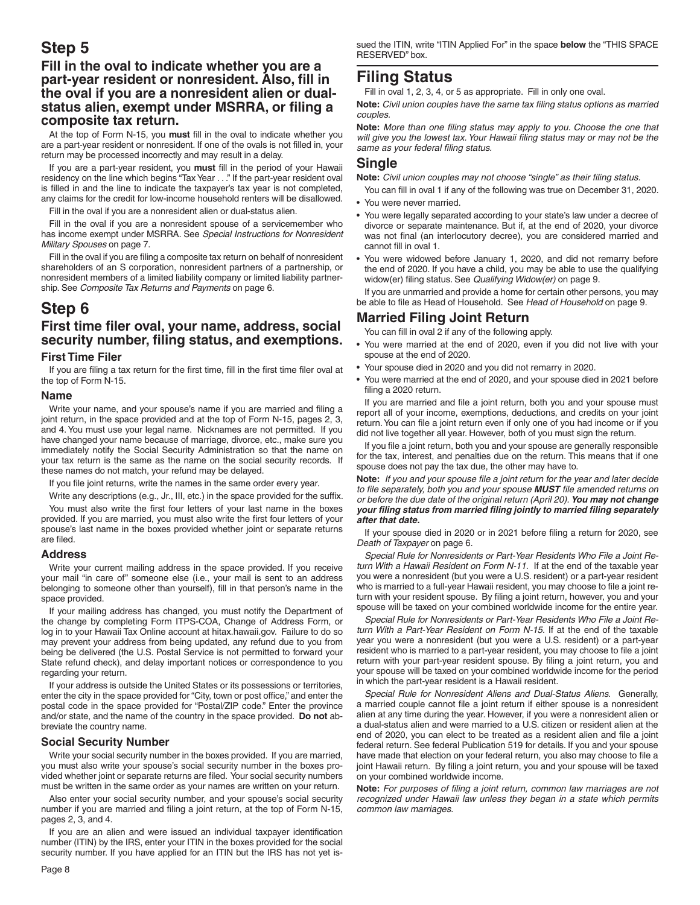# **Step 5**

#### **Fill in the oval to indicate whether you are a part-year resident or nonresident. Also, fill in the oval if you are a nonresident alien or dual**status alien, exempt under MSRRA, or filing a **composite tax return.**

At the top of Form N-15, you must fill in the oval to indicate whether you are a part-year resident or nonresident. If one of the ovals is not filled in, your return may be processed incorrectly and may result in a delay.

If you are a part-year resident, you must fill in the period of your Hawaii residency on the line which begins "Tax Year . . ." If the part-year resident oval is filled in and the line to indicate the taxpayer's tax year is not completed, any claims for the credit for low-income household renters will be disallowed.

Fill in the oval if you are a nonresident alien or dual-status alien.

Fill in the oval if you are a nonresident spouse of a servicemember who has income exempt under MSRRA. See *Special Instructions for Nonresident Military Spouses* on page 7.

Fill in the oval if you are filing a composite tax return on behalf of nonresident shareholders of an S corporation, nonresident partners of a partnership, or nonresident members of a limited liability company or limited liability partnership. See *Composite Tax Returns and Payments* on page 6.

### **Step 6**

# First time filer oval, your name, address, social **security number, fi ling status, and exemptions.**

#### **First Time Filer**

If you are filing a tax return for the first time, fill in the first time filer oval at the top of Form N-15.

#### **Name**

Write your name, and your spouse's name if you are married and filing a joint return, in the space provided and at the top of Form N-15, pages 2, 3, and 4. You must use your legal name. Nicknames are not permitted. If you have changed your name because of marriage, divorce, etc., make sure you immediately notify the Social Security Administration so that the name on your tax return is the same as the name on the social security records. If these names do not match, your refund may be delayed.

If you file joint returns, write the names in the same order every year.

Write any descriptions (e.g., Jr., III, etc.) in the space provided for the suffix.

You must also write the first four letters of your last name in the boxes provided. If you are married, you must also write the first four letters of your spouse's last name in the boxes provided whether joint or separate returns are filed.

#### **Address**

Write your current mailing address in the space provided. If you receive your mail "in care of" someone else (i.e., your mail is sent to an address belonging to someone other than yourself), fill in that person's name in the space provided.

If your mailing address has changed, you must notify the Department of the change by completing Form ITPS-COA, Change of Address Form, or log in to your Hawaii Tax Online account at hitax.hawaii.gov. Failure to do so may prevent your address from being updated, any refund due to you from being be delivered (the U.S. Postal Service is not permitted to forward your State refund check), and delay important notices or correspondence to you regarding your return.

If your address is outside the United States or its possessions or territories, enter the city in the space provided for "City, town or post office," and enter the postal code in the space provided for "Postal/ZIP code." Enter the province and/or state, and the name of the country in the space provided. **Do not** abbreviate the country name.

#### **Social Security Number**

Write your social security number in the boxes provided. If you are married, you must also write your spouse's social security number in the boxes provided whether joint or separate returns are filed. Your social security numbers must be written in the same order as your names are written on your return.

Also enter your social security number, and your spouse's social security number if you are married and filing a joint return, at the top of Form N-15, pages 2, 3, and 4.

If you are an alien and were issued an individual taxpayer identification number (ITIN) by the IRS, enter your ITIN in the boxes provided for the social security number. If you have applied for an ITIN but the IRS has not yet issued the ITIN, write "ITIN Applied For" in the space **below** the "THIS SPACE RESERVED" box.

### **Filing Status**

Fill in oval 1, 2, 3, 4, or 5 as appropriate. Fill in only one oval.

Note: Civil union couples have the same tax filing status options as married *couples.*

Note: More than one filing status may apply to you. Choose the one that will give you the lowest tax. Your Hawaii filing status may or may not be the same as your federal filing status.

#### **Single**

Note: *Civil union couples may not choose "single" as their filing status.* 

- You can fill in oval 1 if any of the following was true on December 31, 2020. • You were never married.
- You were legally separated according to your state's law under a decree of divorce or separate maintenance. But if, at the end of 2020, your divorce was not final (an interlocutory decree), you are considered married and cannot fill in oval 1.
- You were widowed before January 1, 2020, and did not remarry before the end of 2020. If you have a child, you may be able to use the qualifying widow(er) filing status. See *Qualifying Widow(er)* on page 9.

If you are unmarried and provide a home for certain other persons, you may be able to file as Head of Household. See Head of Household on page 9.

### **Married Filing Joint Return**

You can fill in oval 2 if any of the following apply.

- You were married at the end of 2020, even if you did not live with your spouse at the end of 2020.
- Your spouse died in 2020 and you did not remarry in 2020.
- You were married at the end of 2020, and your spouse died in 2021 before filing a 2020 return.

If you are married and file a joint return, both you and your spouse must report all of your income, exemptions, deductions, and credits on your joint return. You can file a joint return even if only one of you had income or if you did not live together all year. However, both of you must sign the return.

If you file a joint return, both you and your spouse are generally responsible for the tax, interest, and penalties due on the return. This means that if one spouse does not pay the tax due, the other may have to.

**Note:** If you and your spouse file a joint return for the year and later decide *to fi le separately, both you and your spouse MUST fi le amended returns on or before the due date of the original return (April 20). You may not change your fi ling status from married fi ling jointly to married fi ling separately after that date.*

If your spouse died in 2020 or in 2021 before filing a return for 2020, see *Death of Taxpayer* on page 6.

*Special Rule for Nonresidents or Part-Year Residents Who File a Joint Return With a Hawaii Resident on Form N-11.* If at the end of the taxable year you were a nonresident (but you were a U.S. resident) or a part-year resident who is married to a full-year Hawaii resident, you may choose to file a joint return with your resident spouse. By filing a joint return, however, you and your spouse will be taxed on your combined worldwide income for the entire year.

*Special Rule for Nonresidents or Part-Year Residents Who File a Joint Return With a Part-Year Resident on Form N-15.* If at the end of the taxable year you were a nonresident (but you were a U.S. resident) or a part-year resident who is married to a part-year resident, you may choose to file a joint return with your part-year resident spouse. By filing a joint return, you and your spouse will be taxed on your combined worldwide income for the period in which the part-year resident is a Hawaii resident.

*Special Rule for Nonresident Aliens and Dual-Status Aliens.* Generally, a married couple cannot file a joint return if either spouse is a nonresident alien at any time during the year. However, if you were a nonresident alien or a dual-status alien and were married to a U.S. citizen or resident alien at the end of 2020, you can elect to be treated as a resident alien and file a joint federal return. See federal Publication 519 for details. If you and your spouse have made that election on your federal return, you also may choose to file a joint Hawaii return. By filing a joint return, you and your spouse will be taxed on your combined worldwide income.

Note: For purposes of filing a joint return, common law marriages are not *recognized under Hawaii law unless they began in a state which permits common law marriages.*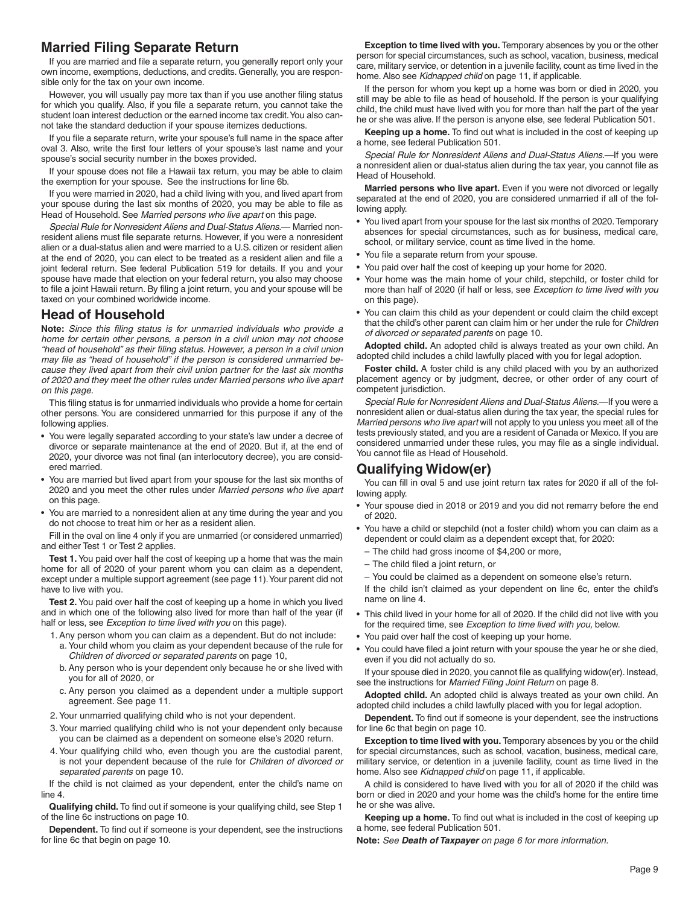### **Married Filing Separate Return**

If you are married and file a separate return, you generally report only your own income, exemptions, deductions, and credits. Generally, you are responsible only for the tax on your own income.

However, you will usually pay more tax than if you use another filing status for which you qualify. Also, if you file a separate return, you cannot take the student loan interest deduction or the earned income tax credit. You also cannot take the standard deduction if your spouse itemizes deductions.

If you file a separate return, write your spouse's full name in the space after oval 3. Also, write the first four letters of your spouse's last name and your spouse's social security number in the boxes provided.

If your spouse does not file a Hawaii tax return, you may be able to claim the exemption for your spouse. See the instructions for line 6b.

If you were married in 2020, had a child living with you, and lived apart from your spouse during the last six months of 2020, you may be able to file as Head of Household. See *Married persons who live apart* on this page.

*Special Rule for Nonresident Aliens and Dual-Status Aliens.*— Married nonresident aliens must file separate returns. However, if you were a nonresident alien or a dual-status alien and were married to a U.S. citizen or resident alien at the end of 2020, you can elect to be treated as a resident alien and file a joint federal return. See federal Publication 519 for details. If you and your spouse have made that election on your federal return, you also may choose to file a joint Hawaii return. By filing a joint return, you and your spouse will be taxed on your combined worldwide income.

### **Head of Household**

Note: Since this filing status is for unmarried individuals who provide a *home for certain other persons, a person in a civil union may not choose*  "head of household" as their filing status. However, a person in a civil union may file as "head of household" if the person is considered unmarried be*cause they lived apart from their civil union partner for the last six months of 2020 and they meet the other rules under Married persons who live apart on this page.*

This filing status is for unmarried individuals who provide a home for certain other persons. You are considered unmarried for this purpose if any of the following applies.

- You were legally separated according to your state's law under a decree of divorce or separate maintenance at the end of 2020. But if, at the end of 2020, your divorce was not final (an interlocutory decree), you are considered married.
- You are married but lived apart from your spouse for the last six months of 2020 and you meet the other rules under *Married persons who live apart*  on this page.
- You are married to a nonresident alien at any time during the year and you do not choose to treat him or her as a resident alien.

Fill in the oval on line 4 only if you are unmarried (or considered unmarried) and either Test 1 or Test 2 applies.

**Test 1.** You paid over half the cost of keeping up a home that was the main home for all of 2020 of your parent whom you can claim as a dependent, except under a multiple support agreement (see page 11). Your parent did not have to live with you.

**Test 2.** You paid over half the cost of keeping up a home in which you lived and in which one of the following also lived for more than half of the year (if half or less, see *Exception to time lived with you* on this page).

- 1. Any person whom you can claim as a dependent. But do not include:
- a. Your child whom you claim as your dependent because of the rule for *Children of divorced or separated parents* on page 10,
- b. Any person who is your dependent only because he or she lived with you for all of 2020, or
- c. Any person you claimed as a dependent under a multiple support agreement. See page 11.
- 2. Your unmarried qualifying child who is not your dependent.
- 3. Your married qualifying child who is not your dependent only because you can be claimed as a dependent on someone else's 2020 return.
- 4. Your qualifying child who, even though you are the custodial parent, is not your dependent because of the rule for *Children of divorced or separated parents* on page 10.

If the child is not claimed as your dependent, enter the child's name on line 4.

**Qualifying child.** To find out if someone is your qualifying child, see Step 1 of the line 6c instructions on page 10.

**Dependent.** To find out if someone is your dependent, see the instructions for line 6c that begin on page 10.

**Exception to time lived with you.** Temporary absences by you or the other person for special circumstances, such as school, vacation, business, medical care, military service, or detention in a juvenile facility, count as time lived in the home. Also see *Kidnapped child* on page 11, if applicable.

If the person for whom you kept up a home was born or died in 2020, you still may be able to file as head of household. If the person is your qualifying child, the child must have lived with you for more than half the part of the year he or she was alive. If the person is anyone else, see federal Publication 501.

Keeping up a home. To find out what is included in the cost of keeping up a home, see federal Publication 501.

*Special Rule for Nonresident Aliens and Dual-Status Aliens.*—If you were a nonresident alien or dual-status alien during the tax year, you cannot file as Head of Household.

**Married persons who live apart.** Even if you were not divorced or legally separated at the end of 2020, you are considered unmarried if all of the following apply.

- You lived apart from your spouse for the last six months of 2020. Temporary absences for special circumstances, such as for business, medical care, school, or military service, count as time lived in the home.
- You file a separate return from your spouse.
- You paid over half the cost of keeping up your home for 2020.
- Your home was the main home of your child, stepchild, or foster child for more than half of 2020 (if half or less, see *Exception to time lived with you* on this page).
- You can claim this child as your dependent or could claim the child except that the child's other parent can claim him or her under the rule for *Children of divorced or separated parents* on page 10.

**Adopted child.** An adopted child is always treated as your own child. An adopted child includes a child lawfully placed with you for legal adoption.

**Foster child.** A foster child is any child placed with you by an authorized placement agency or by judgment, decree, or other order of any court of competent jurisdiction.

*Special Rule for Nonresident Aliens and Dual-Status Aliens.*—If you were a nonresident alien or dual-status alien during the tax year, the special rules for *Married persons who live apart* will not apply to you unless you meet all of the tests previously stated, and you are a resident of Canada or Mexico. If you are considered unmarried under these rules, you may file as a single individual. You cannot file as Head of Household.

#### **Qualifying Widow(er)**

You can fill in oval 5 and use joint return tax rates for 2020 if all of the following apply.

- Your spouse died in 2018 or 2019 and you did not remarry before the end of 2020.
- You have a child or stepchild (not a foster child) whom you can claim as a dependent or could claim as a dependent except that, for 2020:
- The child had gross income of \$4,200 or more,
- $-$  The child filed a joint return, or
- You could be claimed as a dependent on someone else's return.

If the child isn't claimed as your dependent on line 6c, enter the child's name on line 4.

- This child lived in your home for all of 2020. If the child did not live with you for the required time, see *Exception to time lived with you,* below.
- You paid over half the cost of keeping up your home.
- You could have filed a joint return with your spouse the year he or she died, even if you did not actually do so.

If your spouse died in 2020, you cannot file as qualifying widow(er). Instead, see the instructions for *Married Filing Joint Return* on page 8.

**Adopted child.** An adopted child is always treated as your own child. An adopted child includes a child lawfully placed with you for legal adoption.

**Dependent.** To find out if someone is your dependent, see the instructions for line 6c that begin on page 10.

**Exception to time lived with you.** Temporary absences by you or the child for special circumstances, such as school, vacation, business, medical care, military service, or detention in a juvenile facility, count as time lived in the home. Also see *Kidnapped child* on page 11, if applicable.

A child is considered to have lived with you for all of 2020 if the child was born or died in 2020 and your home was the child's home for the entire time he or she was alive.

Keeping up a home. To find out what is included in the cost of keeping up a home, see federal Publication 501.

**Note:** *See Death of Taxpayer on page 6 for more information.*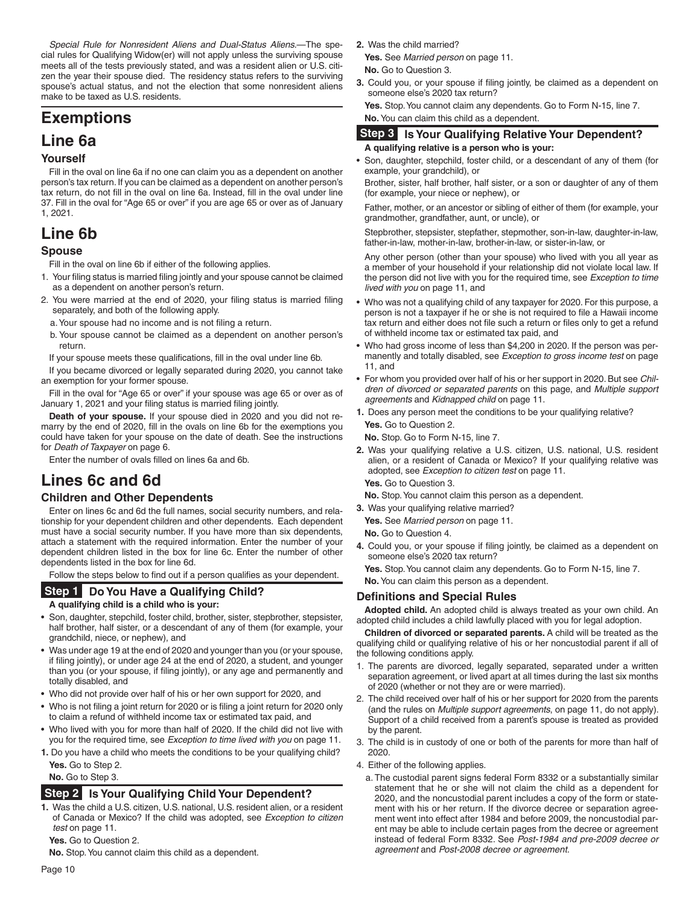*Special Rule for Nonresident Aliens and Dual-Status Aliens.*—The special rules for Qualifying Widow(er) will not apply unless the surviving spouse meets all of the tests previously stated, and was a resident alien or U.S. citizen the year their spouse died. The residency status refers to the surviving spouse's actual status, and not the election that some nonresident aliens make to be taxed as U.S. residents.

# **Exemptions**

### **Line 6a**

#### **Yourself**

Fill in the oval on line 6a if no one can claim you as a dependent on another person's tax return. If you can be claimed as a dependent on another person's tax return, do not fill in the oval on line 6a. Instead, fill in the oval under line 37. Fill in the oval for "Age 65 or over" if you are age 65 or over as of January 1, 2021.

# **Line 6b**

#### **Spouse**

Fill in the oval on line 6b if either of the following applies.

- 1. Your filing status is married filing jointly and your spouse cannot be claimed as a dependent on another person's return.
- 2. You were married at the end of 2020, your filing status is married filing separately, and both of the following apply.
	- a. Your spouse had no income and is not filing a return.
	- b. Your spouse cannot be claimed as a dependent on another person's return.

If your spouse meets these qualifications, fill in the oval under line 6b.

If you became divorced or legally separated during 2020, you cannot take an exemption for your former spouse.

Fill in the oval for "Age 65 or over" if your spouse was age 65 or over as of January 1, 2021 and your filing status is married filing jointly.

**Death of your spouse.** If your spouse died in 2020 and you did not remarry by the end of 2020, fill in the ovals on line 6b for the exemptions you could have taken for your spouse on the date of death. See the instructions for *Death of Taxpayer* on page 6.

Enter the number of ovals filled on lines 6a and 6b.

# **Lines 6c and 6d**

#### **Children and Other Dependents**

Enter on lines 6c and 6d the full names, social security numbers, and relationship for your dependent children and other dependents. Each dependent must have a social security number. If you have more than six dependents, attach a statement with the required information. Enter the number of your dependent children listed in the box for line 6c. Enter the number of other dependents listed in the box for line 6d.

Follow the steps below to find out if a person qualifies as your dependent.

#### **Do You Have a Qualifying Child? Step 1**

#### **A qualifying child is a child who is your:**

- Son, daughter, stepchild, foster child, brother, sister, stepbrother, stepsister, half brother, half sister, or a descendant of any of them (for example, your grandchild, niece, or nephew), and
- Was under age 19 at the end of 2020 and younger than you (or your spouse, if filing jointly), or under age 24 at the end of 2020, a student, and younger than you (or your spouse, if filing jointly), or any age and permanently and totally disabled, and
- Who did not provide over half of his or her own support for 2020, and
- Who is not filing a joint return for 2020 or is filing a joint return for 2020 only to claim a refund of withheld income tax or estimated tax paid, and
- Who lived with you for more than half of 2020. If the child did not live with you for the required time, see *Exception to time lived with you* on page 11.
- **1.** Do you have a child who meets the conditions to be your qualifying child? **Yes.** Go to Step 2.

**No.** Go to Step 3.

#### **Step 2** Is Your Qualifying Child Your Dependent?

**1.** Was the child a U.S. citizen, U.S. national, U.S. resident alien, or a resident of Canada or Mexico? If the child was adopted, see *Exception to citizen test* on page 11.

**Yes.** Go to Question 2.

**No.** Stop. You cannot claim this child as a dependent.

**2.** Was the child married?

**Yes.** See *Married person* on page 11. **No.** Go to Question 3.

- **3.** Could you, or your spouse if filing jointly, be claimed as a dependent on someone else's 2020 tax return?
	- **Yes.** Stop. You cannot claim any dependents. Go to Form N-15, line 7. **No.** You can claim this child as a dependent.

#### **Step 3** Is Your Qualifying Relative Your Dependent? **A qualifying relative is a person who is your:**

• Son, daughter, stepchild, foster child, or a descendant of any of them (for example, your grandchild), or

Brother, sister, half brother, half sister, or a son or daughter of any of them (for example, your niece or nephew), or

Father, mother, or an ancestor or sibling of either of them (for example, your grandmother, grandfather, aunt, or uncle), or

Stepbrother, stepsister, stepfather, stepmother, son-in-law, daughter-in-law, father-in-law, mother-in-law, brother-in-law, or sister-in-law, or

Any other person (other than your spouse) who lived with you all year as a member of your household if your relationship did not violate local law. If the person did not live with you for the required time, see *Exception to time lived with you* on page 11, and

- Who was not a qualifying child of any taxpayer for 2020. For this purpose, a person is not a taxpayer if he or she is not required to file a Hawaii income tax return and either does not file such a return or files only to get a refund of withheld income tax or estimated tax paid, and
- Who had gross income of less than \$4,200 in 2020. If the person was permanently and totally disabled, see *Exception to gross income test* on page 11, and
- For whom you provided over half of his or her support in 2020. But see *Children of divorced or separated parents* on this page, and *Multiple support agreements* and *Kidnapped child* on page 11.
- **1.** Does any person meet the conditions to be your qualifying relative? **Yes.** Go to Question 2.

**No.** Stop. Go to Form N-15, line 7.

**2.** Was your qualifying relative a U.S. citizen, U.S. national, U.S. resident alien, or a resident of Canada or Mexico? If your qualifying relative was adopted, see *Exception to citizen test* on page 11.

**Yes.** Go to Question 3.

**No.** Stop. You cannot claim this person as a dependent.

**3.** Was your qualifying relative married? **Yes.** See *Married person* on page 11.

**No.** Go to Question 4.

4. Could you, or your spouse if filing jointly, be claimed as a dependent on someone else's 2020 tax return?

**Yes.** Stop. You cannot claim any dependents. Go to Form N-15, line 7.

**No.** You can claim this person as a dependent.

#### **Definitions and Special Rules**

**Adopted child.** An adopted child is always treated as your own child. An adopted child includes a child lawfully placed with you for legal adoption.

**Children of divorced or separated parents.** A child will be treated as the qualifying child or qualifying relative of his or her noncustodial parent if all of the following conditions apply.

- 1. The parents are divorced, legally separated, separated under a written separation agreement, or lived apart at all times during the last six months of 2020 (whether or not they are or were married).
- 2. The child received over half of his or her support for 2020 from the parents (and the rules on *Multiple support agreements*, on page 11, do not apply). Support of a child received from a parent's spouse is treated as provided by the parent.
- 3. The child is in custody of one or both of the parents for more than half of 2020.
- 4. Either of the following applies.
- a. The custodial parent signs federal Form 8332 or a substantially similar statement that he or she will not claim the child as a dependent for 2020, and the noncustodial parent includes a copy of the form or statement with his or her return. If the divorce decree or separation agreement went into effect after 1984 and before 2009, the noncustodial parent may be able to include certain pages from the decree or agreement instead of federal Form 8332. See *Post-1984 and pre-2009 decree or agreement* and *Post-2008 decree or agreement*.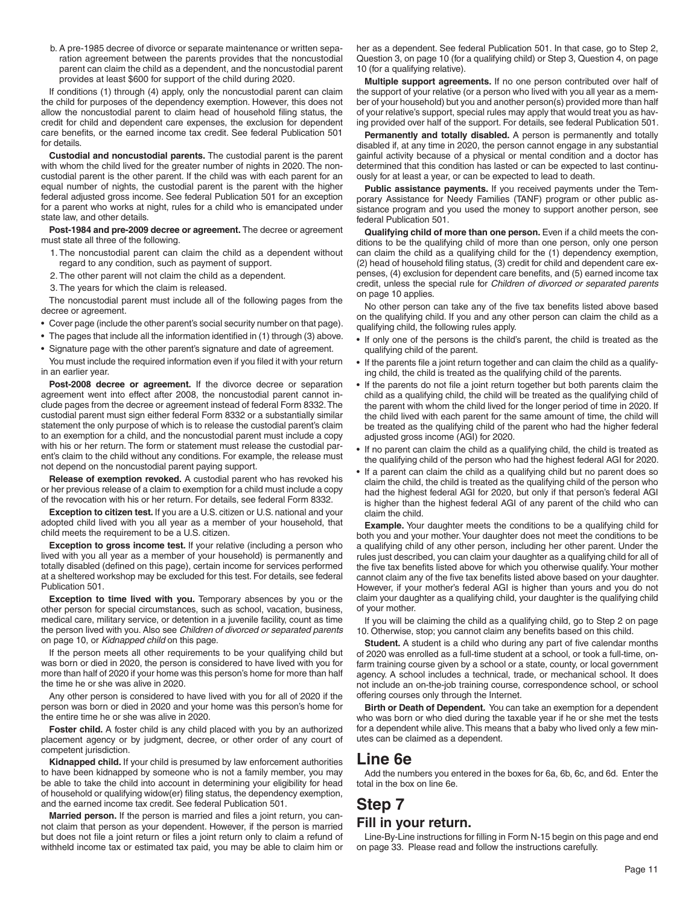b. A pre-1985 decree of divorce or separate maintenance or written separation agreement between the parents provides that the noncustodial parent can claim the child as a dependent, and the noncustodial parent provides at least \$600 for support of the child during 2020.

If conditions (1) through (4) apply, only the noncustodial parent can claim the child for purposes of the dependency exemption. However, this does not allow the noncustodial parent to claim head of household filing status, the credit for child and dependent care expenses, the exclusion for dependent care benefits, or the earned income tax credit. See federal Publication 501 for details.

**Custodial and noncustodial parents.** The custodial parent is the parent with whom the child lived for the greater number of nights in 2020. The noncustodial parent is the other parent. If the child was with each parent for an equal number of nights, the custodial parent is the parent with the higher federal adjusted gross income. See federal Publication 501 for an exception for a parent who works at night, rules for a child who is emancipated under state law, and other details.

**Post-1984 and pre-2009 decree or agreement.** The decree or agreement must state all three of the following.

- 1. The noncustodial parent can claim the child as a dependent without regard to any condition, such as payment of support.
- 2. The other parent will not claim the child as a dependent.
- 3. The years for which the claim is released.

The noncustodial parent must include all of the following pages from the decree or agreement.

- Cover page (include the other parent's social security number on that page).
- The pages that include all the information identified in (1) through (3) above.
- Signature page with the other parent's signature and date of agreement.

You must include the required information even if you filed it with your return in an earlier year.

Post-2008 decree or agreement. If the divorce decree or separation agreement went into effect after 2008, the noncustodial parent cannot include pages from the decree or agreement instead of federal Form 8332. The custodial parent must sign either federal Form 8332 or a substantially similar statement the only purpose of which is to release the custodial parent's claim to an exemption for a child, and the noncustodial parent must include a copy with his or her return. The form or statement must release the custodial parent's claim to the child without any conditions. For example, the release must not depend on the noncustodial parent paying support.

**Release of exemption revoked.** A custodial parent who has revoked his or her previous release of a claim to exemption for a child must include a copy of the revocation with his or her return. For details, see federal Form 8332.

**Exception to citizen test.** If you are a U.S. citizen or U.S. national and your adopted child lived with you all year as a member of your household, that child meets the requirement to be a U.S. citizen.

**Exception to gross income test.** If your relative (including a person who lived with you all year as a member of your household) is permanently and totally disabled (defined on this page), certain income for services performed at a sheltered workshop may be excluded for this test. For details, see federal Publication 501.

**Exception to time lived with you.** Temporary absences by you or the other person for special circumstances, such as school, vacation, business, medical care, military service, or detention in a juvenile facility, count as time the person lived with you. Also see *Children of divorced or separated parents* on page 10, or *Kidnapped child* on this page.

If the person meets all other requirements to be your qualifying child but was born or died in 2020, the person is considered to have lived with you for more than half of 2020 if your home was this person's home for more than half the time he or she was alive in 2020.

Any other person is considered to have lived with you for all of 2020 if the person was born or died in 2020 and your home was this person's home for the entire time he or she was alive in 2020.

**Foster child.** A foster child is any child placed with you by an authorized placement agency or by judgment, decree, or other order of any court of competent jurisdiction.

**Kidnapped child.** If your child is presumed by law enforcement authorities to have been kidnapped by someone who is not a family member, you may be able to take the child into account in determining your eligibility for head of household or qualifying widow(er) filing status, the dependency exemption, and the earned income tax credit. See federal Publication 501.

Married person. If the person is married and files a joint return, you cannot claim that person as your dependent. However, if the person is married but does not file a joint return or files a joint return only to claim a refund of withheld income tax or estimated tax paid, you may be able to claim him or her as a dependent. See federal Publication 501. In that case, go to Step 2, Question 3, on page 10 (for a qualifying child) or Step 3, Question 4, on page 10 (for a qualifying relative).

**Multiple support agreements.** If no one person contributed over half of the support of your relative (or a person who lived with you all year as a member of your household) but you and another person(s) provided more than half of your relative's support, special rules may apply that would treat you as having provided over half of the support. For details, see federal Publication 501.

**Permanently and totally disabled.** A person is permanently and totally disabled if, at any time in 2020, the person cannot engage in any substantial gainful activity because of a physical or mental condition and a doctor has determined that this condition has lasted or can be expected to last continuously for at least a year, or can be expected to lead to death.

**Public assistance payments.** If you received payments under the Temporary Assistance for Needy Families (TANF) program or other public assistance program and you used the money to support another person, see federal Publication 501.

**Qualifying child of more than one person.** Even if a child meets the conditions to be the qualifying child of more than one person, only one person can claim the child as a qualifying child for the (1) dependency exemption, (2) head of household filing status, (3) credit for child and dependent care expenses, (4) exclusion for dependent care benefits, and (5) earned income tax credit, unless the special rule for *Children of divorced or separated parents* on page 10 applies.

No other person can take any of the five tax benefits listed above based on the qualifying child. If you and any other person can claim the child as a qualifying child, the following rules apply.

- If only one of the persons is the child's parent, the child is treated as the qualifying child of the parent.
- If the parents file a joint return together and can claim the child as a qualifying child, the child is treated as the qualifying child of the parents.
- If the parents do not file a joint return together but both parents claim the child as a qualifying child, the child will be treated as the qualifying child of the parent with whom the child lived for the longer period of time in 2020. If the child lived with each parent for the same amount of time, the child will be treated as the qualifying child of the parent who had the higher federal adjusted gross income (AGI) for 2020.
- If no parent can claim the child as a qualifying child, the child is treated as the qualifying child of the person who had the highest federal AGI for 2020.
- If a parent can claim the child as a qualifying child but no parent does so claim the child, the child is treated as the qualifying child of the person who had the highest federal AGI for 2020, but only if that person's federal AGI is higher than the highest federal AGI of any parent of the child who can claim the child.

**Example.** Your daughter meets the conditions to be a qualifying child for both you and your mother. Your daughter does not meet the conditions to be a qualifying child of any other person, including her other parent. Under the rules just described, you can claim your daughter as a qualifying child for all of the five tax benefits listed above for which you otherwise qualify. Your mother cannot claim any of the five tax benefits listed above based on your daughter. However, if your mother's federal AGI is higher than yours and you do not claim your daughter as a qualifying child, your daughter is the qualifying child of your mother.

If you will be claiming the child as a qualifying child, go to Step 2 on page 10. Otherwise, stop; you cannot claim any benefits based on this child.

**Student.** A student is a child who during any part of five calendar months of 2020 was enrolled as a full-time student at a school, or took a full-time, onfarm training course given by a school or a state, county, or local government agency. A school includes a technical, trade, or mechanical school. It does not include an on-the-job training course, correspondence school, or school offering courses only through the Internet.

**Birth or Death of Dependent.** You can take an exemption for a dependent who was born or who died during the taxable year if he or she met the tests for a dependent while alive. This means that a baby who lived only a few minutes can be claimed as a dependent.

## **Line 6e**

Add the numbers you entered in the boxes for 6a, 6b, 6c, and 6d. Enter the total in the box on line 6e.

### **Step 7 Fill in your return.**

Line-By-Line instructions for filling in Form N-15 begin on this page and end on page 33. Please read and follow the instructions carefully.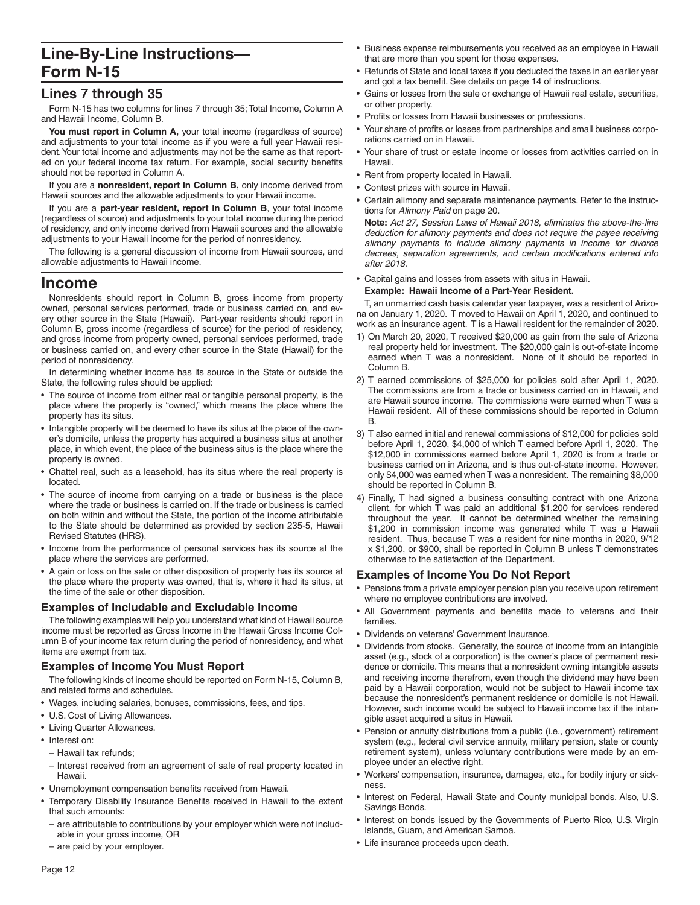# **Line-By-Line Instructions— Form N-15**

### **Lines 7 through 35**

Form N-15 has two columns for lines 7 through 35; Total Income, Column A and Hawaii Income, Column B.

You must report in Column A, your total income (regardless of source) and adjustments to your total income as if you were a full year Hawaii resident. Your total income and adjustments may not be the same as that reported on your federal income tax return. For example, social security benefits should not be reported in Column A.

If you are a **nonresident, report in Column B,** only income derived from Hawaii sources and the allowable adjustments to your Hawaii income.

If you are a **part-year resident, report in Column B**, your total income (regardless of source) and adjustments to your total income during the period of residency, and only income derived from Hawaii sources and the allowable adjustments to your Hawaii income for the period of nonresidency.

The following is a general discussion of income from Hawaii sources, and allowable adjustments to Hawaii income.

### **Income**

Nonresidents should report in Column B, gross income from property owned, personal services performed, trade or business carried on, and every other source in the State (Hawaii). Part-year residents should report in Column B, gross income (regardless of source) for the period of residency, and gross income from property owned, personal services performed, trade or business carried on, and every other source in the State (Hawaii) for the period of nonresidency.

In determining whether income has its source in the State or outside the State, the following rules should be applied:

- The source of income from either real or tangible personal property, is the place where the property is "owned," which means the place where the property has its situs.
- Intangible property will be deemed to have its situs at the place of the owner's domicile, unless the property has acquired a business situs at another place, in which event, the place of the business situs is the place where the property is owned.
- Chattel real, such as a leasehold, has its situs where the real property is located.
- The source of income from carrying on a trade or business is the place where the trade or business is carried on. If the trade or business is carried on both within and without the State, the portion of the income attributable to the State should be determined as provided by section 235-5, Hawaii Revised Statutes (HRS).
- Income from the performance of personal services has its source at the place where the services are performed.
- A gain or loss on the sale or other disposition of property has its source at the place where the property was owned, that is, where it had its situs, at the time of the sale or other disposition.

#### **Examples of Includable and Excludable Income**

The following examples will help you understand what kind of Hawaii source income must be reported as Gross Income in the Hawaii Gross Income Column B of your income tax return during the period of nonresidency, and what items are exempt from tax.

#### **Examples of Income You Must Report**

The following kinds of income should be reported on Form N-15, Column B, and related forms and schedules.

- Wages, including salaries, bonuses, commissions, fees, and tips.
- U.S. Cost of Living Allowances.
- Living Quarter Allowances.
- Interest on:
	- Hawaii tax refunds;
- Interest received from an agreement of sale of real property located in Hawaii.
- Unemployment compensation benefits received from Hawaii.
- Temporary Disability Insurance Benefits received in Hawaii to the extent that such amounts:
- are attributable to contributions by your employer which were not includable in your gross income, OR
- are paid by your employer.
- Business expense reimbursements you received as an employee in Hawaii that are more than you spent for those expenses.
- Refunds of State and local taxes if you deducted the taxes in an earlier year and got a tax benefit. See details on page 14 of instructions.
- Gains or losses from the sale or exchange of Hawaii real estate, securities, or other property.
- Profits or losses from Hawaii businesses or professions.
- Your share of profits or losses from partnerships and small business corporations carried on in Hawaii.
- Your share of trust or estate income or losses from activities carried on in Hawaii.
- Rent from property located in Hawaii.
- Contest prizes with source in Hawaii.
- Certain alimony and separate maintenance payments. Refer to the instructions for *Alimony Paid* on page 20.

**Note:** *Act 27, Session Laws of Hawaii 2018, eliminates the above-the-line deduction for alimony payments and does not require the payee receiving alimony payments to include alimony payments in income for divorce*  decrees, separation agreements, and certain modifications entered into *after 2018.*

• Capital gains and losses from assets with situs in Hawaii. **Example: Hawaii Income of a Part-Year Resident.**

T, an unmarried cash basis calendar year taxpayer, was a resident of Arizona on January 1, 2020. T moved to Hawaii on April 1, 2020, and continued to work as an insurance agent. T is a Hawaii resident for the remainder of 2020.

- 1) On March 20, 2020, T received \$20,000 as gain from the sale of Arizona real property held for investment. The \$20,000 gain is out-of-state income earned when T was a nonresident. None of it should be reported in Column B.
- 2) T earned commissions of \$25,000 for policies sold after April 1, 2020. The commissions are from a trade or business carried on in Hawaii, and are Hawaii source income. The commissions were earned when T was a Hawaii resident. All of these commissions should be reported in Column B.
- 3) T also earned initial and renewal commissions of \$12,000 for policies sold before April 1, 2020, \$4,000 of which T earned before April 1, 2020. The \$12,000 in commissions earned before April 1, 2020 is from a trade or business carried on in Arizona, and is thus out-of-state income. However, only \$4,000 was earned when T was a nonresident. The remaining \$8,000 should be reported in Column B.
- 4) Finally, T had signed a business consulting contract with one Arizona client, for which T was paid an additional \$1,200 for services rendered throughout the year. It cannot be determined whether the remaining \$1,200 in commission income was generated while T was a Hawaii resident. Thus, because T was a resident for nine months in 2020, 9/12 x \$1,200, or \$900, shall be reported in Column B unless T demonstrates otherwise to the satisfaction of the Department.

#### **Examples of Income You Do Not Report**

- Pensions from a private employer pension plan you receive upon retirement where no employee contributions are involved.
- All Government payments and benefits made to veterans and their families.
- Dividends on veterans' Government Insurance.
- Dividends from stocks. Generally, the source of income from an intangible asset (e.g., stock of a corporation) is the owner's place of permanent residence or domicile. This means that a nonresident owning intangible assets and receiving income therefrom, even though the dividend may have been paid by a Hawaii corporation, would not be subject to Hawaii income tax because the nonresident's permanent residence or domicile is not Hawaii. However, such income would be subject to Hawaii income tax if the intangible asset acquired a situs in Hawaii.
- Pension or annuity distributions from a public (i.e., government) retirement system (e.g., federal civil service annuity, military pension, state or county retirement system), unless voluntary contributions were made by an employee under an elective right.
- Workers' compensation, insurance, damages, etc., for bodily injury or sickness.
- Interest on Federal, Hawaii State and County municipal bonds. Also, U.S. Savings Bonds.
- Interest on bonds issued by the Governments of Puerto Rico, U.S. Virgin Islands, Guam, and American Samoa.
- Life insurance proceeds upon death.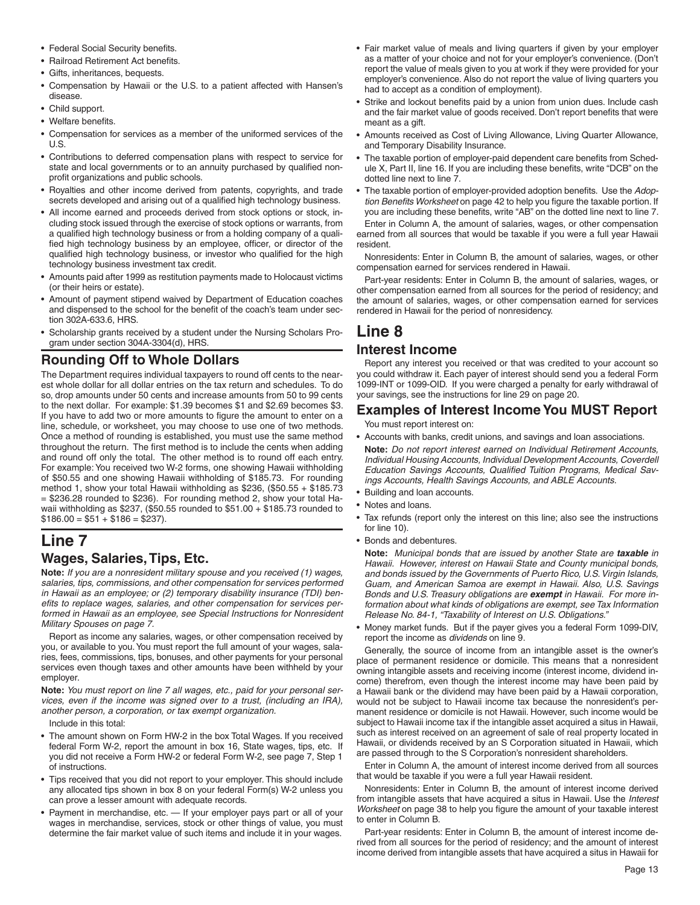- Federal Social Security benefits.
- Railroad Retirement Act benefits.
- Gifts, inheritances, bequests.
- Compensation by Hawaii or the U.S. to a patient affected with Hansen's disease.
- Child support.
- Welfare benefits.
- Compensation for services as a member of the uniformed services of the U.S.
- Contributions to deferred compensation plans with respect to service for state and local governments or to an annuity purchased by qualified nonprofit organizations and public schools.
- Royalties and other income derived from patents, copyrights, and trade secrets developed and arising out of a qualified high technology business.
- All income earned and proceeds derived from stock options or stock, including stock issued through the exercise of stock options or warrants, from a qualified high technology business or from a holding company of a qualified high technology business by an employee, officer, or director of the qualified high technology business, or investor who qualified for the high technology business investment tax credit.
- Amounts paid after 1999 as restitution payments made to Holocaust victims (or their heirs or estate).
- Amount of payment stipend waived by Department of Education coaches and dispensed to the school for the benefit of the coach's team under section 302A-633.6, HRS.
- Scholarship grants received by a student under the Nursing Scholars Program under section 304A-3304(d), HRS.

### **Rounding Off to Whole Dollars**

The Department requires individual taxpayers to round off cents to the nearest whole dollar for all dollar entries on the tax return and schedules. To do so, drop amounts under 50 cents and increase amounts from 50 to 99 cents to the next dollar. For example: \$1.39 becomes \$1 and \$2.69 becomes \$3. If you have to add two or more amounts to figure the amount to enter on a line, schedule, or worksheet, you may choose to use one of two methods. Once a method of rounding is established, you must use the same method throughout the return. The first method is to include the cents when adding and round off only the total. The other method is to round off each entry. For example: You received two W-2 forms, one showing Hawaii withholding of \$50.55 and one showing Hawaii withholding of \$185.73. For rounding method 1, show your total Hawaii withholding as \$236, (\$50.55 + \$185.73 = \$236.28 rounded to \$236). For rounding method 2, show your total Hawaii withholding as \$237, (\$50.55 rounded to \$51.00 + \$185.73 rounded to  $$186.00 = $51 + $186 = $237$ ).

### **Line 7 Wages, Salaries, Tips, Etc.**

**Note:** *If you are a nonresident military spouse and you received (1) wages, salaries, tips, commissions, and other compensation for services performed in Hawaii as an employee; or (2) temporary disability insurance (TDI) ben*efits to replace wages, salaries, and other compensation for services per*formed in Hawaii as an employee, see Special Instructions for Nonresident Military Spouses on page 7.*

Report as income any salaries, wages, or other compensation received by you, or available to you. You must report the full amount of your wages, salaries, fees, commissions, tips, bonuses, and other payments for your personal services even though taxes and other amounts have been withheld by your employer.

**Note:** *You must report on line 7 all wages, etc., paid for your personal services, even if the income was signed over to a trust, (including an IRA), another person, a corporation, or tax exempt organization.*

Include in this total:

- The amount shown on Form HW-2 in the box Total Wages. If you received federal Form W-2, report the amount in box 16, State wages, tips, etc. If you did not receive a Form HW-2 or federal Form W-2, see page 7, Step 1 of instructions.
- Tips received that you did not report to your employer. This should include any allocated tips shown in box 8 on your federal Form(s) W-2 unless you can prove a lesser amount with adequate records.
- Payment in merchandise, etc. If your employer pays part or all of your wages in merchandise, services, stock or other things of value, you must determine the fair market value of such items and include it in your wages.
- Fair market value of meals and living quarters if given by your employer as a matter of your choice and not for your employer's convenience. (Don't report the value of meals given to you at work if they were provided for your employer's convenience. Also do not report the value of living quarters you had to accept as a condition of employment).
- Strike and lockout benefits paid by a union from union dues. Include cash and the fair market value of goods received. Don't report benefits that were meant as a gift.
- Amounts received as Cost of Living Allowance, Living Quarter Allowance, and Temporary Disability Insurance.
- The taxable portion of employer-paid dependent care benefits from Schedule X, Part II, line 16. If you are including these benefits, write "DCB" on the dotted line next to line 7.
- The taxable portion of employer-provided adoption benefits. Use the Adoption Benefits Worksheet on page 42 to help you figure the taxable portion. If you are including these benefits, write "AB" on the dotted line next to line 7. Enter in Column A, the amount of salaries, wages, or other compensation earned from all sources that would be taxable if you were a full year Hawaii resident.

Nonresidents: Enter in Column B, the amount of salaries, wages, or other compensation earned for services rendered in Hawaii.

Part-year residents: Enter in Column B, the amount of salaries, wages, or other compensation earned from all sources for the period of residency; and the amount of salaries, wages, or other compensation earned for services rendered in Hawaii for the period of nonresidency.

# **Line 8**

#### **Interest Income**

Report any interest you received or that was credited to your account so you could withdraw it. Each payer of interest should send you a federal Form 1099-INT or 1099-OID. If you were charged a penalty for early withdrawal of your savings, see the instructions for line 29 on page 20.

# **Examples of Interest Income You MUST Report**

You must report interest on:

- Accounts with banks, credit unions, and savings and loan associations.
- **Note:** *Do not report interest earned on Individual Retirement Accounts, Individual Housing Accounts, Individual Development Accounts, Coverdell*  Education Savings Accounts, Qualified Tuition Programs, Medical Sav*ings Accounts, Health Savings Accounts, and ABLE Accounts.*
- Building and loan accounts.
- Notes and loans.
- Tax refunds (report only the interest on this line; also see the instructions for line 10).
- Bonds and debentures.

**Note:** *Municipal bonds that are issued by another State are taxable in Hawaii. However, interest on Hawaii State and County municipal bonds, and bonds issued by the Governments of Puerto Rico, U.S. Virgin Islands, Guam, and American Samoa are exempt in Hawaii. Also, U.S. Savings Bonds and U.S. Treasury obligations are exempt in Hawaii. For more information about what kinds of obligations are exempt, see Tax Information Release No. 84-1, "Taxability of Interest on U.S. Obligations."*

• Money market funds. But if the payer gives you a federal Form 1099-DIV, report the income as *dividends* on line 9.

Generally, the source of income from an intangible asset is the owner's place of permanent residence or domicile. This means that a nonresident owning intangible assets and receiving income (interest income, dividend income) therefrom, even though the interest income may have been paid by a Hawaii bank or the dividend may have been paid by a Hawaii corporation, would not be subject to Hawaii income tax because the nonresident's permanent residence or domicile is not Hawaii. However, such income would be subject to Hawaii income tax if the intangible asset acquired a situs in Hawaii, such as interest received on an agreement of sale of real property located in Hawaii, or dividends received by an S Corporation situated in Hawaii, which are passed through to the S Corporation's nonresident shareholders.

Enter in Column A, the amount of interest income derived from all sources that would be taxable if you were a full year Hawaii resident.

Nonresidents: Enter in Column B, the amount of interest income derived from intangible assets that have acquired a situs in Hawaii. Use the *Interest Worksheet* on page 38 to help you figure the amount of your taxable interest to enter in Column B.

Part-year residents: Enter in Column B, the amount of interest income derived from all sources for the period of residency; and the amount of interest income derived from intangible assets that have acquired a situs in Hawaii for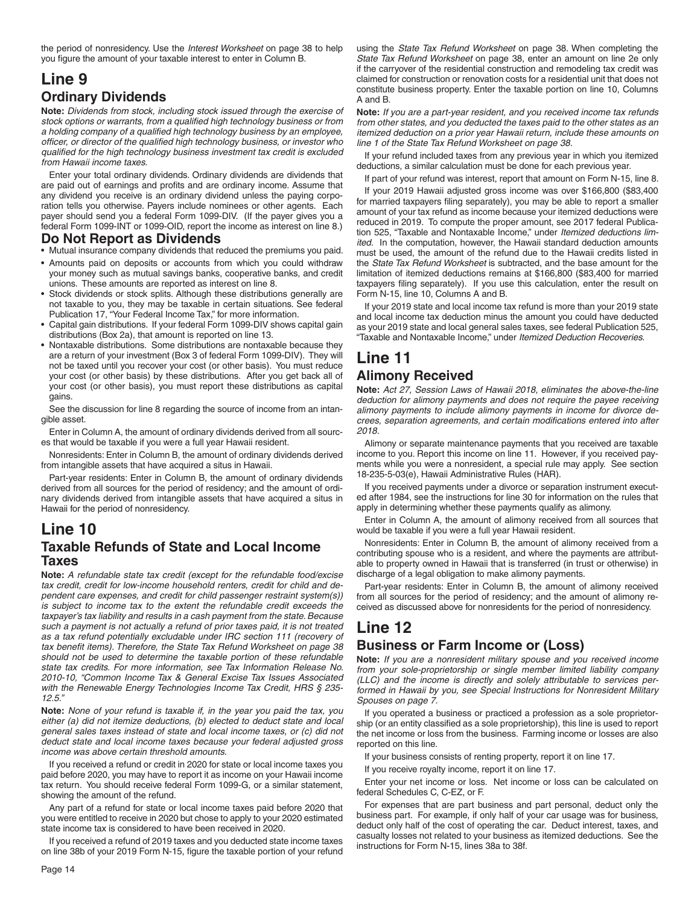the period of nonresidency. Use the *Interest Worksheet* on page 38 to help you figure the amount of your taxable interest to enter in Column B.

# **Line 9 Ordinary Dividends**

**Note:** *Dividends from stock, including stock issued through the exercise of*  stock options or warrants, from a qualified high technology business or from a holding company of a qualified high technology business by an employee, officer, or director of the qualified high technology business, or investor who *qualifi ed for the high technology business investment tax credit is excluded from Hawaii income taxes.*

Enter your total ordinary dividends. Ordinary dividends are dividends that are paid out of earnings and profits and are ordinary income. Assume that any dividend you receive is an ordinary dividend unless the paying corporation tells you otherwise. Payers include nominees or other agents. Each payer should send you a federal Form 1099-DIV. (If the payer gives you a federal Form 1099-INT or 1099-OID, report the income as interest on line 8.)

#### **Do Not Report as Dividends**

- Mutual insurance company dividends that reduced the premiums you paid.
- Amounts paid on deposits or accounts from which you could withdraw your money such as mutual savings banks, cooperative banks, and credit unions. These amounts are reported as interest on line 8.
- Stock dividends or stock splits. Although these distributions generally are not taxable to you, they may be taxable in certain situations. See federal Publication 17, "Your Federal Income Tax," for more information.
- Capital gain distributions. If your federal Form 1099-DIV shows capital gain distributions (Box 2a), that amount is reported on line 13.
- Nontaxable distributions. Some distributions are nontaxable because they are a return of your investment (Box 3 of federal Form 1099-DIV). They will not be taxed until you recover your cost (or other basis). You must reduce your cost (or other basis) by these distributions. After you get back all of your cost (or other basis), you must report these distributions as capital gains.

See the discussion for line 8 regarding the source of income from an intangible asset.

Enter in Column A, the amount of ordinary dividends derived from all sources that would be taxable if you were a full year Hawaii resident.

Nonresidents: Enter in Column B, the amount of ordinary dividends derived from intangible assets that have acquired a situs in Hawaii.

Part-year residents: Enter in Column B, the amount of ordinary dividends derived from all sources for the period of residency; and the amount of ordinary dividends derived from intangible assets that have acquired a situs in Hawaii for the period of nonresidency.

### **Line 10 Taxable Refunds of State and Local Income Taxes**

**Note:** *A refundable state tax credit (except for the refundable food/excise tax credit, credit for low-income household renters, credit for child and dependent care expenses, and credit for child passenger restraint system(s)) is subject to income tax to the extent the refundable credit exceeds the taxpayer's tax liability and results in a cash payment from the state. Because such a payment is not actually a refund of prior taxes paid, it is not treated as a tax refund potentially excludable under IRC section 111 (recovery of*  tax benefit items). Therefore, the State Tax Refund Worksheet on page 38 *should not be used to determine the taxable portion of these refundable state tax credits. For more information, see Tax Information Release No. 2010-10, "Common Income Tax & General Excise Tax Issues Associated with the Renewable Energy Technologies Income Tax Credit, HRS § 235- 12.5."*

**Note:** *None of your refund is taxable if, in the year you paid the tax, you either (a) did not itemize deductions, (b) elected to deduct state and local general sales taxes instead of state and local income taxes, or (c) did not deduct state and local income taxes because your federal adjusted gross income was above certain threshold amounts.*

If you received a refund or credit in 2020 for state or local income taxes you paid before 2020, you may have to report it as income on your Hawaii income tax return. You should receive federal Form 1099-G, or a similar statement, showing the amount of the refund.

Any part of a refund for state or local income taxes paid before 2020 that you were entitled to receive in 2020 but chose to apply to your 2020 estimated state income tax is considered to have been received in 2020.

If you received a refund of 2019 taxes and you deducted state income taxes on line 38b of your 2019 Form N-15, figure the taxable portion of your refund using the *State Tax Refund Worksheet* on page 38. When completing the *State Tax Refund Worksheet* on page 38, enter an amount on line 2e only if the carryover of the residential construction and remodeling tax credit was claimed for construction or renovation costs for a residential unit that does not constitute business property. Enter the taxable portion on line 10, Columns A and B.

**Note:** *If you are a part-year resident, and you received income tax refunds from other states, and you deducted the taxes paid to the other states as an itemized deduction on a prior year Hawaii return, include these amounts on line 1 of the State Tax Refund Worksheet on page 38.*

If your refund included taxes from any previous year in which you itemized deductions, a similar calculation must be done for each previous year.

If part of your refund was interest, report that amount on Form N-15, line 8.

If your 2019 Hawaii adjusted gross income was over \$166,800 (\$83,400 for married taxpayers filing separately), you may be able to report a smaller amount of your tax refund as income because your itemized deductions were reduced in 2019. To compute the proper amount, see 2017 federal Publication 525, "Taxable and Nontaxable Income," under *Itemized deductions limited.* In the computation, however, the Hawaii standard deduction amounts must be used, the amount of the refund due to the Hawaii credits listed in the *State Tax Refund Worksheet* is subtracted, and the base amount for the limitation of itemized deductions remains at \$166,800 (\$83,400 for married taxpayers filing separately). If you use this calculation, enter the result on Form N-15, line 10, Columns A and B.

If your 2019 state and local income tax refund is more than your 2019 state and local income tax deduction minus the amount you could have deducted as your 2019 state and local general sales taxes, see federal Publication 525, "Taxable and Nontaxable Income," under *Itemized Deduction Recoveries*.

# **Line 11 Alimony Received**

**Note:** *Act 27, Session Laws of Hawaii 2018, eliminates the above-the-line deduction for alimony payments and does not require the payee receiving alimony payments to include alimony payments in income for divorce decrees, separation agreements, and certain modifi cations entered into after 2018.*

Alimony or separate maintenance payments that you received are taxable income to you. Report this income on line 11. However, if you received payments while you were a nonresident, a special rule may apply. See section 18-235-5-03(e), Hawaii Administrative Rules (HAR).

If you received payments under a divorce or separation instrument executed after 1984, see the instructions for line 30 for information on the rules that apply in determining whether these payments qualify as alimony.

Enter in Column A, the amount of alimony received from all sources that would be taxable if you were a full year Hawaii resident.

Nonresidents: Enter in Column B, the amount of alimony received from a contributing spouse who is a resident, and where the payments are attributable to property owned in Hawaii that is transferred (in trust or otherwise) in discharge of a legal obligation to make alimony payments.

Part-year residents: Enter in Column B, the amount of alimony received from all sources for the period of residency; and the amount of alimony received as discussed above for nonresidents for the period of nonresidency.

# **Line 12**

### **Business or Farm Income or (Loss)**

**Note:** *If you are a nonresident military spouse and you received income from your sole-proprietorship or single member limited liability company (LLC) and the income is directly and solely attributable to services performed in Hawaii by you, see Special Instructions for Nonresident Military Spouses on page 7.*

If you operated a business or practiced a profession as a sole proprietorship (or an entity classified as a sole proprietorship), this line is used to report the net income or loss from the business. Farming income or losses are also reported on this line.

If your business consists of renting property, report it on line 17.

If you receive royalty income, report it on line 17.

Enter your net income or loss. Net income or loss can be calculated on federal Schedules C, C-EZ, or F.

For expenses that are part business and part personal, deduct only the business part. For example, if only half of your car usage was for business, deduct only half of the cost of operating the car. Deduct interest, taxes, and casualty losses not related to your business as itemized deductions. See the instructions for Form N-15, lines 38a to 38f.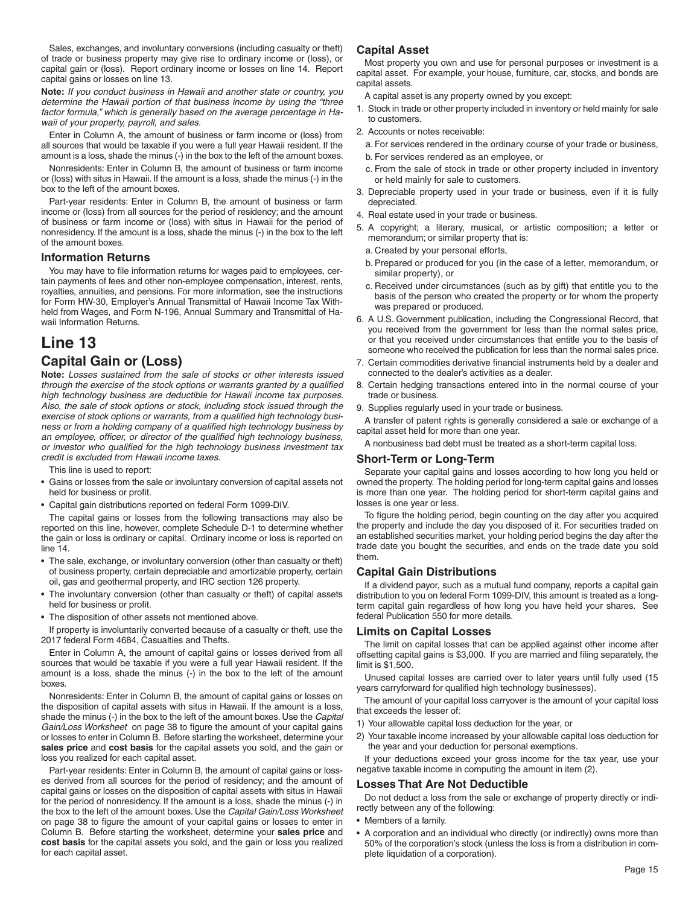Sales, exchanges, and involuntary conversions (including casualty or theft) of trade or business property may give rise to ordinary income or (loss), or capital gain or (loss). Report ordinary income or losses on line 14. Report capital gains or losses on line 13.

**Note:** *If you conduct business in Hawaii and another state or country, you determine the Hawaii portion of that business income by using the "three factor formula," which is generally based on the average percentage in Hawaii of your property, payroll, and sales.*

Enter in Column A, the amount of business or farm income or (loss) from all sources that would be taxable if you were a full year Hawaii resident. If the amount is a loss, shade the minus (-) in the box to the left of the amount boxes.

Nonresidents: Enter in Column B, the amount of business or farm income or (loss) with situs in Hawaii. If the amount is a loss, shade the minus (-) in the box to the left of the amount boxes.

Part-year residents: Enter in Column B, the amount of business or farm income or (loss) from all sources for the period of residency; and the amount of business or farm income or (loss) with situs in Hawaii for the period of nonresidency. If the amount is a loss, shade the minus (-) in the box to the left of the amount boxes.

#### **Information Returns**

You may have to file information returns for wages paid to employees, certain payments of fees and other non-employee compensation, interest, rents, royalties, annuities, and pensions. For more information, see the instructions for Form HW-30, Employer's Annual Transmittal of Hawaii Income Tax Withheld from Wages, and Form N-196, Annual Summary and Transmittal of Hawaii Information Returns.

### **Line 13 Capital Gain or (Loss)**

**Note:** *Losses sustained from the sale of stocks or other interests issued through the exercise of the stock options or warrants granted by a qualified high technology business are deductible for Hawaii income tax purposes. Also, the sale of stock options or stock, including stock issued through the*  exercise of stock options or warrants, from a qualified high technology busi*ness or from a holding company of a qualified high technology business by* an employee, officer, or director of the qualified high technology business, *or investor who qualified for the high technology business investment tax credit is excluded from Hawaii income taxes.*

This line is used to report:

- Gains or losses from the sale or involuntary conversion of capital assets not held for business or profit.
- Capital gain distributions reported on federal Form 1099-DIV.

The capital gains or losses from the following transactions may also be reported on this line, however, complete Schedule D-1 to determine whether the gain or loss is ordinary or capital. Ordinary income or loss is reported on line 14.

- The sale, exchange, or involuntary conversion (other than casualty or theft) of business property, certain depreciable and amortizable property, certain oil, gas and geothermal property, and IRC section 126 property.
- The involuntary conversion (other than casualty or theft) of capital assets held for business or profit.
- The disposition of other assets not mentioned above.

If property is involuntarily converted because of a casualty or theft, use the 2017 federal Form 4684, Casualties and Thefts.

Enter in Column A, the amount of capital gains or losses derived from all sources that would be taxable if you were a full year Hawaii resident. If the amount is a loss, shade the minus (-) in the box to the left of the amount boxes.

Nonresidents: Enter in Column B, the amount of capital gains or losses on the disposition of capital assets with situs in Hawaii. If the amount is a loss, shade the minus (-) in the box to the left of the amount boxes. Use the *Capital Gain/Loss Worksheet* on page 38 to figure the amount of your capital gains or losses to enter in Column B. Before starting the worksheet, determine your **sales price** and **cost basis** for the capital assets you sold, and the gain or loss you realized for each capital asset.

Part-year residents: Enter in Column B, the amount of capital gains or losses derived from all sources for the period of residency; and the amount of capital gains or losses on the disposition of capital assets with situs in Hawaii for the period of nonresidency. If the amount is a loss, shade the minus (-) in the box to the left of the amount boxes. Use the *Capital Gain/Loss Worksheet*  on page 38 to figure the amount of your capital gains or losses to enter in Column B. Before starting the worksheet, determine your **sales price** and **cost basis** for the capital assets you sold, and the gain or loss you realized for each capital asset.

#### **Capital Asset**

Most property you own and use for personal purposes or investment is a capital asset. For example, your house, furniture, car, stocks, and bonds are capital assets.

A capital asset is any property owned by you except:

- 1. Stock in trade or other property included in inventory or held mainly for sale to customers.
- 2. Accounts or notes receivable:
- a. For services rendered in the ordinary course of your trade or business,
- b. For services rendered as an employee, or
- c. From the sale of stock in trade or other property included in inventory or held mainly for sale to customers.
- 3. Depreciable property used in your trade or business, even if it is fully depreciated.
- 4. Real estate used in your trade or business.
- 5. A copyright; a literary, musical, or artistic composition; a letter or memorandum; or similar property that is:
- a. Created by your personal efforts,
- b. Prepared or produced for you (in the case of a letter, memorandum, or similar property), or
- c. Received under circumstances (such as by gift) that entitle you to the basis of the person who created the property or for whom the property was prepared or produced.
- 6. A U.S. Government publication, including the Congressional Record, that you received from the government for less than the normal sales price, or that you received under circumstances that entitle you to the basis of someone who received the publication for less than the normal sales price.
- 7. Certain commodities derivative financial instruments held by a dealer and connected to the dealer's activities as a dealer.
- 8. Certain hedging transactions entered into in the normal course of your trade or business.
- 9. Supplies regularly used in your trade or business.

A transfer of patent rights is generally considered a sale or exchange of a capital asset held for more than one year.

A nonbusiness bad debt must be treated as a short-term capital loss.

#### **Short-Term or Long-Term**

Separate your capital gains and losses according to how long you held or owned the property. The holding period for long-term capital gains and losses is more than one year. The holding period for short-term capital gains and losses is one year or less.

To figure the holding period, begin counting on the day after you acquired the property and include the day you disposed of it. For securities traded on an established securities market, your holding period begins the day after the trade date you bought the securities, and ends on the trade date you sold them.

#### **Capital Gain Distributions**

If a dividend payor, such as a mutual fund company, reports a capital gain distribution to you on federal Form 1099-DIV, this amount is treated as a longterm capital gain regardless of how long you have held your shares. See federal Publication 550 for more details.

#### **Limits on Capital Losses**

The limit on capital losses that can be applied against other income after offsetting capital gains is \$3,000. If you are married and filing separately, the limit is \$1,500.

Unused capital losses are carried over to later years until fully used (15 years carryforward for qualified high technology businesses).

The amount of your capital loss carryover is the amount of your capital loss that exceeds the lesser of:

- 1) Your allowable capital loss deduction for the year, or
- 2) Your taxable income increased by your allowable capital loss deduction for the year and your deduction for personal exemptions.

If your deductions exceed your gross income for the tax year, use your negative taxable income in computing the amount in item (2).

#### **Losses That Are Not Deductible**

Do not deduct a loss from the sale or exchange of property directly or indirectly between any of the following:

- Members of a family.
- A corporation and an individual who directly (or indirectly) owns more than 50% of the corporation's stock (unless the loss is from a distribution in complete liquidation of a corporation).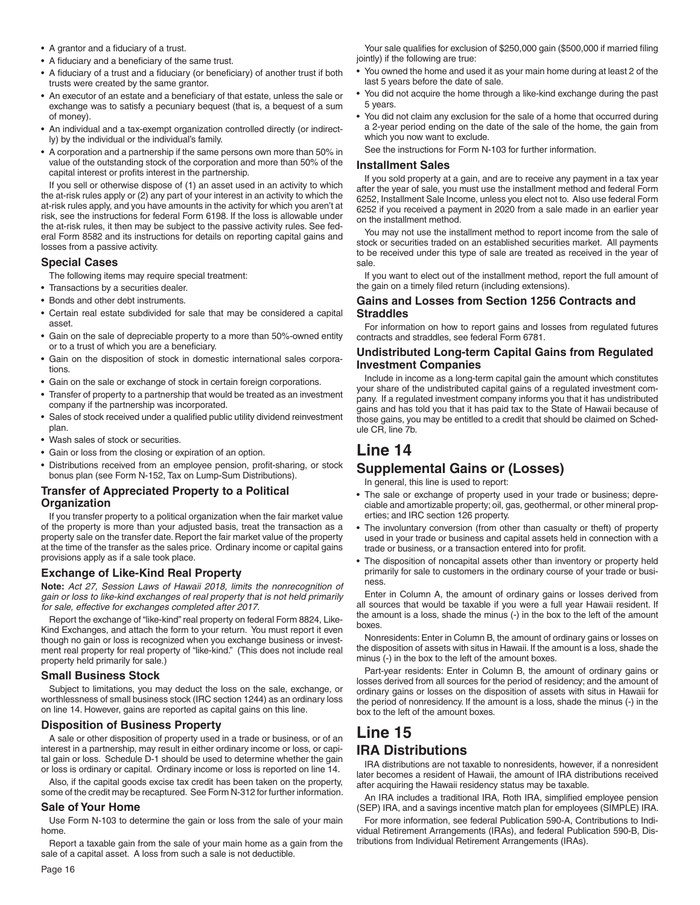- A grantor and a fiduciary of a trust.
- A fiduciary and a beneficiary of the same trust.
- A fiduciary of a trust and a fiduciary (or beneficiary) of another trust if both trusts were created by the same grantor.
- An executor of an estate and a beneficiary of that estate, unless the sale or exchange was to satisfy a pecuniary bequest (that is, a bequest of a sum of money).
- An individual and a tax-exempt organization controlled directly (or indirectly) by the individual or the individual's family.
- A corporation and a partnership if the same persons own more than 50% in value of the outstanding stock of the corporation and more than 50% of the capital interest or profits interest in the partnership.

If you sell or otherwise dispose of (1) an asset used in an activity to which the at-risk rules apply or (2) any part of your interest in an activity to which the at-risk rules apply, and you have amounts in the activity for which you aren't at risk, see the instructions for federal Form 6198. If the loss is allowable under the at-risk rules, it then may be subject to the passive activity rules. See federal Form 8582 and its instructions for details on reporting capital gains and losses from a passive activity.

#### **Special Cases**

The following items may require special treatment:

- Transactions by a securities dealer.
- Bonds and other debt instruments.
- Certain real estate subdivided for sale that may be considered a capital asset.
- Gain on the sale of depreciable property to a more than 50%-owned entity or to a trust of which you are a beneficiary.
- Gain on the disposition of stock in domestic international sales corporations.
- Gain on the sale or exchange of stock in certain foreign corporations.
- Transfer of property to a partnership that would be treated as an investment company if the partnership was incorporated.
- Sales of stock received under a qualified public utility dividend reinvestment plan.
- Wash sales of stock or securities.
- Gain or loss from the closing or expiration of an option.
- Distributions received from an employee pension, profit-sharing, or stock bonus plan (see Form N-152, Tax on Lump-Sum Distributions).

#### **Transfer of Appreciated Property to a Political Organization**

If you transfer property to a political organization when the fair market value of the property is more than your adjusted basis, treat the transaction as a property sale on the transfer date. Report the fair market value of the property at the time of the transfer as the sales price. Ordinary income or capital gains provisions apply as if a sale took place.

#### **Exchange of Like-Kind Real Property**

**Note:** *Act 27, Session Laws of Hawaii 2018, limits the nonrecognition of gain or loss to like-kind exchanges of real property that is not held primarily for sale, effective for exchanges completed after 2017.*

Report the exchange of "like-kind" real property on federal Form 8824, Like-Kind Exchanges, and attach the form to your return. You must report it even though no gain or loss is recognized when you exchange business or investment real property for real property of "like-kind." (This does not include real property held primarily for sale.)

#### **Small Business Stock**

Subject to limitations, you may deduct the loss on the sale, exchange, or worthlessness of small business stock (IRC section 1244) as an ordinary loss on line 14. However, gains are reported as capital gains on this line.

#### **Disposition of Business Property**

A sale or other disposition of property used in a trade or business, or of an interest in a partnership, may result in either ordinary income or loss, or capital gain or loss. Schedule D-1 should be used to determine whether the gain or loss is ordinary or capital. Ordinary income or loss is reported on line 14.

Also, if the capital goods excise tax credit has been taken on the property, some of the credit may be recaptured. See Form N-312 for further information.

#### **Sale of Your Home**

Use Form N-103 to determine the gain or loss from the sale of your main home.

Report a taxable gain from the sale of your main home as a gain from the sale of a capital asset. A loss from such a sale is not deductible.

Your sale qualifies for exclusion of \$250,000 gain (\$500,000 if married filing jointly) if the following are true:

- You owned the home and used it as your main home during at least 2 of the last 5 years before the date of sale.
- You did not acquire the home through a like-kind exchange during the past 5 years.
- You did not claim any exclusion for the sale of a home that occurred during a 2-year period ending on the date of the sale of the home, the gain from which you now want to exclude.

See the instructions for Form N-103 for further information.

#### **Installment Sales**

If you sold property at a gain, and are to receive any payment in a tax year after the year of sale, you must use the installment method and federal Form 6252, Installment Sale Income, unless you elect not to. Also use federal Form 6252 if you received a payment in 2020 from a sale made in an earlier year on the installment method.

You may not use the installment method to report income from the sale of stock or securities traded on an established securities market. All payments to be received under this type of sale are treated as received in the year of sale.

If you want to elect out of the installment method, report the full amount of the gain on a timely filed return (including extensions).

#### **Gains and Losses from Section 1256 Contracts and Straddles**

For information on how to report gains and losses from regulated futures contracts and straddles, see federal Form 6781.

#### **Undistributed Long-term Capital Gains from Regulated Investment Companies**

Include in income as a long-term capital gain the amount which constitutes your share of the undistributed capital gains of a regulated investment company. If a regulated investment company informs you that it has undistributed gains and has told you that it has paid tax to the State of Hawaii because of those gains, you may be entitled to a credit that should be claimed on Schedule CR, line 7b.

# **Line 14**

#### **Supplemental Gains or (Losses)**

In general, this line is used to report:

- The sale or exchange of property used in your trade or business; depreciable and amortizable property; oil, gas, geothermal, or other mineral properties; and IRC section 126 property.
- The involuntary conversion (from other than casualty or theft) of property used in your trade or business and capital assets held in connection with a trade or business, or a transaction entered into for profit.
- The disposition of noncapital assets other than inventory or property held primarily for sale to customers in the ordinary course of your trade or business.

Enter in Column A, the amount of ordinary gains or losses derived from all sources that would be taxable if you were a full year Hawaii resident. If the amount is a loss, shade the minus (-) in the box to the left of the amount boxes.

Nonresidents: Enter in Column B, the amount of ordinary gains or losses on the disposition of assets with situs in Hawaii. If the amount is a loss, shade the minus (-) in the box to the left of the amount boxes.

Part-year residents: Enter in Column B, the amount of ordinary gains or losses derived from all sources for the period of residency; and the amount of ordinary gains or losses on the disposition of assets with situs in Hawaii for the period of nonresidency. If the amount is a loss, shade the minus (-) in the box to the left of the amount boxes.

### **Line 15 IRA Distributions**

IRA distributions are not taxable to nonresidents, however, if a nonresident later becomes a resident of Hawaii, the amount of IRA distributions received after acquiring the Hawaii residency status may be taxable.

An IRA includes a traditional IRA, Roth IRA, simplified employee pension (SEP) IRA, and a savings incentive match plan for employees (SIMPLE) IRA.

For more information, see federal Publication 590-A, Contributions to Individual Retirement Arrangements (IRAs), and federal Publication 590-B, Distributions from Individual Retirement Arrangements (IRAs).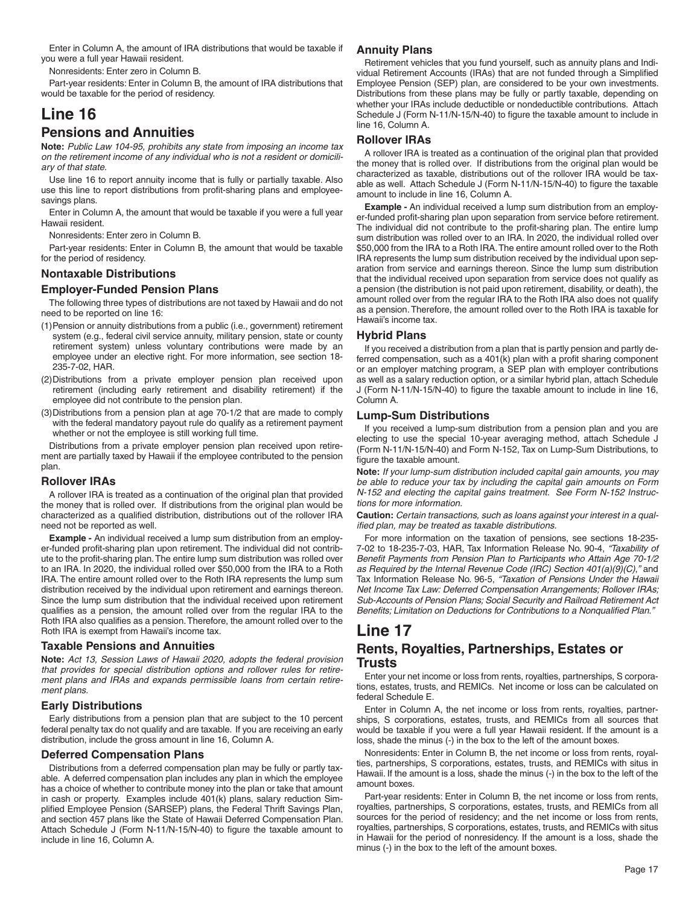Enter in Column A, the amount of IRA distributions that would be taxable if you were a full year Hawaii resident.

Nonresidents: Enter zero in Column B.

Part-year residents: Enter in Column B, the amount of IRA distributions that would be taxable for the period of residency.

# **Line 16**

### **Pensions and Annuities**

**Note:** *Public Law 104-95, prohibits any state from imposing an income tax on the retirement income of any individual who is not a resident or domiciliary of that state.*

Use line 16 to report annuity income that is fully or partially taxable. Also use this line to report distributions from profit-sharing plans and employeesavings plans.

Enter in Column A, the amount that would be taxable if you were a full year Hawaii resident.

Nonresidents: Enter zero in Column B.

Part-year residents: Enter in Column B, the amount that would be taxable for the period of residency.

#### **Nontaxable Distributions**

#### **Employer-Funded Pension Plans**

The following three types of distributions are not taxed by Hawaii and do not need to be reported on line 16:

- (1) Pension or annuity distributions from a public (i.e., government) retirement system (e.g., federal civil service annuity, military pension, state or county retirement system) unless voluntary contributions were made by an employee under an elective right. For more information, see section 18- 235-7-02, HAR.
- (2) Distributions from a private employer pension plan received upon retirement (including early retirement and disability retirement) if the employee did not contribute to the pension plan.
- (3) Distributions from a pension plan at age 70-1/2 that are made to comply with the federal mandatory payout rule do qualify as a retirement payment whether or not the employee is still working full time.

Distributions from a private employer pension plan received upon retirement are partially taxed by Hawaii if the employee contributed to the pension plan.

#### **Rollover IRAs**

A rollover IRA is treated as a continuation of the original plan that provided the money that is rolled over. If distributions from the original plan would be characterized as a qualified distribution, distributions out of the rollover IRA need not be reported as well.

**Example -** An individual received a lump sum distribution from an employer-funded profit-sharing plan upon retirement. The individual did not contribute to the profit-sharing plan. The entire lump sum distribution was rolled over to an IRA. In 2020, the individual rolled over \$50,000 from the IRA to a Roth IRA. The entire amount rolled over to the Roth IRA represents the lump sum distribution received by the individual upon retirement and earnings thereon. Since the lump sum distribution that the individual received upon retirement qualifies as a pension, the amount rolled over from the regular IRA to the Roth IRA also qualifies as a pension. Therefore, the amount rolled over to the Roth IRA is exempt from Hawaii's income tax.

#### **Taxable Pensions and Annuities**

**Note:** *Act 13, Session Laws of Hawaii 2020, adopts the federal provision that provides for special distribution options and rollover rules for retirement plans and IRAs and expands permissible loans from certain retirement plans.*

#### **Early Distributions**

Early distributions from a pension plan that are subject to the 10 percent federal penalty tax do not qualify and are taxable. If you are receiving an early distribution, include the gross amount in line 16, Column A.

#### **Deferred Compensation Plans**

Distributions from a deferred compensation plan may be fully or partly taxable. A deferred compensation plan includes any plan in which the employee has a choice of whether to contribute money into the plan or take that amount in cash or property. Examples include 401(k) plans, salary reduction Simplified Employee Pension (SARSEP) plans, the Federal Thrift Savings Plan, and section 457 plans like the State of Hawaii Deferred Compensation Plan. Attach Schedule J (Form N-11/N-15/N-40) to figure the taxable amount to include in line 16, Column A.

#### **Annuity Plans**

Retirement vehicles that you fund yourself, such as annuity plans and Individual Retirement Accounts (IRAs) that are not funded through a Simplified Employee Pension (SEP) plan, are considered to be your own investments. Distributions from these plans may be fully or partly taxable, depending on whether your IRAs include deductible or nondeductible contributions. Attach Schedule J (Form N-11/N-15/N-40) to figure the taxable amount to include in line 16, Column A.

#### **Rollover IRAs**

A rollover IRA is treated as a continuation of the original plan that provided the money that is rolled over. If distributions from the original plan would be characterized as taxable, distributions out of the rollover IRA would be taxable as well. Attach Schedule J (Form N-11/N-15/N-40) to figure the taxable amount to include in line 16, Column A.

**Example -** An individual received a lump sum distribution from an employer-funded profit-sharing plan upon separation from service before retirement. The individual did not contribute to the profit-sharing plan. The entire lump sum distribution was rolled over to an IRA. In 2020, the individual rolled over \$50,000 from the IRA to a Roth IRA. The entire amount rolled over to the Roth IRA represents the lump sum distribution received by the individual upon separation from service and earnings thereon. Since the lump sum distribution that the individual received upon separation from service does not qualify as a pension (the distribution is not paid upon retirement, disability, or death), the amount rolled over from the regular IRA to the Roth IRA also does not qualify as a pension. Therefore, the amount rolled over to the Roth IRA is taxable for Hawaii's income tax.

#### **Hybrid Plans**

If you received a distribution from a plan that is partly pension and partly deferred compensation, such as a  $401(k)$  plan with a profit sharing component or an employer matching program, a SEP plan with employer contributions as well as a salary reduction option, or a similar hybrid plan, attach Schedule J (Form N-11/N-15/N-40) to figure the taxable amount to include in line 16, Column A.

#### **Lump-Sum Distributions**

If you received a lump-sum distribution from a pension plan and you are electing to use the special 10-year averaging method, attach Schedule J (Form N-11/N-15/N-40) and Form N-152, Tax on Lump-Sum Distributions, to figure the taxable amount.

**Note:** *If your lump-sum distribution included capital gain amounts, you may be able to reduce your tax by including the capital gain amounts on Form N-152 and electing the capital gains treatment. See Form N-152 Instructions for more information.*

**Caution:** *Certain transactions, such as loans against your interest in a qualified plan, may be treated as taxable distributions.* 

For more information on the taxation of pensions, see sections 18-235- 7-02 to 18-235-7-03, HAR, Tax Information Release No. 90-4, *"Taxability of*  Benefit Payments from Pension Plan to Participants who Attain Age 70-1/2 *as Required by the Internal Revenue Code (IRC) Section 401(a)(9)(C)*,*"* and Tax Information Release No. 96-5, *"Taxation of Pensions Under the Hawaii Net Income Tax Law: Deferred Compensation Arrangements; Rollover IRAs; Sub-Accounts of Pension Plans; Social Security and Railroad Retirement Act*  Benefits; Limitation on Deductions for Contributions to a Nonqualified Plan."

# **Line 17**

#### **Rents, Royalties, Partnerships, Estates or Trusts**

Enter your net income or loss from rents, royalties, partnerships, S corporations, estates, trusts, and REMICs. Net income or loss can be calculated on federal Schedule E.

Enter in Column A, the net income or loss from rents, royalties, partnerships, S corporations, estates, trusts, and REMICs from all sources that would be taxable if you were a full year Hawaii resident. If the amount is a loss, shade the minus (-) in the box to the left of the amount boxes.

Nonresidents: Enter in Column B, the net income or loss from rents, royalties, partnerships, S corporations, estates, trusts, and REMICs with situs in Hawaii. If the amount is a loss, shade the minus (-) in the box to the left of the amount boxes.

Part-year residents: Enter in Column B, the net income or loss from rents, royalties, partnerships, S corporations, estates, trusts, and REMICs from all sources for the period of residency; and the net income or loss from rents, royalties, partnerships, S corporations, estates, trusts, and REMICs with situs in Hawaii for the period of nonresidency. If the amount is a loss, shade the minus (-) in the box to the left of the amount boxes.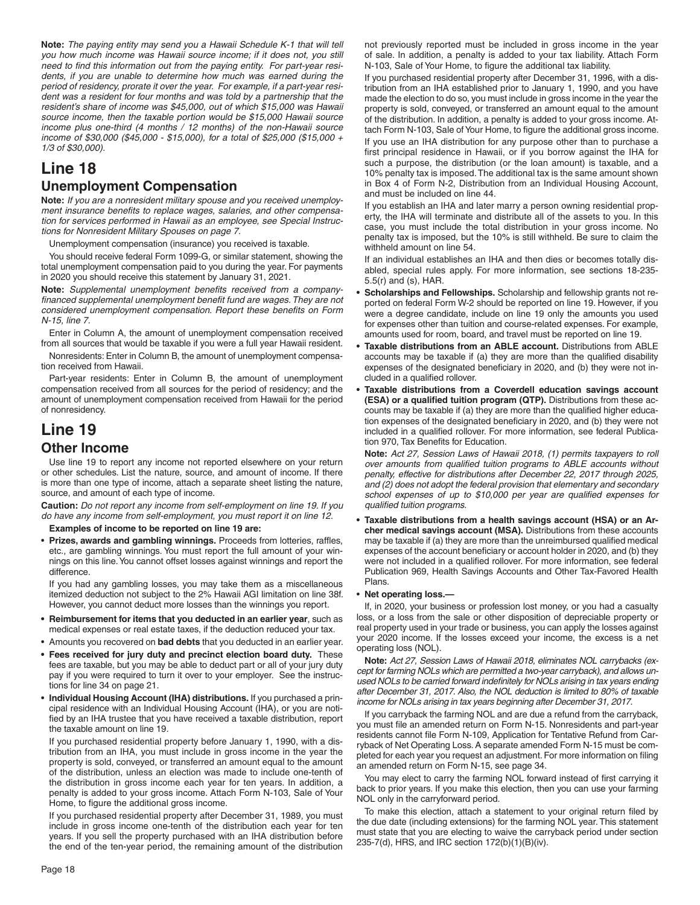**Note:** *The paying entity may send you a Hawaii Schedule K-1 that will tell you how much income was Hawaii source income; if it does not, you still*  need to find this information out from the paying entity. For part-year resi*dents, if you are unable to determine how much was earned during the period of residency, prorate it over the year. For example, if a part-year resident was a resident for four months and was told by a partnership that the resident's share of income was \$45,000, out of which \$15,000 was Hawaii source income, then the taxable portion would be \$15,000 Hawaii source income plus one-third (4 months / 12 months) of the non-Hawaii source income of \$30,000 (\$45,000 - \$15,000), for a total of \$25,000 (\$15,000 + 1/3 of \$30,000).*

# **Line 18 Unemployment Compensation**

**Note:** *If you are a nonresident military spouse and you received unemploy*ment insurance benefits to replace wages, salaries, and other compensa*tion for services performed in Hawaii as an employee, see Special Instructions for Nonresident Military Spouses on page 7.*

Unemployment compensation (insurance) you received is taxable.

You should receive federal Form 1099-G, or similar statement, showing the total unemployment compensation paid to you during the year. For payments in 2020 you should receive this statement by January 31, 2021.

Note: Supplemental unemployment benefits received from a companyfinanced supplemental unemployment benefit fund are wages. They are not *considered unemployment compensation. Report these benefits on Form N-15, line 7.*

Enter in Column A, the amount of unemployment compensation received from all sources that would be taxable if you were a full year Hawaii resident.

Nonresidents: Enter in Column B, the amount of unemployment compensation received from Hawaii.

Part-year residents: Enter in Column B, the amount of unemployment compensation received from all sources for the period of residency; and the amount of unemployment compensation received from Hawaii for the period of nonresidency.

# **Line 19 Other Income**

Use line 19 to report any income not reported elsewhere on your return or other schedules. List the nature, source, and amount of income. If there is more than one type of income, attach a separate sheet listing the nature, source, and amount of each type of income.

**Caution:** *Do not report any income from self-employment on line 19. If you do have any income from self-employment, you must report it on line 12.*

**Examples of income to be reported on line 19 are:**

• Prizes, awards and gambling winnings. Proceeds from lotteries, raffles, etc., are gambling winnings. You must report the full amount of your winnings on this line. You cannot offset losses against winnings and report the difference.

If you had any gambling losses, you may take them as a miscellaneous itemized deduction not subject to the 2% Hawaii AGI limitation on line 38f. However, you cannot deduct more losses than the winnings you report.

- **Reimbursement for items that you deducted in an earlier year**, such as medical expenses or real estate taxes, if the deduction reduced your tax.
- Amounts you recovered on **bad debts** that you deducted in an earlier year.
- **Fees received for jury duty and precinct election board duty.** These fees are taxable, but you may be able to deduct part or all of your jury duty pay if you were required to turn it over to your employer. See the instructions for line 34 on page 21.
- **Individual Housing Account (IHA) distributions.** If you purchased a principal residence with an Individual Housing Account (IHA), or you are notified by an IHA trustee that you have received a taxable distribution, report the taxable amount on line 19.

If you purchased residential property before January 1, 1990, with a distribution from an IHA, you must include in gross income in the year the property is sold, conveyed, or transferred an amount equal to the amount of the distribution, unless an election was made to include one-tenth of the distribution in gross income each year for ten years. In addition, a penalty is added to your gross income. Attach Form N-103, Sale of Your Home, to figure the additional gross income.

If you purchased residential property after December 31, 1989, you must include in gross income one-tenth of the distribution each year for ten years. If you sell the property purchased with an IHA distribution before the end of the ten-year period, the remaining amount of the distribution

not previously reported must be included in gross income in the year of sale. In addition, a penalty is added to your tax liability. Attach Form N-103, Sale of Your Home, to figure the additional tax liability.

If you purchased residential property after December 31, 1996, with a distribution from an IHA established prior to January 1, 1990, and you have made the election to do so, you must include in gross income in the year the property is sold, conveyed, or transferred an amount equal to the amount of the distribution. In addition, a penalty is added to your gross income. Attach Form N-103, Sale of Your Home, to figure the additional gross income.

If you use an IHA distribution for any purpose other than to purchase a first principal residence in Hawaii, or if you borrow against the IHA for such a purpose, the distribution (or the loan amount) is taxable, and a 10% penalty tax is imposed. The additional tax is the same amount shown in Box 4 of Form N-2, Distribution from an Individual Housing Account, and must be included on line 44.

If you establish an IHA and later marry a person owning residential property, the IHA will terminate and distribute all of the assets to you. In this case, you must include the total distribution in your gross income. No penalty tax is imposed, but the 10% is still withheld. Be sure to claim the withheld amount on line 54.

If an individual establishes an IHA and then dies or becomes totally disabled, special rules apply. For more information, see sections 18-235- 5.5(r) and (s), HAR.

- **Scholarships and Fellowships.** Scholarship and fellowship grants not reported on federal Form W-2 should be reported on line 19. However, if you were a degree candidate, include on line 19 only the amounts you used for expenses other than tuition and course-related expenses. For example, amounts used for room, board, and travel must be reported on line 19.
- **Taxable distributions from an ABLE account.** Distributions from ABLE accounts may be taxable if (a) they are more than the qualified disability expenses of the designated beneficiary in 2020, and (b) they were not included in a qualified rollover.
- **Taxable distributions from a Coverdell education savings account (ESA) or a qualified tuition program (QTP).** Distributions from these accounts may be taxable if (a) they are more than the qualified higher education expenses of the designated beneficiary in 2020, and (b) they were not included in a qualified rollover. For more information, see federal Publication 970, Tax Benefits for Education.

**Note:** *Act 27, Session Laws of Hawaii 2018, (1) permits taxpayers to roll over amounts from qualified tuition programs to ABLE accounts without penalty, effective for distributions after December 22, 2017 through 2025, and (2) does not adopt the federal provision that elementary and secondary*  school expenses of up to \$10,000 per year are qualified expenses for *qualified tuition programs.* 

**• Taxable distributions from a health savings account (HSA) or an Archer medical savings account (MSA).** Distributions from these accounts may be taxable if (a) they are more than the unreimbursed qualified medical expenses of the account beneficiary or account holder in 2020, and (b) they were not included in a qualified rollover. For more information, see federal Publication 969, Health Savings Accounts and Other Tax-Favored Health Plans.

#### • **Net operating loss.—**

If, in 2020, your business or profession lost money, or you had a casualty loss, or a loss from the sale or other disposition of depreciable property or real property used in your trade or business, you can apply the losses against your 2020 income. If the losses exceed your income, the excess is a net operating loss (NOL).

**Note:** *Act 27, Session Laws of Hawaii 2018, eliminates NOL carrybacks (except for farming NOLs which are permitted a two-year carryback), and allows un*used NOLs to be carried forward indefinitely for NOLs arising in tax years ending *after December 31, 2017. Also, the NOL deduction is limited to 80% of taxable income for NOLs arising in tax years beginning after December 31, 2017.*

If you carryback the farming NOL and are due a refund from the carryback, you must file an amended return on Form N-15. Nonresidents and part-year residents cannot file Form N-109, Application for Tentative Refund from Carryback of Net Operating Loss. A separate amended Form N-15 must be completed for each year you request an adjustment. For more information on filing an amended return on Form N-15, see page 34.

You may elect to carry the farming NOL forward instead of first carrying it back to prior years. If you make this election, then you can use your farming NOL only in the carryforward period.

To make this election, attach a statement to your original return filed by the due date (including extensions) for the farming NOL year. This statement must state that you are electing to waive the carryback period under section 235-7(d), HRS, and IRC section 172(b)(1)(B)(iv).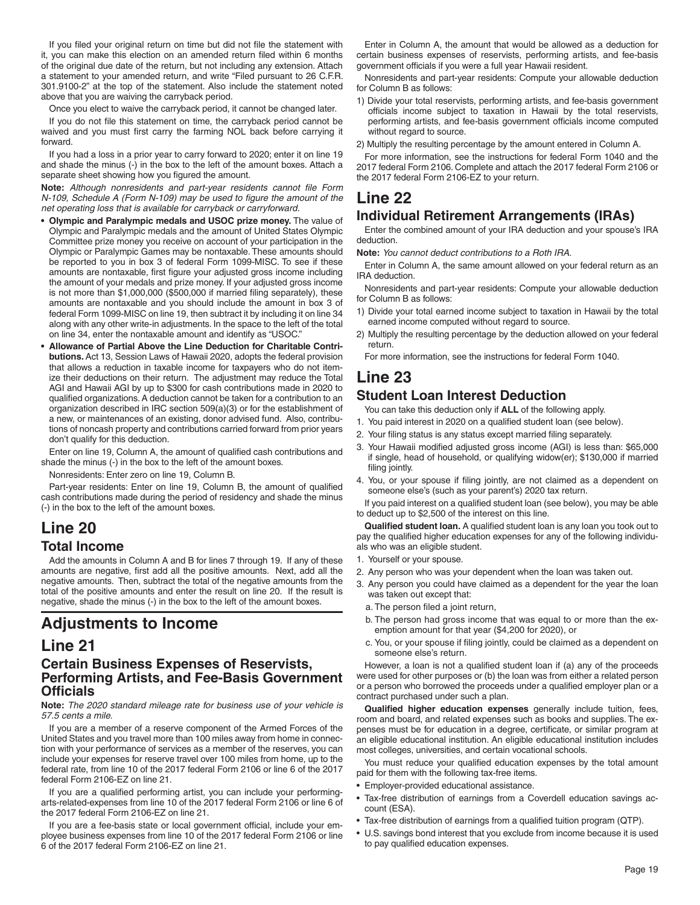If you filed your original return on time but did not file the statement with it, you can make this election on an amended return filed within 6 months of the original due date of the return, but not including any extension. Attach a statement to your amended return, and write "Filed pursuant to 26 C.F.R. 301.9100-2" at the top of the statement. Also include the statement noted above that you are waiving the carryback period.

Once you elect to waive the carryback period, it cannot be changed later.

If you do not file this statement on time, the carryback period cannot be waived and you must first carry the farming NOL back before carrying it forward.

If you had a loss in a prior year to carry forward to 2020; enter it on line 19 and shade the minus (-) in the box to the left of the amount boxes. Attach a separate sheet showing how you figured the amount.

Note: Although nonresidents and part-year residents cannot file Form *N-109, Schedule A (Form N-109) may be used to figure the amount of the net operating loss that is available for carryback or carryforward.*

- **Olympic and Paralympic medals and USOC prize money.** The value of Olympic and Paralympic medals and the amount of United States Olympic Committee prize money you receive on account of your participation in the Olympic or Paralympic Games may be nontaxable. These amounts should be reported to you in box 3 of federal Form 1099-MISC. To see if these amounts are nontaxable, first figure your adjusted gross income including the amount of your medals and prize money. If your adjusted gross income is not more than \$1,000,000 (\$500,000 if married filing separately), these amounts are nontaxable and you should include the amount in box 3 of federal Form 1099-MISC on line 19, then subtract it by including it on line 34 along with any other write-in adjustments. In the space to the left of the total on line 34, enter the nontaxable amount and identify as "USOC."
- **Allowance of Partial Above the Line Deduction for Charitable Contributions.** Act 13, Session Laws of Hawaii 2020, adopts the federal provision that allows a reduction in taxable income for taxpayers who do not itemize their deductions on their return. The adjustment may reduce the Total AGI and Hawaii AGI by up to \$300 for cash contributions made in 2020 to qualified organizations. A deduction cannot be taken for a contribution to an organization described in IRC section 509(a)(3) or for the establishment of a new, or maintenances of an existing, donor advised fund. Also, contributions of noncash property and contributions carried forward from prior years don't qualify for this deduction.

Enter on line 19, Column A, the amount of qualified cash contributions and shade the minus (-) in the box to the left of the amount boxes.

Nonresidents: Enter zero on line 19, Column B.

Part-year residents: Enter on line 19, Column B, the amount of qualified cash contributions made during the period of residency and shade the minus (-) in the box to the left of the amount boxes.

### **Line 20 Total Income**

Add the amounts in Column A and B for lines 7 through 19. If any of these amounts are negative, first add all the positive amounts. Next, add all the negative amounts. Then, subtract the total of the negative amounts from the total of the positive amounts and enter the result on line 20. If the result is negative, shade the minus (-) in the box to the left of the amount boxes.

# **Adjustments to Income**

### **Line 21**

#### **Certain Business Expenses of Reservists, Performing Artists, and Fee-Basis Government Offi cials**

**Note:** *The 2020 standard mileage rate for business use of your vehicle is 57.5 cents a mile.*

If you are a member of a reserve component of the Armed Forces of the United States and you travel more than 100 miles away from home in connection with your performance of services as a member of the reserves, you can include your expenses for reserve travel over 100 miles from home, up to the federal rate, from line 10 of the 2017 federal Form 2106 or line 6 of the 2017 federal Form 2106-EZ on line 21.

If you are a qualified performing artist, you can include your performingarts-related-expenses from line 10 of the 2017 federal Form 2106 or line 6 of the 2017 federal Form 2106-EZ on line 21.

If you are a fee-basis state or local government official, include your employee business expenses from line 10 of the 2017 federal Form 2106 or line 6 of the 2017 federal Form 2106-EZ on line 21.

Enter in Column A, the amount that would be allowed as a deduction for certain business expenses of reservists, performing artists, and fee-basis government officials if you were a full year Hawaii resident.

Nonresidents and part-year residents: Compute your allowable deduction for Column B as follows:

- 1) Divide your total reservists, performing artists, and fee-basis government officials income subject to taxation in Hawaii by the total reservists, performing artists, and fee-basis government officials income computed without regard to source.
- 2) Multiply the resulting percentage by the amount entered in Column A.

For more information, see the instructions for federal Form 1040 and the 2017 federal Form 2106. Complete and attach the 2017 federal Form 2106 or the 2017 federal Form 2106-EZ to your return.

# **Line 22**

### **Individual Retirement Arrangements (IRAs)**

Enter the combined amount of your IRA deduction and your spouse's IRA deduction.

**Note:** *You cannot deduct contributions to a Roth IRA*.

Enter in Column A, the same amount allowed on your federal return as an IRA deduction.

Nonresidents and part-year residents: Compute your allowable deduction for Column B as follows:

- 1) Divide your total earned income subject to taxation in Hawaii by the total earned income computed without regard to source.
- 2) Multiply the resulting percentage by the deduction allowed on your federal return.

For more information, see the instructions for federal Form 1040.

## **Line 23**

#### **Student Loan Interest Deduction**

You can take this deduction only if **ALL** of the following apply.

- 1. You paid interest in 2020 on a qualified student loan (see below).
- 2. Your filing status is any status except married filing separately.
- 3. Your Hawaii modified adjusted gross income (AGI) is less than: \$65,000 if single, head of household, or qualifying widow(er); \$130,000 if married filing jointly.
- 4. You, or your spouse if filing jointly, are not claimed as a dependent on someone else's (such as your parent's) 2020 tax return.

If you paid interest on a qualified student loan (see below), you may be able to deduct up to \$2,500 of the interest on this line.

**Qualified student loan.** A qualified student loan is any loan you took out to pay the qualified higher education expenses for any of the following individuals who was an eligible student.

- 1. Yourself or your spouse.
- 2. Any person who was your dependent when the loan was taken out.
- 3. Any person you could have claimed as a dependent for the year the loan was taken out except that:
- a. The person filed a joint return,
- b. The person had gross income that was equal to or more than the exemption amount for that year (\$4,200 for 2020), or
- c. You, or your spouse if filing jointly, could be claimed as a dependent on someone else's return.

However, a loan is not a qualified student loan if (a) any of the proceeds were used for other purposes or (b) the loan was from either a related person or a person who borrowed the proceeds under a qualified employer plan or a contract purchased under such a plan.

**Qualified higher education expenses** generally include tuition, fees, room and board, and related expenses such as books and supplies. The expenses must be for education in a degree, certificate, or similar program at an eligible educational institution. An eligible educational institution includes most colleges, universities, and certain vocational schools.

You must reduce your qualified education expenses by the total amount paid for them with the following tax-free items.

- Employer-provided educational assistance.
- Tax-free distribution of earnings from a Coverdell education savings account (ESA).
- Tax-free distribution of earnings from a qualified tuition program (QTP).
- U.S. savings bond interest that you exclude from income because it is used to pay qualified education expenses.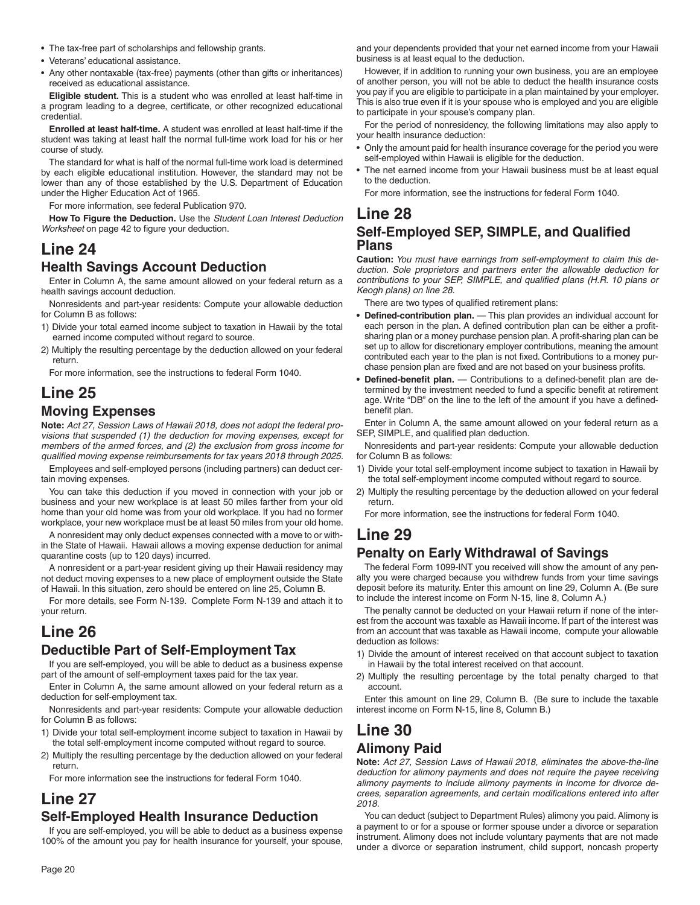- The tax-free part of scholarships and fellowship grants.
- Veterans' educational assistance.
- Any other nontaxable (tax-free) payments (other than gifts or inheritances) received as educational assistance.

**Eligible student.** This is a student who was enrolled at least half-time in a program leading to a degree, certificate, or other recognized educational credential.

**Enrolled at least half-time.** A student was enrolled at least half-time if the student was taking at least half the normal full-time work load for his or her course of study.

The standard for what is half of the normal full-time work load is determined by each eligible educational institution. However, the standard may not be lower than any of those established by the U.S. Department of Education under the Higher Education Act of 1965.

For more information, see federal Publication 970.

**How To Figure the Deduction.** Use the *Student Loan Interest Deduction Worksheet* on page 42 to figure your deduction.

# **Line 24**

### **Health Savings Account Deduction**

Enter in Column A, the same amount allowed on your federal return as a health savings account deduction.

Nonresidents and part-year residents: Compute your allowable deduction for Column B as follows:

- 1) Divide your total earned income subject to taxation in Hawaii by the total earned income computed without regard to source.
- 2) Multiply the resulting percentage by the deduction allowed on your federal return.

For more information, see the instructions to federal Form 1040.

### **Line 25 Moving Expenses**

**Note:** *Act 27, Session Laws of Hawaii 2018, does not adopt the federal provisions that suspended (1) the deduction for moving expenses, except for members of the armed forces, and (2) the exclusion from gross income for qualifi ed moving expense reimbursements for tax years 2018 through 2025.*

Employees and self-employed persons (including partners) can deduct certain moving expenses.

You can take this deduction if you moved in connection with your job or business and your new workplace is at least 50 miles farther from your old home than your old home was from your old workplace. If you had no former workplace, your new workplace must be at least 50 miles from your old home.

A nonresident may only deduct expenses connected with a move to or within the State of Hawaii. Hawaii allows a moving expense deduction for animal quarantine costs (up to 120 days) incurred.

A nonresident or a part-year resident giving up their Hawaii residency may not deduct moving expenses to a new place of employment outside the State of Hawaii. In this situation, zero should be entered on line 25, Column B.

For more details, see Form N-139. Complete Form N-139 and attach it to your return.

### **Line 26 Deductible Part of Self-Employment Tax**

If you are self-employed, you will be able to deduct as a business expense part of the amount of self-employment taxes paid for the tax year.

Enter in Column A, the same amount allowed on your federal return as a deduction for self-employment tax.

Nonresidents and part-year residents: Compute your allowable deduction for Column B as follows:

- 1) Divide your total self-employment income subject to taxation in Hawaii by the total self-employment income computed without regard to source.
- 2) Multiply the resulting percentage by the deduction allowed on your federal return.

For more information see the instructions for federal Form 1040.

### **Line 27 Self-Employed Health Insurance Deduction**

If you are self-employed, you will be able to deduct as a business expense 100% of the amount you pay for health insurance for yourself, your spouse, and your dependents provided that your net earned income from your Hawaii business is at least equal to the deduction.

However, if in addition to running your own business, you are an employee of another person, you will not be able to deduct the health insurance costs you pay if you are eligible to participate in a plan maintained by your employer. This is also true even if it is your spouse who is employed and you are eligible to participate in your spouse's company plan.

For the period of nonresidency, the following limitations may also apply to your health insurance deduction:

- Only the amount paid for health insurance coverage for the period you were self-employed within Hawaii is eligible for the deduction.
- The net earned income from your Hawaii business must be at least equal to the deduction.

For more information, see the instructions for federal Form 1040.

### **Line 28 Self-Employed SEP, SIMPLE, and Qualified Plans**

**Caution:** *You must have earnings from self-employment to claim this deduction. Sole proprietors and partners enter the allowable deduction for contributions to your SEP, SIMPLE, and qualified plans (H.R. 10 plans or Keogh plans) on line 28.*

There are two types of qualified retirement plans:

- Defined-contribution plan. This plan provides an individual account for each person in the plan. A defined contribution plan can be either a profitsharing plan or a money purchase pension plan. A profit-sharing plan can be set up to allow for discretionary employer contributions, meaning the amount contributed each year to the plan is not fixed. Contributions to a money purchase pension plan are fixed and are not based on your business profits.
- Defined-benefit plan. Contributions to a defined-benefit plan are determined by the investment needed to fund a specific benefit at retirement age. Write "DB" on the line to the left of the amount if you have a definedbenefit plan.

Enter in Column A, the same amount allowed on your federal return as a SEP, SIMPLE, and qualified plan deduction.

Nonresidents and part-year residents: Compute your allowable deduction for Column B as follows:

- 1) Divide your total self-employment income subject to taxation in Hawaii by the total self-employment income computed without regard to source.
- 2) Multiply the resulting percentage by the deduction allowed on your federal return.

For more information, see the instructions for federal Form 1040.

# **Line 29**

### **Penalty on Early Withdrawal of Savings**

The federal Form 1099-INT you received will show the amount of any penalty you were charged because you withdrew funds from your time savings deposit before its maturity. Enter this amount on line 29, Column A. (Be sure to include the interest income on Form N-15, line 8, Column A.)

The penalty cannot be deducted on your Hawaii return if none of the interest from the account was taxable as Hawaii income. If part of the interest was from an account that was taxable as Hawaii income, compute your allowable deduction as follows:

- 1) Divide the amount of interest received on that account subject to taxation in Hawaii by the total interest received on that account.
- 2) Multiply the resulting percentage by the total penalty charged to that account.

Enter this amount on line 29, Column B. (Be sure to include the taxable interest income on Form N-15, line 8, Column B.)

# **Line 30 Alimony Paid**

**Note:** *Act 27, Session Laws of Hawaii 2018, eliminates the above-the-line deduction for alimony payments and does not require the payee receiving alimony payments to include alimony payments in income for divorce de*crees, separation agreements, and certain modifications entered into after *2018.*

You can deduct (subject to Department Rules) alimony you paid. Alimony is a payment to or for a spouse or former spouse under a divorce or separation instrument. Alimony does not include voluntary payments that are not made under a divorce or separation instrument, child support, noncash property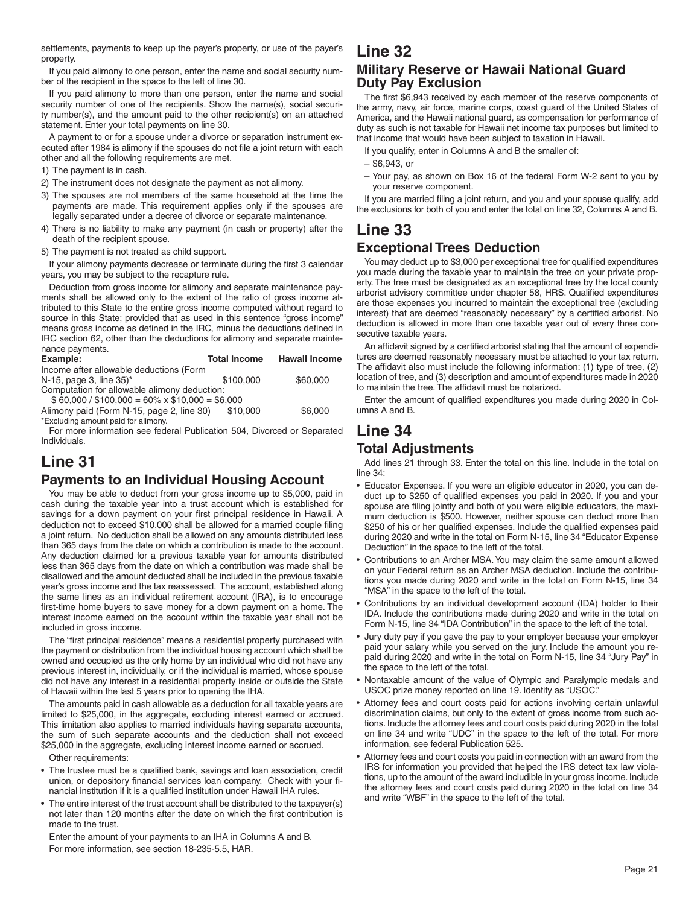settlements, payments to keep up the payer's property, or use of the payer's property.

If you paid alimony to one person, enter the name and social security number of the recipient in the space to the left of line 30.

If you paid alimony to more than one person, enter the name and social security number of one of the recipients. Show the name(s), social security number(s), and the amount paid to the other recipient(s) on an attached statement. Enter your total payments on line 30.

A payment to or for a spouse under a divorce or separation instrument executed after 1984 is alimony if the spouses do not file a joint return with each other and all the following requirements are met.

1) The payment is in cash.

2) The instrument does not designate the payment as not alimony.

- 3) The spouses are not members of the same household at the time the payments are made. This requirement applies only if the spouses are legally separated under a decree of divorce or separate maintenance.
- 4) There is no liability to make any payment (in cash or property) after the death of the recipient spouse.

5) The payment is not treated as child support.

If your alimony payments decrease or terminate during the first 3 calendar years, you may be subject to the recapture rule.

Deduction from gross income for alimony and separate maintenance payments shall be allowed only to the extent of the ratio of gross income attributed to this State to the entire gross income computed without regard to source in this State; provided that as used in this sentence "gross income" means gross income as defined in the IRC, minus the deductions defined in IRC section 62, other than the deductions for alimony and separate maintenance payments.

| Example:                                            | <b>Total Income</b> | <b>Hawaii Income</b> |  |
|-----------------------------------------------------|---------------------|----------------------|--|
| Income after allowable deductions (Form             |                     |                      |  |
| N-15, page 3, line $35$ <sup>*</sup>                | \$100,000           | \$60,000             |  |
| Computation for allowable alimony deduction:        |                     |                      |  |
| $$60,000 / $100,000 = 60\% \times $10,000 = $6,000$ |                     |                      |  |
| Alimony paid (Form N-15, page 2, line 30)           | \$10,000            | \$6,000              |  |

\*Excluding amount paid for alimony.

For more information see federal Publication 504, Divorced or Separated Individuals.

## **Line 31**

### **Payments to an Individual Housing Account**

You may be able to deduct from your gross income up to \$5,000, paid in cash during the taxable year into a trust account which is established for savings for a down payment on your first principal residence in Hawaii. A deduction not to exceed \$10,000 shall be allowed for a married couple filing a joint return. No deduction shall be allowed on any amounts distributed less than 365 days from the date on which a contribution is made to the account. Any deduction claimed for a previous taxable year for amounts distributed less than 365 days from the date on which a contribution was made shall be disallowed and the amount deducted shall be included in the previous taxable year's gross income and the tax reassessed. The account, established along the same lines as an individual retirement account (IRA), is to encourage first-time home buyers to save money for a down payment on a home. The interest income earned on the account within the taxable year shall not be included in gross income.

The "first principal residence" means a residential property purchased with the payment or distribution from the individual housing account which shall be owned and occupied as the only home by an individual who did not have any previous interest in, individually, or if the individual is married, whose spouse did not have any interest in a residential property inside or outside the State of Hawaii within the last 5 years prior to opening the IHA.

The amounts paid in cash allowable as a deduction for all taxable years are limited to \$25,000, in the aggregate, excluding interest earned or accrued. This limitation also applies to married individuals having separate accounts, the sum of such separate accounts and the deduction shall not exceed \$25,000 in the aggregate, excluding interest income earned or accrued.

Other requirements:

- The trustee must be a qualified bank, savings and loan association, credit union, or depository financial services loan company. Check with your financial institution if it is a qualified institution under Hawaii IHA rules.
- The entire interest of the trust account shall be distributed to the taxpayer(s) not later than 120 months after the date on which the first contribution is made to the trust.

Enter the amount of your payments to an IHA in Columns A and B. For more information, see section 18-235-5.5, HAR.

# **Line 32**

### **Military Reserve or Hawaii National Guard Duty Pay Exclusion**

The first \$6,943 received by each member of the reserve components of the army, navy, air force, marine corps, coast guard of the United States of America, and the Hawaii national guard, as compensation for performance of duty as such is not taxable for Hawaii net income tax purposes but limited to that income that would have been subject to taxation in Hawaii.

If you qualify, enter in Columns A and B the smaller of:

- \$6,943, or
- Your pay, as shown on Box 16 of the federal Form W-2 sent to you by your reserve component.

If you are married filing a joint return, and you and your spouse qualify, add the exclusions for both of you and enter the total on line 32, Columns A and B.

# **Line 33**

### **Exceptional Trees Deduction**

You may deduct up to \$3,000 per exceptional tree for qualified expenditures you made during the taxable year to maintain the tree on your private property. The tree must be designated as an exceptional tree by the local county arborist advisory committee under chapter 58, HRS. Qualified expenditures are those expenses you incurred to maintain the exceptional tree (excluding interest) that are deemed "reasonably necessary" by a certified arborist. No deduction is allowed in more than one taxable year out of every three consecutive taxable years.

An affidavit signed by a certified arborist stating that the amount of expenditures are deemed reasonably necessary must be attached to your tax return. The affidavit also must include the following information:  $(1)$  type of tree,  $(2)$ location of tree, and (3) description and amount of expenditures made in 2020 to maintain the tree. The affidavit must be notarized.

Enter the amount of qualified expenditures you made during 2020 in Columns A and B.

### **Line 34 Total Adjustments**

Add lines 21 through 33. Enter the total on this line. Include in the total on line 34:

- Educator Expenses. If you were an eligible educator in 2020, you can deduct up to \$250 of qualified expenses you paid in 2020. If you and your spouse are filing jointly and both of you were eligible educators, the maximum deduction is \$500. However, neither spouse can deduct more than \$250 of his or her qualified expenses. Include the qualified expenses paid during 2020 and write in the total on Form N-15, line 34 "Educator Expense Deduction" in the space to the left of the total.
- Contributions to an Archer MSA. You may claim the same amount allowed on your Federal return as an Archer MSA deduction. Include the contributions you made during 2020 and write in the total on Form N-15, line 34 "MSA" in the space to the left of the total.
- Contributions by an individual development account (IDA) holder to their IDA. Include the contributions made during 2020 and write in the total on Form N-15, line 34 "IDA Contribution" in the space to the left of the total.
- Jury duty pay if you gave the pay to your employer because your employer paid your salary while you served on the jury. Include the amount you repaid during 2020 and write in the total on Form N-15, line 34 "Jury Pay" in the space to the left of the total.
- Nontaxable amount of the value of Olympic and Paralympic medals and USOC prize money reported on line 19. Identify as "USOC."
- Attorney fees and court costs paid for actions involving certain unlawful discrimination claims, but only to the extent of gross income from such actions. Include the attorney fees and court costs paid during 2020 in the total on line 34 and write "UDC" in the space to the left of the total. For more information, see federal Publication 525.
- Attorney fees and court costs you paid in connection with an award from the IRS for information you provided that helped the IRS detect tax law violations, up to the amount of the award includible in your gross income. Include the attorney fees and court costs paid during 2020 in the total on line 34 and write "WBF" in the space to the left of the total.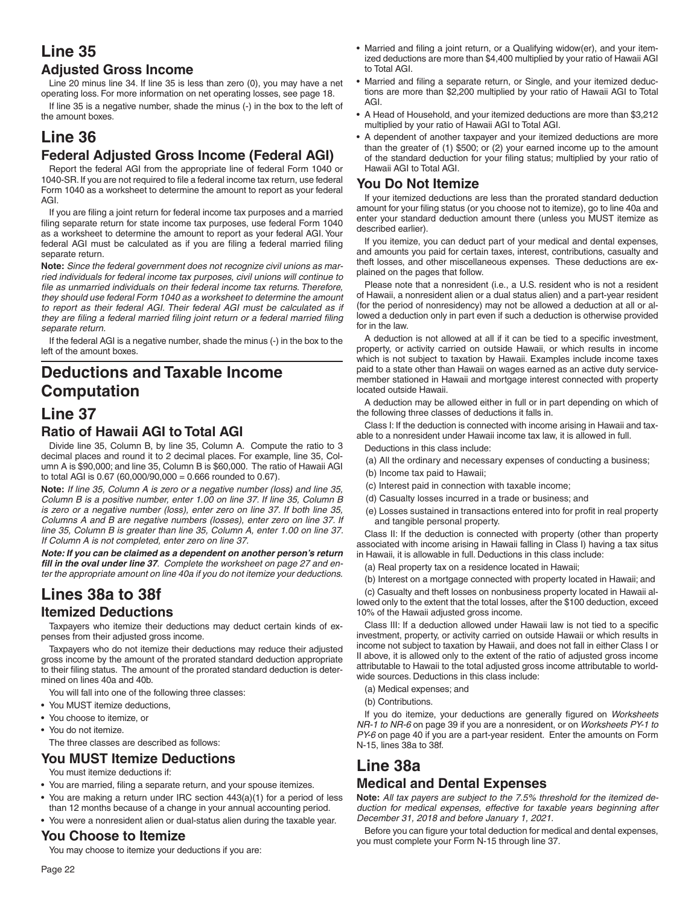## **Line 35 Adjusted Gross Income**

Line 20 minus line 34. If line 35 is less than zero (0), you may have a net operating loss. For more information on net operating losses, see page 18.

If line 35 is a negative number, shade the minus (-) in the box to the left of the amount boxes.

# **Line 36**

# **Federal Adjusted Gross Income (Federal AGI)**

Report the federal AGI from the appropriate line of federal Form 1040 or 1040-SR. If you are not required to file a federal income tax return, use federal Form 1040 as a worksheet to determine the amount to report as your federal AGI.

If you are filing a joint return for federal income tax purposes and a married filing separate return for state income tax purposes, use federal Form 1040 as a worksheet to determine the amount to report as your federal AGI. Your federal AGI must be calculated as if you are filing a federal married filing separate return.

**Note:** *Since the federal government does not recognize civil unions as married individuals for federal income tax purposes, civil unions will continue to*  file as unmarried individuals on their federal income tax returns. Therefore, *they should use federal Form 1040 as a worksheet to determine the amount*  to report as their federal AGI. Their federal AGI must be calculated as if they are filing a federal married filing joint return or a federal married filing *separate return.*

If the federal AGI is a negative number, shade the minus (-) in the box to the left of the amount boxes.

# **Deductions and Taxable Income Computation Line 37**

# **Ratio of Hawaii AGI to Total AGI**

Divide line 35, Column B, by line 35, Column A. Compute the ratio to 3 decimal places and round it to 2 decimal places. For example, line 35, Column A is \$90,000; and line 35, Column B is \$60,000. The ratio of Hawaii AGI to total AGI is  $0.67$  (60,000/90,000 = 0.666 rounded to 0.67).

**Note:** *If line 35, Column A is zero or a negative number (loss) and line 35, Column B is a positive number, enter 1.00 on line 37. If line 35, Column B is zero or a negative number (loss), enter zero on line 37. If both line 35, Columns A and B are negative numbers (losses), enter zero on line 37. If line 35, Column B is greater than line 35, Column A, enter 1.00 on line 37. If Column A is not completed, enter zero on line 37.*

*Note: If you can be claimed as a dependent on another person's return*  fill in the oval under line 37. Complete the worksheet on page 27 and en*ter the appropriate amount on line 40a if you do not itemize your deductions.*

# **Lines 38a to 38f**

### **Itemized Deductions**

Taxpayers who itemize their deductions may deduct certain kinds of expenses from their adjusted gross income.

Taxpayers who do not itemize their deductions may reduce their adjusted gross income by the amount of the prorated standard deduction appropriate to their filing status. The amount of the prorated standard deduction is determined on lines 40a and 40b.

You will fall into one of the following three classes:

- You MUST itemize deductions,
- You choose to itemize, or
- You do not itemize.

The three classes are described as follows:

### **You MUST Itemize Deductions**

You must itemize deductions if:

- You are married, filing a separate return, and your spouse itemizes.
- You are making a return under IRC section 443(a)(1) for a period of less than 12 months because of a change in your annual accounting period.
- You were a nonresident alien or dual-status alien during the taxable year.

### **You Choose to Itemize**

You may choose to itemize your deductions if you are:

- Married and filing a joint return, or a Qualifying widow(er), and your itemized deductions are more than \$4,400 multiplied by your ratio of Hawaii AGI to Total AGI.
- Married and filing a separate return, or Single, and your itemized deductions are more than \$2,200 multiplied by your ratio of Hawaii AGI to Total AGI.
- A Head of Household, and your itemized deductions are more than \$3,212 multiplied by your ratio of Hawaii AGI to Total AGI.
- A dependent of another taxpayer and your itemized deductions are more than the greater of (1) \$500; or (2) your earned income up to the amount of the standard deduction for your filing status; multiplied by your ratio of Hawaii AGI to Total AGI.

#### **You Do Not Itemize**

If your itemized deductions are less than the prorated standard deduction amount for your filing status (or you choose not to itemize), go to line 40a and enter your standard deduction amount there (unless you MUST itemize as described earlier).

If you itemize, you can deduct part of your medical and dental expenses, and amounts you paid for certain taxes, interest, contributions, casualty and theft losses, and other miscellaneous expenses. These deductions are explained on the pages that follow.

Please note that a nonresident (i.e., a U.S. resident who is not a resident of Hawaii, a nonresident alien or a dual status alien) and a part-year resident (for the period of nonresidency) may not be allowed a deduction at all or allowed a deduction only in part even if such a deduction is otherwise provided for in the law.

A deduction is not allowed at all if it can be tied to a specific investment, property, or activity carried on outside Hawaii, or which results in income which is not subject to taxation by Hawaii. Examples include income taxes paid to a state other than Hawaii on wages earned as an active duty servicemember stationed in Hawaii and mortgage interest connected with property located outside Hawaii.

A deduction may be allowed either in full or in part depending on which of the following three classes of deductions it falls in.

Class I: If the deduction is connected with income arising in Hawaii and taxable to a nonresident under Hawaii income tax law, it is allowed in full.

- Deductions in this class include:
- (a) All the ordinary and necessary expenses of conducting a business;
- (b) Income tax paid to Hawaii;
- (c) Interest paid in connection with taxable income;
- (d) Casualty losses incurred in a trade or business; and
- (e) Losses sustained in transactions entered into for profit in real property and tangible personal property.

Class II: If the deduction is connected with property (other than property associated with income arising in Hawaii falling in Class I) having a tax situs in Hawaii, it is allowable in full. Deductions in this class include:

(a) Real property tax on a residence located in Hawaii;

(b) Interest on a mortgage connected with property located in Hawaii; and

(c) Casualty and theft losses on nonbusiness property located in Hawaii allowed only to the extent that the total losses, after the \$100 deduction, exceed 10% of the Hawaii adjusted gross income.

Class III: If a deduction allowed under Hawaii law is not tied to a specific investment, property, or activity carried on outside Hawaii or which results in income not subject to taxation by Hawaii, and does not fall in either Class I or II above, it is allowed only to the extent of the ratio of adjusted gross income attributable to Hawaii to the total adjusted gross income attributable to worldwide sources. Deductions in this class include:

(a) Medical expenses; and

(b) Contributions.

If you do itemize, your deductions are generally figured on *Worksheets NR-1 to NR-6* on page 39 if you are a nonresident, or on *Worksheets PY-1 to PY-6* on page 40 if you are a part-year resident. Enter the amounts on Form N-15, lines 38a to 38f.

# **Line 38a Medical and Dental Expenses**

**Note:** *All tax payers are subject to the 7.5% threshold for the itemized deduction for medical expenses, effective for taxable years beginning after December 31, 2018 and before January 1, 2021.*

Before you can figure your total deduction for medical and dental expenses, you must complete your Form N-15 through line 37.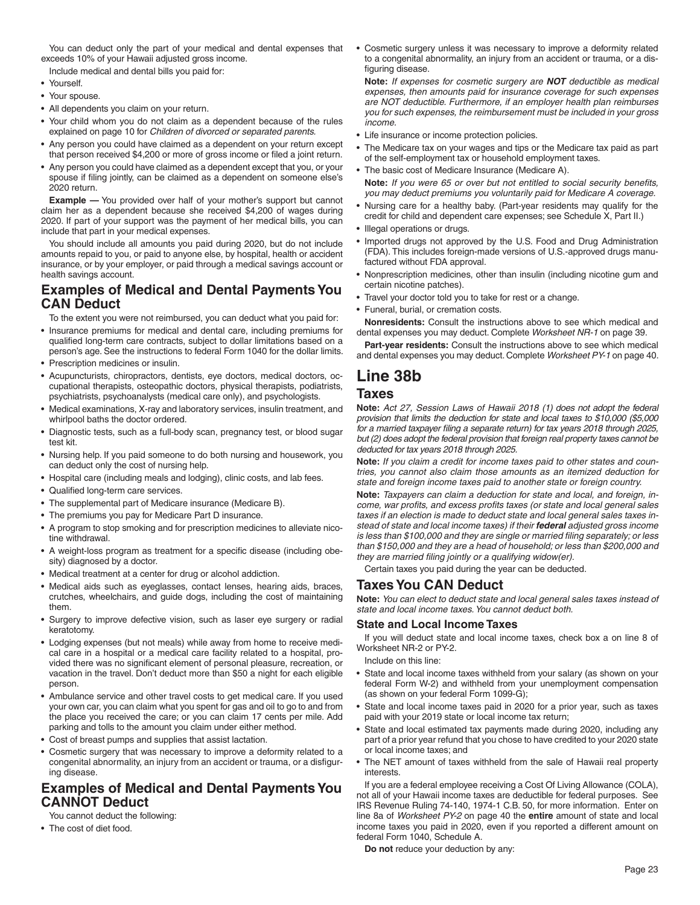You can deduct only the part of your medical and dental expenses that exceeds 10% of your Hawaii adjusted gross income.

Include medical and dental bills you paid for:

- Yourself.
- Your spouse.
- All dependents you claim on your return.
- Your child whom you do not claim as a dependent because of the rules explained on page 10 for *Children of divorced or separated parents.*
- Any person you could have claimed as a dependent on your return except that person received \$4,200 or more of gross income or filed a joint return.
- Any person you could have claimed as a dependent except that you, or your spouse if filing jointly, can be claimed as a dependent on someone else's 2020 return.

**Example** - You provided over half of your mother's support but cannot claim her as a dependent because she received \$4,200 of wages during 2020. If part of your support was the payment of her medical bills, you can include that part in your medical expenses.

You should include all amounts you paid during 2020, but do not include amounts repaid to you, or paid to anyone else, by hospital, health or accident insurance, or by your employer, or paid through a medical savings account or health savings account.

### **Examples of Medical and Dental Payments You CAN Deduct**

To the extent you were not reimbursed, you can deduct what you paid for:

- Insurance premiums for medical and dental care, including premiums for qualified long-term care contracts, subject to dollar limitations based on a person's age. See the instructions to federal Form 1040 for the dollar limits.
- Prescription medicines or insulin.
- Acupuncturists, chiropractors, dentists, eye doctors, medical doctors, occupational therapists, osteopathic doctors, physical therapists, podiatrists, psychiatrists, psychoanalysts (medical care only), and psychologists.
- Medical examinations, X-ray and laboratory services, insulin treatment, and whirlpool baths the doctor ordered.
- Diagnostic tests, such as a full-body scan, pregnancy test, or blood sugar test kit.
- Nursing help. If you paid someone to do both nursing and housework, you can deduct only the cost of nursing help.
- Hospital care (including meals and lodging), clinic costs, and lab fees.
- Qualified long-term care services.
- The supplemental part of Medicare insurance (Medicare B).
- The premiums you pay for Medicare Part D insurance.
- A program to stop smoking and for prescription medicines to alleviate nicotine withdrawal.
- A weight-loss program as treatment for a specific disease (including obesity) diagnosed by a doctor.
- Medical treatment at a center for drug or alcohol addiction.
- Medical aids such as eyeglasses, contact lenses, hearing aids, braces, crutches, wheelchairs, and guide dogs, including the cost of maintaining them.
- Surgery to improve defective vision, such as laser eye surgery or radial keratotomy.
- Lodging expenses (but not meals) while away from home to receive medical care in a hospital or a medical care facility related to a hospital, provided there was no significant element of personal pleasure, recreation, or vacation in the travel. Don't deduct more than \$50 a night for each eligible person.
- Ambulance service and other travel costs to get medical care. If you used your own car, you can claim what you spent for gas and oil to go to and from the place you received the care; or you can claim 17 cents per mile. Add parking and tolls to the amount you claim under either method.
- Cost of breast pumps and supplies that assist lactation.
- Cosmetic surgery that was necessary to improve a deformity related to a congenital abnormality, an injury from an accident or trauma, or a disfiguring disease.

#### **Examples of Medical and Dental Payments You CANNOT Deduct**

You cannot deduct the following:

• The cost of diet food.

• Cosmetic surgery unless it was necessary to improve a deformity related to a congenital abnormality, an injury from an accident or trauma, or a disfiguring disease.

**Note:** *If expenses for cosmetic surgery are NOT deductible as medical expenses, then amounts paid for insurance coverage for such expenses are NOT deductible. Furthermore, if an employer health plan reimburses you for such expenses, the reimbursement must be included in your gross income.*

- Life insurance or income protection policies.
- The Medicare tax on your wages and tips or the Medicare tax paid as part of the self-employment tax or household employment taxes.
- The basic cost of Medicare Insurance (Medicare A). Note: If you were 65 or over but not entitled to social security benefits, *you may deduct premiums you voluntarily paid for Medicare A coverage.*
- Nursing care for a healthy baby. (Part-year residents may qualify for the credit for child and dependent care expenses; see Schedule X, Part II.)
- Illegal operations or drugs.
- Imported drugs not approved by the U.S. Food and Drug Administration (FDA). This includes foreign-made versions of U.S.-approved drugs manufactured without FDA approval.
- Nonprescription medicines, other than insulin (including nicotine gum and certain nicotine patches).
- Travel your doctor told you to take for rest or a change.
- Funeral, burial, or cremation costs.

**Nonresidents:** Consult the instructions above to see which medical and dental expenses you may deduct. Complete *Worksheet NR-1* on page 39.

**Part-year residents:** Consult the instructions above to see which medical and dental expenses you may deduct. Complete *Worksheet PY-1* on page 40.

# **Line 38b**

#### **Taxes**

**Note:** *Act 27, Session Laws of Hawaii 2018 (1) does not adopt the federal provision that limits the deduction for state and local taxes to \$10,000 (\$5,000 for a married taxpayer filing a separate return) for tax years 2018 through 2025, but (2) does adopt the federal provision that foreign real property taxes cannot be deducted for tax years 2018 through 2025.*

**Note:** *If you claim a credit for income taxes paid to other states and countries, you cannot also claim those amounts as an itemized deduction for state and foreign income taxes paid to another state or foreign country.*

**Note:** *Taxpayers can claim a deduction for state and local, and foreign, income, war profits, and excess profits taxes (or state and local general sales taxes if an election is made to deduct state and local general sales taxes instead of state and local income taxes) if their federal adjusted gross income*  is less than \$100,000 and they are single or married filing separately; or less *than \$150,000 and they are a head of household; or less than \$200,000 and they are married filing jointly or a qualifying widow(er).* 

Certain taxes you paid during the year can be deducted.

#### **Taxes You CAN Deduct**

**Note:** *You can elect to deduct state and local general sales taxes instead of state and local income taxes. You cannot deduct both.*

#### **State and Local Income Taxes**

If you will deduct state and local income taxes, check box a on line 8 of Worksheet NR-2 or PY-2.

Include on this line:

- State and local income taxes withheld from your salary (as shown on your federal Form W-2) and withheld from your unemployment compensation (as shown on your federal Form 1099-G);
- State and local income taxes paid in 2020 for a prior year, such as taxes paid with your 2019 state or local income tax return;
- State and local estimated tax payments made during 2020, including any part of a prior year refund that you chose to have credited to your 2020 state or local income taxes; and
- The NET amount of taxes withheld from the sale of Hawaii real property interests.

If you are a federal employee receiving a Cost Of Living Allowance (COLA), not all of your Hawaii income taxes are deductible for federal purposes. See IRS Revenue Ruling 74-140, 1974-1 C.B. 50, for more information. Enter on line 8a of *Worksheet PY-2* on page 40 the **entire** amount of state and local income taxes you paid in 2020, even if you reported a different amount on federal Form 1040, Schedule A.

**Do not** reduce your deduction by any: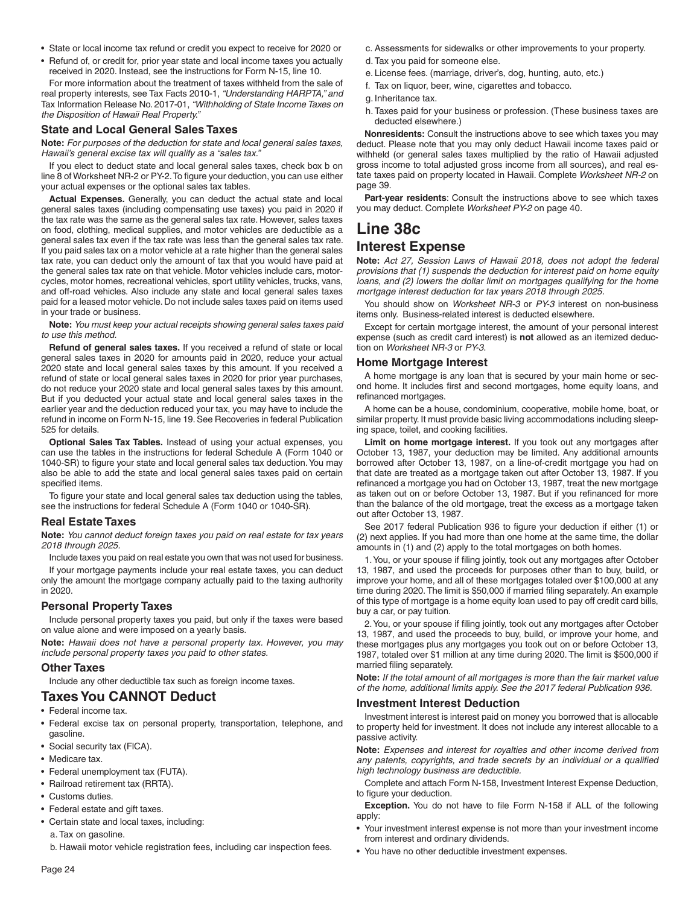- State or local income tax refund or credit you expect to receive for 2020 or
- Refund of, or credit for, prior year state and local income taxes you actually received in 2020. Instead, see the instructions for Form N-15, line 10.

For more information about the treatment of taxes withheld from the sale of real property interests, see Tax Facts 2010-1, *"Understanding HARPTA," and*  Tax Information Release No. 2017-01, *"Withholding of State Income Taxes on the Disposition of Hawaii Real Property."*

#### **State and Local General Sales Taxes**

**Note:** *For purposes of the deduction for state and local general sales taxes, Hawaii's general excise tax will qualify as a "sales tax."*

If you elect to deduct state and local general sales taxes, check box b on line 8 of Worksheet NR-2 or PY-2. To figure your deduction, you can use either your actual expenses or the optional sales tax tables.

**Actual Expenses.** Generally, you can deduct the actual state and local general sales taxes (including compensating use taxes) you paid in 2020 if the tax rate was the same as the general sales tax rate. However, sales taxes on food, clothing, medical supplies, and motor vehicles are deductible as a general sales tax even if the tax rate was less than the general sales tax rate. If you paid sales tax on a motor vehicle at a rate higher than the general sales tax rate, you can deduct only the amount of tax that you would have paid at the general sales tax rate on that vehicle. Motor vehicles include cars, motorcycles, motor homes, recreational vehicles, sport utility vehicles, trucks, vans, and off-road vehicles. Also include any state and local general sales taxes paid for a leased motor vehicle. Do not include sales taxes paid on items used in your trade or business.

**Note:** *You must keep your actual receipts showing general sales taxes paid to use this method.*

**Refund of general sales taxes.** If you received a refund of state or local general sales taxes in 2020 for amounts paid in 2020, reduce your actual 2020 state and local general sales taxes by this amount. If you received a refund of state or local general sales taxes in 2020 for prior year purchases, do not reduce your 2020 state and local general sales taxes by this amount. But if you deducted your actual state and local general sales taxes in the earlier year and the deduction reduced your tax, you may have to include the refund in income on Form N-15, line 19. See Recoveries in federal Publication 525 for details.

**Optional Sales Tax Tables.** Instead of using your actual expenses, you can use the tables in the instructions for federal Schedule A (Form 1040 or 1040-SR) to figure your state and local general sales tax deduction. You may also be able to add the state and local general sales taxes paid on certain specified items.

To figure your state and local general sales tax deduction using the tables, see the instructions for federal Schedule A (Form 1040 or 1040-SR).

#### **Real Estate Taxes**

**Note:** *You cannot deduct foreign taxes you paid on real estate for tax years 2018 through 2025.*

Include taxes you paid on real estate you own that was not used for business. If your mortgage payments include your real estate taxes, you can deduct only the amount the mortgage company actually paid to the taxing authority in 2020.

#### **Personal Property Taxes**

Include personal property taxes you paid, but only if the taxes were based on value alone and were imposed on a yearly basis.

**Note:** *Hawaii does not have a personal property tax. However, you may include personal property taxes you paid to other states.*

#### **Other Taxes**

Include any other deductible tax such as foreign income taxes.

#### **Taxes You CANNOT Deduct**

- Federal income tax.
- Federal excise tax on personal property, transportation, telephone, and gasoline.
- Social security tax (FlCA).
- Medicare tax.
- Federal unemployment tax (FUTA).
- Railroad retirement tax (RRTA).
- Customs duties.
- Federal estate and gift taxes.
- Certain state and local taxes, including:
	- a. Tax on gasoline.

b. Hawaii motor vehicle registration fees, including car inspection fees.

- c. Assessments for sidewalks or other improvements to your property.
- d. Tax you paid for someone else.
- e. License fees. (marriage, driver's, dog, hunting, auto, etc.)
- f. Tax on liquor, beer, wine, cigarettes and tobacco.
- g. Inheritance tax.
- h. Taxes paid for your business or profession. (These business taxes are deducted elsewhere.)

**Nonresidents:** Consult the instructions above to see which taxes you may deduct. Please note that you may only deduct Hawaii income taxes paid or withheld (or general sales taxes multiplied by the ratio of Hawaii adjusted gross income to total adjusted gross income from all sources), and real estate taxes paid on property located in Hawaii. Complete *Worksheet NR-2* on page 39.

**Part-year residents**: Consult the instructions above to see which taxes you may deduct. Complete *Worksheet PY-2* on page 40.

### **Line 38c Interest Expense**

**Note:** *Act 27, Session Laws of Hawaii 2018, does not adopt the federal provisions that (1) suspends the deduction for interest paid on home equity loans, and (2) lowers the dollar limit on mortgages qualifying for the home mortgage interest deduction for tax years 2018 through 2025.*

You should show on *Worksheet NR-3* or *PY-3* interest on non-business items only. Business-related interest is deducted elsewhere.

Except for certain mortgage interest, the amount of your personal interest expense (such as credit card interest) is **not** allowed as an itemized deduction on *Worksheet NR-3* or *PY-3*.

#### **Home Mortgage Interest**

A home mortgage is any loan that is secured by your main home or second home. It includes first and second mortgages, home equity loans, and refinanced mortgages.

A home can be a house, condominium, cooperative, mobile home, boat, or similar property. It must provide basic living accommodations including sleeping space, toilet, and cooking facilities.

**Limit on home mortgage interest.** If you took out any mortgages after October 13, 1987, your deduction may be limited. Any additional amounts borrowed after October 13, 1987, on a line-of-credit mortgage you had on that date are treated as a mortgage taken out after October 13, 1987. If you refinanced a mortgage you had on October 13, 1987, treat the new mortgage as taken out on or before October 13, 1987. But if you refinanced for more than the balance of the old mortgage, treat the excess as a mortgage taken out after October 13, 1987.

See 2017 federal Publication 936 to figure your deduction if either (1) or (2) next applies. If you had more than one home at the same time, the dollar amounts in (1) and (2) apply to the total mortgages on both homes.

1. You, or your spouse if filing jointly, took out any mortgages after October 13, 1987, and used the proceeds for purposes other than to buy, build, or improve your home, and all of these mortgages totaled over \$100,000 at any time during 2020. The limit is \$50,000 if married filing separately. An example of this type of mortgage is a home equity loan used to pay off credit card bills, buy a car, or pay tuition.

2. You, or your spouse if filing jointly, took out any mortgages after October 13, 1987, and used the proceeds to buy, build, or improve your home, and these mortgages plus any mortgages you took out on or before October 13, 1987, totaled over \$1 million at any time during 2020. The limit is \$500,000 if married filing separately.

**Note:** *If the total amount of all mortgages is more than the fair market value of the home, additional limits apply. See the 2017 federal Publication 936.*

#### **Investment Interest Deduction**

Investment interest is interest paid on money you borrowed that is allocable to property held for investment. It does not include any interest allocable to a passive activity.

**Note:** *Expenses and interest for royalties and other income derived from*  any patents, copyrights, and trade secrets by an individual or a qualified *high technology business are deductible.*

Complete and attach Form N-158, Investment Interest Expense Deduction, to figure your deduction.

**Exception.** You do not have to file Form N-158 if ALL of the following apply:

- Your investment interest expense is not more than your investment income from interest and ordinary dividends.
- You have no other deductible investment expenses.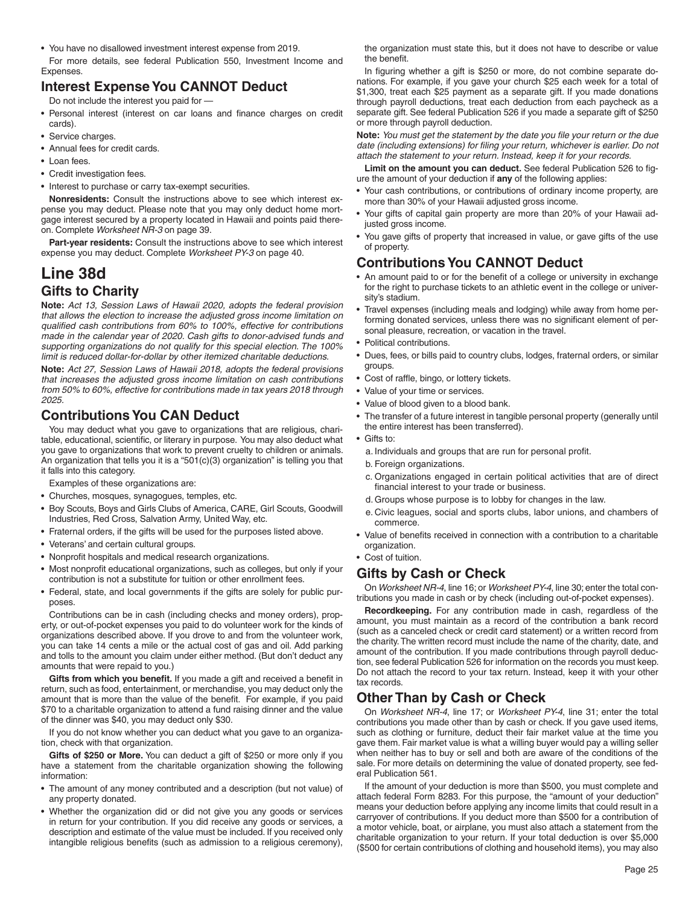• You have no disallowed investment interest expense from 2019.

For more details, see federal Publication 550, Investment Income and Expenses.

### **Interest Expense You CANNOT Deduct**

Do not include the interest you paid for —

- Personal interest (interest on car loans and finance charges on credit cards).
- Service charges.
- Annual fees for credit cards.
- Loan fees
- Credit investigation fees.
- Interest to purchase or carry tax-exempt securities.

**Nonresidents:** Consult the instructions above to see which interest expense you may deduct. Please note that you may only deduct home mortgage interest secured by a property located in Hawaii and points paid thereon. Complete *Worksheet NR-3* on page 39.

**Part-year residents:** Consult the instructions above to see which interest expense you may deduct. Complete *Worksheet PY-3* on page 40.

# **Line 38d Gifts to Charity**

**Note:** *Act 13, Session Laws of Hawaii 2020, adopts the federal provision that allows the election to increase the adjusted gross income limitation on qualifi ed cash contributions from 60% to 100%, effective for contributions made in the calendar year of 2020. Cash gifts to donor-advised funds and supporting organizations do not qualify for this special election. The 100% limit is reduced dollar-for-dollar by other itemized charitable deductions.*

**Note:** *Act 27, Session Laws of Hawaii 2018, adopts the federal provisions that increases the adjusted gross income limitation on cash contributions from 50% to 60%, effective for contributions made in tax years 2018 through 2025.*

### **Contributions You CAN Deduct**

You may deduct what you gave to organizations that are religious, charitable, educational, scientific, or literary in purpose. You may also deduct what you gave to organizations that work to prevent cruelty to children or animals. An organization that tells you it is a "501(c)(3) organization" is telling you that it falls into this category.

Examples of these organizations are:

- Churches, mosques, synagogues, temples, etc.
- Boy Scouts, Boys and Girls Clubs of America, CARE, Girl Scouts, Goodwill Industries, Red Cross, Salvation Army, United Way, etc.
- Fraternal orders, if the gifts will be used for the purposes listed above.
- Veterans' and certain cultural groups.
- Nonprofit hospitals and medical research organizations.
- Most nonprofit educational organizations, such as colleges, but only if your contribution is not a substitute for tuition or other enrollment fees.
- Federal, state, and local governments if the gifts are solely for public purposes.

Contributions can be in cash (including checks and money orders), property, or out-of-pocket expenses you paid to do volunteer work for the kinds of organizations described above. If you drove to and from the volunteer work, you can take 14 cents a mile or the actual cost of gas and oil. Add parking and tolls to the amount you claim under either method. (But don't deduct any amounts that were repaid to you.)

Gifts from which you benefit. If you made a gift and received a benefit in return, such as food, entertainment, or merchandise, you may deduct only the amount that is more than the value of the benefit. For example, if you paid \$70 to a charitable organization to attend a fund raising dinner and the value of the dinner was \$40, you may deduct only \$30.

If you do not know whether you can deduct what you gave to an organization, check with that organization.

**Gifts of \$250 or More.** You can deduct a gift of \$250 or more only if you have a statement from the charitable organization showing the following information:

- The amount of any money contributed and a description (but not value) of any property donated.
- Whether the organization did or did not give you any goods or services in return for your contribution. If you did receive any goods or services, a description and estimate of the value must be included. If you received only intangible religious benefits (such as admission to a religious ceremony),

the organization must state this, but it does not have to describe or value the benefit.

In figuring whether a gift is \$250 or more, do not combine separate donations. For example, if you gave your church \$25 each week for a total of \$1,300, treat each \$25 payment as a separate gift. If you made donations through payroll deductions, treat each deduction from each paycheck as a separate gift. See federal Publication 526 if you made a separate gift of \$250 or more through payroll deduction.

**Note:** *You must get the statement by the date you file your return or the due* date (including extensions) for filing your return, whichever is earlier. Do not *attach the statement to your return. Instead, keep it for your records.*

Limit on the amount you can deduct. See federal Publication 526 to figure the amount of your deduction if **any** of the following applies:

- Your cash contributions, or contributions of ordinary income property, are more than 30% of your Hawaii adjusted gross income.
- Your gifts of capital gain property are more than 20% of your Hawaii adjusted gross income.
- You gave gifts of property that increased in value, or gave gifts of the use of property.

### **Contributions You CANNOT Deduct**

- An amount paid to or for the benefit of a college or university in exchange for the right to purchase tickets to an athletic event in the college or university's stadium.
- Travel expenses (including meals and lodging) while away from home performing donated services, unless there was no significant element of personal pleasure, recreation, or vacation in the travel.
- Political contributions.
- Dues, fees, or bills paid to country clubs, lodges, fraternal orders, or similar groups.
- Cost of raffle, bingo, or lottery tickets.
- Value of your time or services.
- Value of blood given to a blood bank.
- The transfer of a future interest in tangible personal property (generally until the entire interest has been transferred).
- Gifts to:
	- a. Individuals and groups that are run for personal profit.
- b. Foreign organizations.
- c. Organizations engaged in certain political activities that are of direct financial interest to your trade or business.
- d. Groups whose purpose is to lobby for changes in the law.
- e. Civic leagues, social and sports clubs, labor unions, and chambers of commerce.
- Value of benefits received in connection with a contribution to a charitable organization.
- Cost of tuition.

### **Gifts by Cash or Check**

On *Worksheet NR-4*, line 16; or *Worksheet PY-4*, line 30; enter the total contributions you made in cash or by check (including out-of-pocket expenses).

**Recordkeeping.** For any contribution made in cash, regardless of the amount, you must maintain as a record of the contribution a bank record (such as a canceled check or credit card statement) or a written record from the charity. The written record must include the name of the charity, date, and amount of the contribution. If you made contributions through payroll deduction, see federal Publication 526 for information on the records you must keep. Do not attach the record to your tax return. Instead, keep it with your other tax records.

### **Other Than by Cash or Check**

On *Worksheet NR-4*, line 17; or *Worksheet PY-4*, line 31; enter the total contributions you made other than by cash or check. If you gave used items, such as clothing or furniture, deduct their fair market value at the time you gave them. Fair market value is what a willing buyer would pay a willing seller when neither has to buy or sell and both are aware of the conditions of the sale. For more details on determining the value of donated property, see federal Publication 561.

If the amount of your deduction is more than \$500, you must complete and attach federal Form 8283. For this purpose, the "amount of your deduction" means your deduction before applying any income limits that could result in a carryover of contributions. If you deduct more than \$500 for a contribution of a motor vehicle, boat, or airplane, you must also attach a statement from the charitable organization to your return. If your total deduction is over \$5,000 (\$500 for certain contributions of clothing and household items), you may also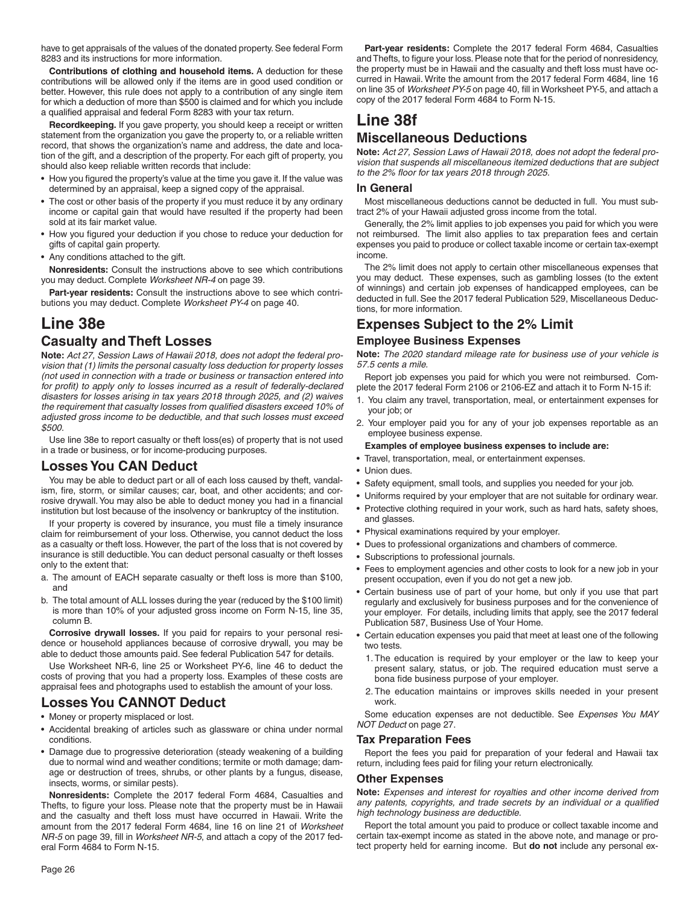have to get appraisals of the values of the donated property. See federal Form 8283 and its instructions for more information.

**Contributions of clothing and household items.** A deduction for these contributions will be allowed only if the items are in good used condition or better. However, this rule does not apply to a contribution of any single item for which a deduction of more than \$500 is claimed and for which you include a qualified appraisal and federal Form 8283 with your tax return.

**Recordkeeping.** If you gave property, you should keep a receipt or written statement from the organization you gave the property to, or a reliable written record, that shows the organization's name and address, the date and location of the gift, and a description of the property. For each gift of property, you should also keep reliable written records that include:

- How you figured the property's value at the time you gave it. If the value was determined by an appraisal, keep a signed copy of the appraisal.
- The cost or other basis of the property if you must reduce it by any ordinary income or capital gain that would have resulted if the property had been sold at its fair market value.
- How you figured your deduction if you chose to reduce your deduction for gifts of capital gain property.
- Any conditions attached to the gift.

**Nonresidents:** Consult the instructions above to see which contributions you may deduct. Complete *Worksheet NR-4* on page 39.

**Part-year residents:** Consult the instructions above to see which contributions you may deduct. Complete *Worksheet PY-4* on page 40.

# **Line 38e**

#### **Casualty and Theft Losses**

**Note:** *Act 27, Session Laws of Hawaii 2018, does not adopt the federal provision that (1) limits the personal casualty loss deduction for property losses (not used in connection with a trade or business or transaction entered into*  for profit) to apply only to losses incurred as a result of federally-declared *disasters for losses arising in tax years 2018 through 2025, and (2) waives*  the requirement that casualty losses from qualified disasters exceed 10% of *adjusted gross income to be deductible, and that such losses must exceed \$500.*

Use line 38e to report casualty or theft loss(es) of property that is not used in a trade or business, or for income-producing purposes.

#### **Losses You CAN Deduct**

You may be able to deduct part or all of each loss caused by theft, vandalism, fire, storm, or similar causes; car, boat, and other accidents; and corrosive drywall. You may also be able to deduct money you had in a financial institution but lost because of the insolvency or bankruptcy of the institution.

If your property is covered by insurance, you must file a timely insurance claim for reimbursement of your loss. Otherwise, you cannot deduct the loss as a casualty or theft loss. However, the part of the loss that is not covered by insurance is still deductible. You can deduct personal casualty or theft losses only to the extent that:

- a. The amount of EACH separate casualty or theft loss is more than \$100, and
- b. The total amount of ALL losses during the year (reduced by the \$100 limit) is more than 10% of your adjusted gross income on Form N-15, line 35, column B.

**Corrosive drywall losses.** If you paid for repairs to your personal residence or household appliances because of corrosive drywall, you may be able to deduct those amounts paid. See federal Publication 547 for details.

Use Worksheet NR-6, line 25 or Worksheet PY-6, line 46 to deduct the costs of proving that you had a property loss. Examples of these costs are appraisal fees and photographs used to establish the amount of your loss.

### **Losses You CANNOT Deduct**

- Money or property misplaced or lost.
- Accidental breaking of articles such as glassware or china under normal conditions.
- Damage due to progressive deterioration (steady weakening of a building due to normal wind and weather conditions; termite or moth damage; damage or destruction of trees, shrubs, or other plants by a fungus, disease, insects, worms, or similar pests).

**Nonresidents:** Complete the 2017 federal Form 4684, Casualties and Thefts, to figure your loss. Please note that the property must be in Hawaii and the casualty and theft loss must have occurred in Hawaii. Write the amount from the 2017 federal Form 4684, line 16 on line 21 of *Worksheet NR-5* on page 39, fill in *Worksheet NR-5*, and attach a copy of the 2017 federal Form 4684 to Form N-15.

**Part-year residents:** Complete the 2017 federal Form 4684, Casualties and Thefts, to figure your loss. Please note that for the period of nonresidency, the property must be in Hawaii and the casualty and theft loss must have occurred in Hawaii. Write the amount from the 2017 federal Form 4684, line 16 on line 35 of Worksheet PY-5 on page 40, fill in Worksheet PY-5, and attach a copy of the 2017 federal Form 4684 to Form N-15.

# **Line 38f**

### **Miscellaneous Deductions**

**Note:** *Act 27, Session Laws of Hawaii 2018, does not adopt the federal provision that suspends all miscellaneous itemized deductions that are subject*  to the 2% floor for tax years 2018 through 2025.

#### **In General**

Most miscellaneous deductions cannot be deducted in full. You must subtract 2% of your Hawaii adjusted gross income from the total.

Generally, the 2% limit applies to job expenses you paid for which you were not reimbursed. The limit also applies to tax preparation fees and certain expenses you paid to produce or collect taxable income or certain tax-exempt income.

The 2% limit does not apply to certain other miscellaneous expenses that you may deduct. These expenses, such as gambling losses (to the extent of winnings) and certain job expenses of handicapped employees, can be deducted in full. See the 2017 federal Publication 529, Miscellaneous Deductions, for more information.

### **Expenses Subject to the 2% Limit**

#### **Employee Business Expenses**

**Note:** *The 2020 standard mileage rate for business use of your vehicle is 57.5 cents a mile.*

Report job expenses you paid for which you were not reimbursed. Complete the 2017 federal Form 2106 or 2106-EZ and attach it to Form N-15 if:

- 1. You claim any travel, transportation, meal, or entertainment expenses for your job; or
- 2. Your employer paid you for any of your job expenses reportable as an employee business expense.

#### **Examples of employee business expenses to include are:**

- Travel, transportation, meal, or entertainment expenses.
- Union dues.
- Safety equipment, small tools, and supplies you needed for your job.
- Uniforms required by your employer that are not suitable for ordinary wear.
- Protective clothing required in your work, such as hard hats, safety shoes, and glasses.
- Physical examinations required by your employer.
- Dues to professional organizations and chambers of commerce.
- Subscriptions to professional journals.
- Fees to employment agencies and other costs to look for a new job in your present occupation, even if you do not get a new job.
- Certain business use of part of your home, but only if you use that part regularly and exclusively for business purposes and for the convenience of your employer. For details, including limits that apply, see the 2017 federal Publication 587, Business Use of Your Home.
- Certain education expenses you paid that meet at least one of the following two tests.
	- 1. The education is required by your employer or the law to keep your present salary, status, or job. The required education must serve a bona fide business purpose of your employer.
	- 2. The education maintains or improves skills needed in your present work.

Some education expenses are not deductible. See *Expenses You MAY NOT Deduct* on page 27.

#### **Tax Preparation Fees**

Report the fees you paid for preparation of your federal and Hawaii tax return, including fees paid for filing your return electronically.

#### **Other Expenses**

**Note:** *Expenses and interest for royalties and other income derived from*  any patents, copyrights, and trade secrets by an individual or a qualified *high technology business are deductible.*

Report the total amount you paid to produce or collect taxable income and certain tax-exempt income as stated in the above note, and manage or protect property held for earning income. But **do not** include any personal ex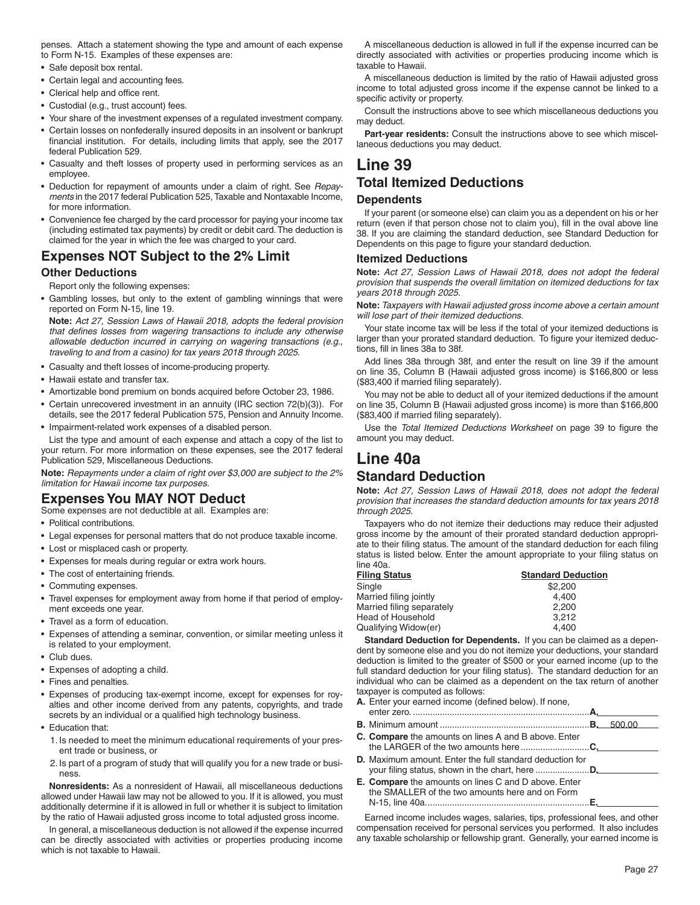penses. Attach a statement showing the type and amount of each expense to Form N-15. Examples of these expenses are:

• Safe deposit box rental.

- Certain legal and accounting fees.
- Clerical help and office rent.
- Custodial (e.g., trust account) fees.
- Your share of the investment expenses of a regulated investment company. • Certain losses on nonfederally insured deposits in an insolvent or bankrupt
- financial institution. For details, including limits that apply, see the 2017 federal Publication 529.
- Casualty and theft losses of property used in performing services as an employee.
- Deduction for repayment of amounts under a claim of right. See *Repayments* in the 2017 federal Publication 525, Taxable and Nontaxable Income, for more information.
- Convenience fee charged by the card processor for paying your income tax (including estimated tax payments) by credit or debit card. The deduction is claimed for the year in which the fee was charged to your card.

### **Expenses NOT Subject to the 2% Limit**

#### **Other Deductions**

Report only the following expenses:

• Gambling losses, but only to the extent of gambling winnings that were reported on Form N-15, line 19.

**Note:** *Act 27, Session Laws of Hawaii 2018, adopts the federal provision*  that defines losses from wagering transactions to include any otherwise *allowable deduction incurred in carrying on wagering transactions (e.g., traveling to and from a casino) for tax years 2018 through 2025.*

- Casualty and theft losses of income-producing property.
- Hawaii estate and transfer tax.
- Amortizable bond premium on bonds acquired before October 23, 1986.
- Certain unrecovered investment in an annuity (IRC section 72(b)(3)). For details, see the 2017 federal Publication 575, Pension and Annuity Income. • Impairment-related work expenses of a disabled person.

List the type and amount of each expense and attach a copy of the list to your return. For more information on these expenses, see the 2017 federal Publication 529, Miscellaneous Deductions.

**Note:** *Repayments under a claim of right over \$3,000 are subject to the 2% limitation for Hawaii income tax purposes.*

### **Expenses You MAY NOT Deduct**

Some expenses are not deductible at all. Examples are:

• Political contributions.

- Legal expenses for personal matters that do not produce taxable income.
- Lost or misplaced cash or property.
- Expenses for meals during regular or extra work hours.
- The cost of entertaining friends.
- Commuting expenses.
- Travel expenses for employment away from home if that period of employment exceeds one year.
- Travel as a form of education.
- Expenses of attending a seminar, convention, or similar meeting unless it is related to your employment.
- Club dues.
- Expenses of adopting a child.
- Fines and penalties.
- Expenses of producing tax-exempt income, except for expenses for royalties and other income derived from any patents, copyrights, and trade secrets by an individual or a qualified high technology business.
- Education that:
	- 1. Is needed to meet the minimum educational requirements of your present trade or business, or
	- 2. Is part of a program of study that will qualify you for a new trade or business.

**Nonresidents:** As a nonresident of Hawaii, all miscellaneous deductions allowed under Hawaii law may not be allowed to you. If it is allowed, you must additionally determine if it is allowed in full or whether it is subject to limitation by the ratio of Hawaii adjusted gross income to total adjusted gross income.

In general, a miscellaneous deduction is not allowed if the expense incurred can be directly associated with activities or properties producing income which is not taxable to Hawaii.

A miscellaneous deduction is allowed in full if the expense incurred can be directly associated with activities or properties producing income which is taxable to Hawaii.

A miscellaneous deduction is limited by the ratio of Hawaii adjusted gross income to total adjusted gross income if the expense cannot be linked to a specific activity or property.

Consult the instructions above to see which miscellaneous deductions you may deduct.

**Part-year residents:** Consult the instructions above to see which miscellaneous deductions you may deduct.

### **Line 39 Total Itemized Deductions**

#### **Dependents**

If your parent (or someone else) can claim you as a dependent on his or her return (even if that person chose not to claim you), fill in the oval above line 38. If you are claiming the standard deduction, see Standard Deduction for Dependents on this page to figure your standard deduction.

#### **Itemized Deductions**

**Note:** *Act 27, Session Laws of Hawaii 2018, does not adopt the federal provision that suspends the overall limitation on itemized deductions for tax years 2018 through 2025.*

**Note:** *Taxpayers with Hawaii adjusted gross income above a certain amount will lose part of their itemized deductions.*

Your state income tax will be less if the total of your itemized deductions is larger than your prorated standard deduction. To figure your itemized deductions, fill in lines 38a to 38f.

Add lines 38a through 38f, and enter the result on line 39 if the amount on line 35, Column B (Hawaii adjusted gross income) is \$166,800 or less (\$83,400 if married filing separately).

You may not be able to deduct all of your itemized deductions if the amount on line 35, Column B (Hawaii adjusted gross income) is more than \$166,800 (\$83,400 if married filing separately).

Use the *Total Itemized Deductions Worksheet* on page 39 to figure the amount you may deduct.

# **Line 40a**

#### **Standard Deduction**

**Note:** *Act 27, Session Laws of Hawaii 2018, does not adopt the federal provision that increases the standard deduction amounts for tax years 2018 through 2025.*

Taxpayers who do not itemize their deductions may reduce their adjusted gross income by the amount of their prorated standard deduction appropriate to their filing status. The amount of the standard deduction for each filing status is listed below. Enter the amount appropriate to your filing status on line 40a.

| <b>Standard Deduction</b> |  |
|---------------------------|--|
| \$2,200                   |  |
| 4.400                     |  |
| 2.200                     |  |
| 3.212                     |  |
| 4.400                     |  |
|                           |  |

**Standard Deduction for Dependents.** If you can be claimed as a dependent by someone else and you do not itemize your deductions, your standard deduction is limited to the greater of \$500 or your earned income (up to the full standard deduction for your filing status). The standard deduction for an individual who can be claimed as a dependent on the tax return of another taxpayer is computed as follows:

- A. Enter your earned income (defined below). If none,
- enter zero. ........................................................................**A. B.** Minimum amount .............................................................**B.** 500.00
- **C. Compare** the amounts on lines A and B above. Enter the LARGER of the two amounts here ............................**C.**
- **D.** Maximum amount. Enter the full standard deduction for your filing status, shown in the chart, here ......................**D.**
- **E. Compare** the amounts on lines C and D above. Enter the SMALLER of the two amounts here and on Form N-15, line 40a. ..................................................................**E.**

Earned income includes wages, salaries, tips, professional fees, and other compensation received for personal services you performed. It also includes any taxable scholarship or fellowship grant. Generally, your earned income is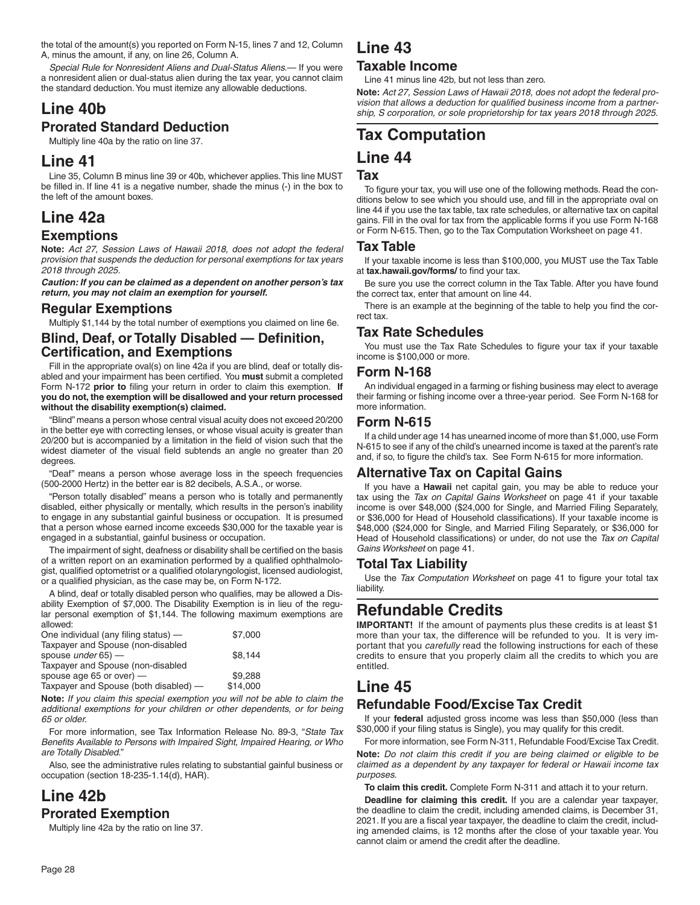the total of the amount(s) you reported on Form N-15, lines 7 and 12, Column A, minus the amount, if any, on line 26, Column A.

*Special Rule for Nonresident Aliens and Dual-Status Aliens*.— If you were a nonresident alien or dual-status alien during the tax year, you cannot claim the standard deduction. You must itemize any allowable deductions.

### **Line 40b Prorated Standard Deduction**

Multiply line 40a by the ratio on line 37.

# **Line 41**

Line 35, Column B minus line 39 or 40b, whichever applies. This line MUST be filled in. If line 41 is a negative number, shade the minus (-) in the box to the left of the amount boxes.

# **Line 42a**

### **Exemptions**

**Note:** *Act 27, Session Laws of Hawaii 2018, does not adopt the federal provision that suspends the deduction for personal exemptions for tax years 2018 through 2025.*

*Caution: If you can be claimed as a dependent on another person's tax return, you may not claim an exemption for yourself.*

### **Regular Exemptions**

Multiply \$1,144 by the total number of exemptions you claimed on line 6e.

### **Blind, Deaf, or Totally Disabled - Definition, Certification, and Exemptions**

Fill in the appropriate oval(s) on line 42a if you are blind, deaf or totally disabled and your impairment has been certified. You must submit a completed Form N-172 prior to filing your return in order to claim this exemption. If **you do not, the exemption will be disallowed and your return processed without the disability exemption(s) claimed.**

"Blind" means a person whose central visual acuity does not exceed 20/200 in the better eye with correcting lenses, or whose visual acuity is greater than 20/200 but is accompanied by a limitation in the field of vision such that the widest diameter of the visual field subtends an angle no greater than 20 degrees.

"Deaf" means a person whose average loss in the speech frequencies (500-2000 Hertz) in the better ear is 82 decibels, A.S.A., or worse.

"Person totally disabled" means a person who is totally and permanently disabled, either physically or mentally, which results in the person's inability to engage in any substantial gainful business or occupation. It is presumed that a person whose earned income exceeds \$30,000 for the taxable year is engaged in a substantial, gainful business or occupation.

The impairment of sight, deafness or disability shall be certified on the basis of a written report on an examination performed by a qualified ophthalmologist, qualified optometrist or a qualified otolaryngologist, licensed audiologist, or a qualified physician, as the case may be, on Form N-172.

A blind, deaf or totally disabled person who qualifies, may be allowed a Disability Exemption of \$7,000. The Disability Exemption is in lieu of the regular personal exemption of \$1,144. The following maximum exemptions are allowed:

| One individual (any filing status) —  | \$7,000  |  |
|---------------------------------------|----------|--|
| Taxpayer and Spouse (non-disabled     |          |  |
| spouse under $65$ ) $-$               | \$8.144  |  |
| Taxpayer and Spouse (non-disabled     |          |  |
| spouse age 65 or over) $-$            | \$9,288  |  |
| Taxpayer and Spouse (both disabled) - | \$14,000 |  |

**Note:** *If you claim this special exemption you will not be able to claim the additional exemptions for your children or other dependents, or for being 65 or older.*

For more information, see Tax Information Release No. 89-3, "*State Tax*  Benefits Available to Persons with Impaired Sight, Impaired Hearing, or Who *are Totally Disabled.*"

Also, see the administrative rules relating to substantial gainful business or occupation (section 18-235-1.14(d), HAR).

## **Line 42b Prorated Exemption**

Multiply line 42a by the ratio on line 37.

# **Line 43**

### **Taxable Income**

Line 41 minus line 42b, but not less than zero.

**Note:** *Act 27, Session Laws of Hawaii 2018, does not adopt the federal provision that allows a deduction for qualified business income from a partnership, S corporation, or sole proprietorship for tax years 2018 through 2025.*

# **Tax Computation**

### **Line 44**

### **Tax**

To figure your tax, you will use one of the following methods. Read the conditions below to see which you should use, and fill in the appropriate oval on line 44 if you use the tax table, tax rate schedules, or alternative tax on capital gains. Fill in the oval for tax from the applicable forms if you use Form N-168 or Form N-615. Then, go to the Tax Computation Worksheet on page 41.

#### **Tax Table**

If your taxable income is less than \$100,000, you MUST use the Tax Table at **tax.hawaii.gov/forms/** to find your tax.

Be sure you use the correct column in the Tax Table. After you have found the correct tax, enter that amount on line 44.

There is an example at the beginning of the table to help you find the correct tax.

### **Tax Rate Schedules**

You must use the Tax Rate Schedules to figure your tax if your taxable income is \$100,000 or more.

#### **Form N-168**

An individual engaged in a farming or fishing business may elect to average their farming or fishing income over a three-year period. See Form N-168 for more information.

### **Form N-615**

If a child under age 14 has unearned income of more than \$1,000, use Form N-615 to see if any of the child's unearned income is taxed at the parent's rate and, if so, to figure the child's tax. See Form N-615 for more information.

### **Alternative Tax on Capital Gains**

If you have a **Hawaii** net capital gain, you may be able to reduce your tax using the *Tax on Capital Gains Worksheet* on page 41 if your taxable income is over \$48,000 (\$24,000 for Single, and Married Filing Separately, or \$36,000 for Head of Household classifications). If your taxable income is \$48,000 (\$24,000 for Single, and Married Filing Separately, or \$36,000 for Head of Household classifications) or under, do not use the *Tax on Capital Gains Worksheet* on page 41.

#### **Total Tax Liability**

Use the *Tax Computation Worksheet* on page 41 to figure your total tax liability.

# **Refundable Credits**

**IMPORTANT!** If the amount of payments plus these credits is at least \$1 more than your tax, the difference will be refunded to you. It is very important that you *carefully* read the following instructions for each of these credits to ensure that you properly claim all the credits to which you are entitled.

## **Line 45**

### **Refundable Food/Excise Tax Credit**

If your **federal** adjusted gross income was less than \$50,000 (less than \$30,000 if your filing status is Single), you may qualify for this credit.

For more information, see Form N-311, Refundable Food/Excise Tax Credit. **Note:** *Do not claim this credit if you are being claimed or eligible to be claimed as a dependent by any taxpayer for federal or Hawaii income tax purposes.*

**To claim this credit.** Complete Form N-311 and attach it to your return.

**Deadline for claiming this credit.** If you are a calendar year taxpayer, the deadline to claim the credit, including amended claims, is December 31, 2021. If you are a fiscal year taxpayer, the deadline to claim the credit, including amended claims, is 12 months after the close of your taxable year. You cannot claim or amend the credit after the deadline.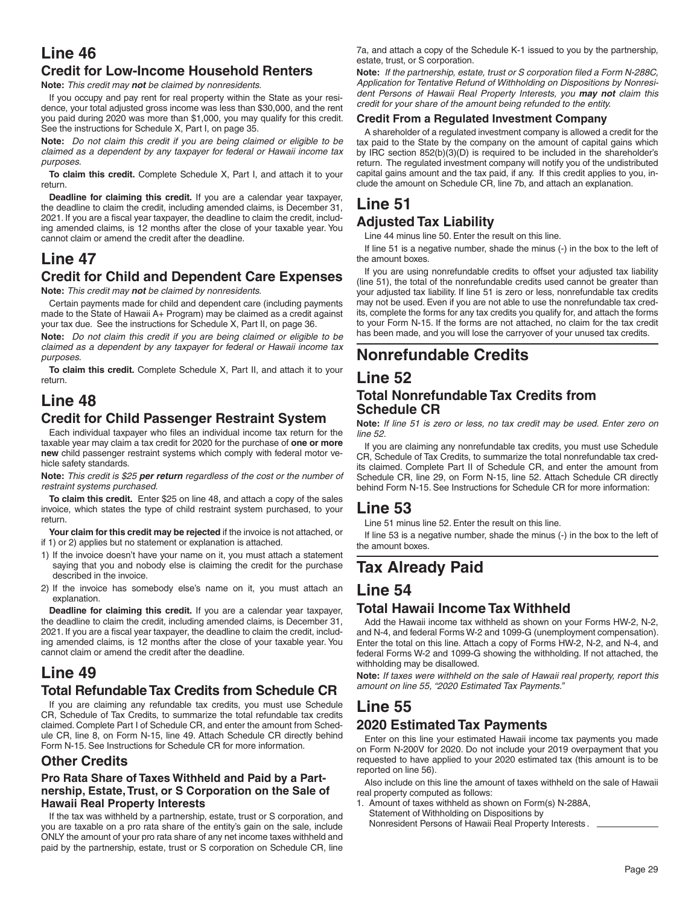# **Line 46**

### **Credit for Low-Income Household Renters**

**Note:** *This credit may not be claimed by nonresidents.*

If you occupy and pay rent for real property within the State as your residence, your total adjusted gross income was less than \$30,000, and the rent you paid during 2020 was more than \$1,000, you may qualify for this credit. See the instructions for Schedule X, Part I, on page 35.

**Note:** *Do not claim this credit if you are being claimed or eligible to be claimed as a dependent by any taxpayer for federal or Hawaii income tax purposes.*

**To claim this credit.** Complete Schedule X, Part I, and attach it to your return.

**Deadline for claiming this credit.** If you are a calendar year taxpayer, the deadline to claim the credit, including amended claims, is December 31, 2021. If you are a fiscal year taxpayer, the deadline to claim the credit, including amended claims, is 12 months after the close of your taxable year. You cannot claim or amend the credit after the deadline.

# **Line 47**

### **Credit for Child and Dependent Care Expenses**

**Note:** *This credit may not be claimed by nonresidents.*

Certain payments made for child and dependent care (including payments made to the State of Hawaii A+ Program) may be claimed as a credit against your tax due. See the instructions for Schedule X, Part II, on page 36.

**Note:** *Do not claim this credit if you are being claimed or eligible to be claimed as a dependent by any taxpayer for federal or Hawaii income tax purposes.*

**To claim this credit.** Complete Schedule X, Part II, and attach it to your return.

# **Line 48**

### **Credit for Child Passenger Restraint System**

Each individual taxpayer who files an individual income tax return for the taxable year may claim a tax credit for 2020 for the purchase of **one or more new** child passenger restraint systems which comply with federal motor vehicle safety standards.

**Note:** *This credit is \$25 per return regardless of the cost or the number of restraint systems purchased.*

**To claim this credit.** Enter \$25 on line 48, and attach a copy of the sales invoice, which states the type of child restraint system purchased, to your return.

**Your claim for this credit may be rejected** if the invoice is not attached, or if 1) or 2) applies but no statement or explanation is attached.

- 1) If the invoice doesn't have your name on it, you must attach a statement saying that you and nobody else is claiming the credit for the purchase described in the invoice.
- 2) If the invoice has somebody else's name on it, you must attach an explanation.

**Deadline for claiming this credit.** If you are a calendar year taxpayer, the deadline to claim the credit, including amended claims, is December 31, 2021. If you are a fiscal year taxpayer, the deadline to claim the credit, including amended claims, is 12 months after the close of your taxable year. You cannot claim or amend the credit after the deadline.

## **Line 49**

### **Total Refundable Tax Credits from Schedule CR**

If you are claiming any refundable tax credits, you must use Schedule CR, Schedule of Tax Credits, to summarize the total refundable tax credits claimed. Complete Part I of Schedule CR, and enter the amount from Schedule CR, line 8, on Form N-15, line 49. Attach Schedule CR directly behind Form N-15. See Instructions for Schedule CR for more information.

### **Other Credits**

#### **Pro Rata Share of Taxes Withheld and Paid by a Partnership, Estate, Trust, or S Corporation on the Sale of Hawaii Real Property Interests**

If the tax was withheld by a partnership, estate, trust or S corporation, and you are taxable on a pro rata share of the entity's gain on the sale, include ONLY the amount of your pro rata share of any net income taxes withheld and paid by the partnership, estate, trust or S corporation on Schedule CR, line

7a, and attach a copy of the Schedule K-1 issued to you by the partnership, estate, trust, or S corporation.

Note: If the partnership, estate, trust or S corporation filed a Form N-288C, *Application for Tentative Refund of Withholding on Dispositions by Nonresident Persons of Hawaii Real Property Interests, you may not claim this credit for your share of the amount being refunded to the entity.*

#### **Credit From a Regulated Investment Company**

A shareholder of a regulated investment company is allowed a credit for the tax paid to the State by the company on the amount of capital gains which by IRC section 852(b)(3)(D) is required to be included in the shareholder's return. The regulated investment company will notify you of the undistributed capital gains amount and the tax paid, if any. If this credit applies to you, include the amount on Schedule CR, line 7b, and attach an explanation.

### **Line 51 Adjusted Tax Liability**

Line 44 minus line 50. Enter the result on this line.

If line 51 is a negative number, shade the minus (-) in the box to the left of the amount boxes.

If you are using nonrefundable credits to offset your adjusted tax liability (line 51), the total of the nonrefundable credits used cannot be greater than your adjusted tax liability. If line 51 is zero or less, nonrefundable tax credits may not be used. Even if you are not able to use the nonrefundable tax credits, complete the forms for any tax credits you qualify for, and attach the forms to your Form N-15. If the forms are not attached, no claim for the tax credit has been made, and you will lose the carryover of your unused tax credits.

# **Nonrefundable Credits**

### **Line 52 Total Nonrefundable Tax Credits from Schedule CR**

**Note:** *If line 51 is zero or less, no tax credit may be used. Enter zero on line 52.*

If you are claiming any nonrefundable tax credits, you must use Schedule CR, Schedule of Tax Credits, to summarize the total nonrefundable tax credits claimed. Complete Part II of Schedule CR, and enter the amount from Schedule CR, line 29, on Form N-15, line 52. Attach Schedule CR directly behind Form N-15. See Instructions for Schedule CR for more information:

## **Line 53**

Line 51 minus line 52. Enter the result on this line.

If line 53 is a negative number, shade the minus (-) in the box to the left of the amount boxes.

# **Tax Already Paid**

### **Line 54**

### **Total Hawaii Income Tax Withheld**

Add the Hawaii income tax withheld as shown on your Forms HW-2, N-2, and N-4, and federal Forms W-2 and 1099-G (unemployment compensation). Enter the total on this line. Attach a copy of Forms HW-2, N-2, and N-4, and federal Forms W-2 and 1099-G showing the withholding. If not attached, the withholding may be disallowed.

**Note:** *If taxes were withheld on the sale of Hawaii real property, report this amount on line 55, "2020 Estimated Tax Payments."*

# **Line 55**

### **2020 Estimated Tax Payments**

Enter on this line your estimated Hawaii income tax payments you made on Form N-200V for 2020. Do not include your 2019 overpayment that you requested to have applied to your 2020 estimated tax (this amount is to be reported on line 56).

Also include on this line the amount of taxes withheld on the sale of Hawaii real property computed as follows:

- 1. Amount of taxes withheld as shown on Form(s) N-288A, Statement of Withholding on Dispositions by
	- Nonresident Persons of Hawaii Real Property Interests .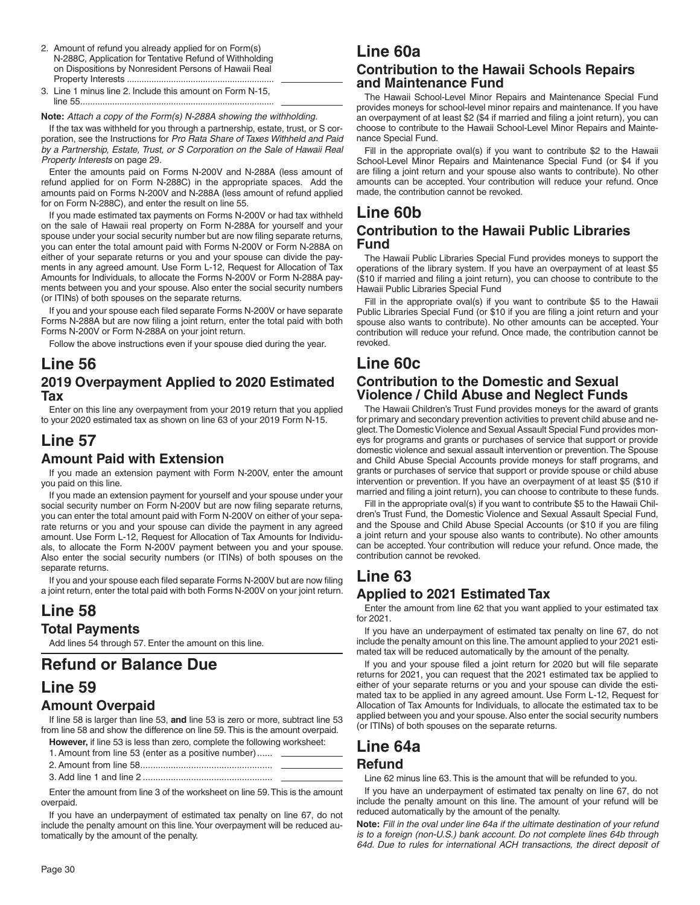- 2. Amount of refund you already applied for on Form(s) N-288C, Application for Tentative Refund of Withholding on Dispositions by Nonresident Persons of Hawaii Real Property Interests ............................................................
- 3. Line 1 minus line 2. Include this amount on Form N-15, line 55. ..............................................................................

**Note:** *Attach a copy of the Form(s) N-288A showing the withholding.*

If the tax was withheld for you through a partnership, estate, trust, or S corporation, see the Instructions for *Pro Rata Share of Taxes Withheld and Paid by a Partnership, Estate, Trust, or S Corporation on the Sale of Hawaii Real Property Interests* on page 29.

Enter the amounts paid on Forms N-200V and N-288A (less amount of refund applied for on Form N-288C) in the appropriate spaces. Add the amounts paid on Forms N-200V and N-288A (less amount of refund applied for on Form N-288C), and enter the result on line 55.

If you made estimated tax payments on Forms N-200V or had tax withheld on the sale of Hawaii real property on Form N-288A for yourself and your spouse under your social security number but are now filing separate returns, you can enter the total amount paid with Forms N-200V or Form N-288A on either of your separate returns or you and your spouse can divide the payments in any agreed amount. Use Form L-12, Request for Allocation of Tax Amounts for Individuals, to allocate the Forms N-200V or Form N-288A payments between you and your spouse. Also enter the social security numbers (or ITINs) of both spouses on the separate returns.

If you and your spouse each filed separate Forms N-200V or have separate Forms N-288A but are now filing a joint return, enter the total paid with both Forms N-200V or Form N-288A on your joint return.

Follow the above instructions even if your spouse died during the year.

### **Line 56 2019 Overpayment Applied to 2020 Estimated Tax**

Enter on this line any overpayment from your 2019 return that you applied to your 2020 estimated tax as shown on line 63 of your 2019 Form N-15.

# **Line 57**

### **Amount Paid with Extension**

If you made an extension payment with Form N-200V, enter the amount you paid on this line.

If you made an extension payment for yourself and your spouse under your social security number on Form N-200V but are now filing separate returns, you can enter the total amount paid with Form N-200V on either of your separate returns or you and your spouse can divide the payment in any agreed amount. Use Form L-12, Request for Allocation of Tax Amounts for Individuals, to allocate the Form N-200V payment between you and your spouse. Also enter the social security numbers (or ITINs) of both spouses on the separate returns.

If you and your spouse each filed separate Forms N-200V but are now filing a joint return, enter the total paid with both Forms N-200V on your joint return.

## **Line 58 Total Payments**

Add lines 54 through 57. Enter the amount on this line.

# **Refund or Balance Due**

## **Line 59**

### **Amount Overpaid**

If line 58 is larger than line 53, **and** line 53 is zero or more, subtract line 53 from line 58 and show the difference on line 59. This is the amount overpaid.

**However,** if line 53 is less than zero, complete the following worksheet:

| 1. Amount from line 53 (enter as a positive number) |  |
|-----------------------------------------------------|--|
|                                                     |  |

3. Add line 1 and line 2 ...................................................

Enter the amount from line 3 of the worksheet on line 59. This is the amount overpaid.

If you have an underpayment of estimated tax penalty on line 67, do not include the penalty amount on this line. Your overpayment will be reduced automatically by the amount of the penalty.

# **Line 60a**

### **Contribution to the Hawaii Schools Repairs and Maintenance Fund**

The Hawaii School-Level Minor Repairs and Maintenance Special Fund provides moneys for school-level minor repairs and maintenance. If you have an overpayment of at least \$2 (\$4 if married and filing a joint return), you can choose to contribute to the Hawaii School-Level Minor Repairs and Maintenance Special Fund.

Fill in the appropriate oval(s) if you want to contribute \$2 to the Hawaii School-Level Minor Repairs and Maintenance Special Fund (or \$4 if you are filing a joint return and your spouse also wants to contribute). No other amounts can be accepted. Your contribution will reduce your refund. Once made, the contribution cannot be revoked.

### **Line 60b Contribution to the Hawaii Public Libraries Fund**

The Hawaii Public Libraries Special Fund provides moneys to support the operations of the library system. If you have an overpayment of at least \$5  $($10$  if married and filing a joint return), you can choose to contribute to the Hawaii Public Libraries Special Fund

Fill in the appropriate oval(s) if you want to contribute \$5 to the Hawaii Public Libraries Special Fund (or \$10 if you are filing a joint return and your spouse also wants to contribute). No other amounts can be accepted. Your contribution will reduce your refund. Once made, the contribution cannot be revoked.

### **Line 60c Contribution to the Domestic and Sexual Violence / Child Abuse and Neglect Funds**

The Hawaii Children's Trust Fund provides moneys for the award of grants for primary and secondary prevention activities to prevent child abuse and neglect. The Domestic Violence and Sexual Assault Special Fund provides moneys for programs and grants or purchases of service that support or provide domestic violence and sexual assault intervention or prevention. The Spouse and Child Abuse Special Accounts provide moneys for staff programs, and grants or purchases of service that support or provide spouse or child abuse intervention or prevention. If you have an overpayment of at least \$5 (\$10 if married and filing a joint return), you can choose to contribute to these funds.

Fill in the appropriate oval(s) if you want to contribute \$5 to the Hawaii Children's Trust Fund, the Domestic Violence and Sexual Assault Special Fund, and the Spouse and Child Abuse Special Accounts (or \$10 if you are filing a joint return and your spouse also wants to contribute). No other amounts can be accepted. Your contribution will reduce your refund. Once made, the contribution cannot be revoked.

## **Line 63**

### **Applied to 2021 Estimated Tax**

Enter the amount from line 62 that you want applied to your estimated tax for 2021.

If you have an underpayment of estimated tax penalty on line 67, do not include the penalty amount on this line. The amount applied to your 2021 estimated tax will be reduced automatically by the amount of the penalty.

If you and your spouse filed a joint return for 2020 but will file separate returns for 2021, you can request that the 2021 estimated tax be applied to either of your separate returns or you and your spouse can divide the estimated tax to be applied in any agreed amount. Use Form L-12, Request for Allocation of Tax Amounts for Individuals, to allocate the estimated tax to be applied between you and your spouse. Also enter the social security numbers (or ITINs) of both spouses on the separate returns.

# **Line 64a**

### **Refund**

Line 62 minus line 63. This is the amount that will be refunded to you.

If you have an underpayment of estimated tax penalty on line 67, do not include the penalty amount on this line. The amount of your refund will be reduced automatically by the amount of the penalty.

**Note:** *Fill in the oval under line 64a if the ultimate destination of your refund is to a foreign (non-U.S.) bank account. Do not complete lines 64b through 64d. Due to rules for international ACH transactions, the direct deposit of*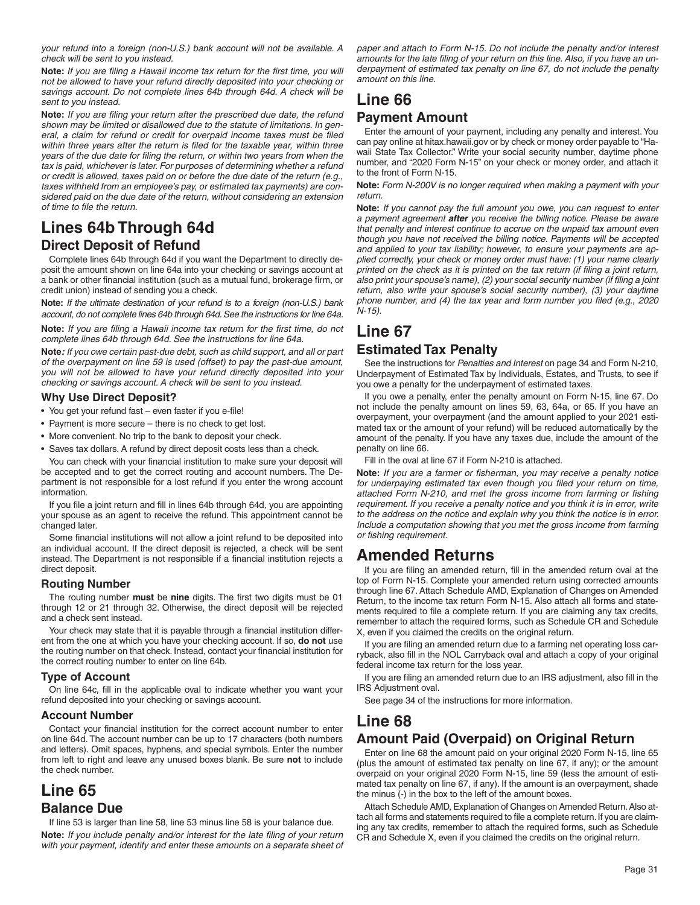*your refund into a foreign (non-U.S.) bank account will not be available. A check will be sent to you instead.*

**Note:** *If you are filing a Hawaii income tax return for the first time, you will not be allowed to have your refund directly deposited into your checking or savings account. Do not complete lines 64b through 64d. A check will be sent to you instead.*

Note: If you are filing your return after the prescribed due date, the refund *shown may be limited or disallowed due to the statute of limitations. In gen*eral, a claim for refund or credit for overpaid income taxes must be filed within three years after the return is filed for the taxable year, within three *years of the due date for filing the return, or within two years from when the tax is paid, whichever is later. For purposes of determining whether a refund or credit is allowed, taxes paid on or before the due date of the return (e.g., taxes withheld from an employee's pay, or estimated tax payments) are considered paid on the due date of the return, without considering an extension of time to file the return.* 

# **Lines 64b Through 64d Direct Deposit of Refund**

Complete lines 64b through 64d if you want the Department to directly deposit the amount shown on line 64a into your checking or savings account at a bank or other financial institution (such as a mutual fund, brokerage firm, or credit union) instead of sending you a check.

**Note:** *If the ultimate destination of your refund is to a foreign (non-U.S.) bank account, do not complete lines 64b through 64d. See the instructions for line 64a.*

**Note:** *If you are filing a Hawaii income tax return for the first time, do not complete lines 64b through 64d. See the instructions for line 64a.*

**Note***: If you owe certain past-due debt, such as child support, and all or part of the overpayment on line 59 is used (offset) to pay the past-due amount, you will not be allowed to have your refund directly deposited into your checking or savings account. A check will be sent to you instead.*

#### **Why Use Direct Deposit?**

- You get your refund fast even faster if you e-file!
- Payment is more secure there is no check to get lost.
- More convenient. No trip to the bank to deposit your check.
- Saves tax dollars. A refund by direct deposit costs less than a check.

You can check with your financial institution to make sure your deposit will be accepted and to get the correct routing and account numbers. The Department is not responsible for a lost refund if you enter the wrong account information.

If you file a joint return and fill in lines 64b through 64d, you are appointing your spouse as an agent to receive the refund. This appointment cannot be changed later.

Some financial institutions will not allow a joint refund to be deposited into an individual account. If the direct deposit is rejected, a check will be sent instead. The Department is not responsible if a financial institution rejects a direct deposit.

#### **Routing Number**

The routing number **must** be nine digits. The first two digits must be 01 through 12 or 21 through 32. Otherwise, the direct deposit will be rejected and a check sent instead.

Your check may state that it is payable through a financial institution different from the one at which you have your checking account. If so, **do not** use the routing number on that check. Instead, contact your financial institution for the correct routing number to enter on line 64b.

#### **Type of Account**

On line 64c, fill in the applicable oval to indicate whether you want your refund deposited into your checking or savings account.

#### **Account Number**

Contact your financial institution for the correct account number to enter on line 64d. The account number can be up to 17 characters (both numbers and letters). Omit spaces, hyphens, and special symbols. Enter the number from left to right and leave any unused boxes blank. Be sure **not** to include the check number.

### **Line 65 Balance Due**

If line 53 is larger than line 58, line 53 minus line 58 is your balance due. Note: If you include penalty and/or interest for the late filing of your return with your payment, identify and enter these amounts on a separate sheet of *paper and attach to Form N-15. Do not include the penalty and/or interest*  amounts for the late filing of your return on this line. Also, if you have an un*derpayment of estimated tax penalty on line 67, do not include the penalty amount on this line.*

# **Line 66**

### **Payment Amount**

Enter the amount of your payment, including any penalty and interest. You can pay online at hitax.hawaii.gov or by check or money order payable to "Hawaii State Tax Collector." Write your social security number, daytime phone number, and "2020 Form N-15" on your check or money order, and attach it to the front of Form N-15.

**Note:** *Form N-200V is no longer required when making a payment with your return.*

**Note:** *If you cannot pay the full amount you owe, you can request to enter a payment agreement after you receive the billing notice. Please be aware that penalty and interest continue to accrue on the unpaid tax amount even though you have not received the billing notice. Payments will be accepted and applied to your tax liability; however, to ensure your payments are applied correctly, your check or money order must have: (1) your name clearly printed on the check as it is printed on the tax return (if filing a joint return,* also print your spouse's name), (2) your social security number (if filing a joint *return, also write your spouse's social security number), (3) your daytime*  phone number, and (4) the tax year and form number you filed (e.g., 2020 *N-15).*

# **Line 67**

### **Estimated Tax Penalty**

See the instructions for *Penalties and Interest* on page 34 and Form N-210, Underpayment of Estimated Tax by Individuals, Estates, and Trusts, to see if you owe a penalty for the underpayment of estimated taxes.

If you owe a penalty, enter the penalty amount on Form N-15, line 67. Do not include the penalty amount on lines 59, 63, 64a, or 65. If you have an overpayment, your overpayment (and the amount applied to your 2021 estimated tax or the amount of your refund) will be reduced automatically by the amount of the penalty. If you have any taxes due, include the amount of the penalty on line 66.

Fill in the oval at line 67 if Form N-210 is attached.

Note: If you are a farmer or fisherman, you may receive a penalty notice for underpaying estimated tax even though you filed your return on time, attached Form N-210, and met the gross income from farming or fishing *requirement. If you receive a penalty notice and you think it is in error, write to the address on the notice and explain why you think the notice is in error. Include a computation showing that you met the gross income from farming or fi shing requirement.*

## **Amended Returns**

If you are filing an amended return, fill in the amended return oval at the top of Form N-15. Complete your amended return using corrected amounts through line 67. Attach Schedule AMD, Explanation of Changes on Amended Return, to the income tax return Form N-15. Also attach all forms and statements required to file a complete return. If you are claiming any tax credits, remember to attach the required forms, such as Schedule CR and Schedule X, even if you claimed the credits on the original return.

If you are filing an amended return due to a farming net operating loss carryback, also fill in the NOL Carryback oval and attach a copy of your original federal income tax return for the loss year.

If you are filing an amended return due to an IRS adjustment, also fill in the IRS Adjustment oval.

See page 34 of the instructions for more information.

# **Line 68**

### **Amount Paid (Overpaid) on Original Return**

Enter on line 68 the amount paid on your original 2020 Form N-15, line 65 (plus the amount of estimated tax penalty on line 67, if any); or the amount overpaid on your original 2020 Form N-15, line 59 (less the amount of estimated tax penalty on line 67, if any). If the amount is an overpayment, shade the minus (-) in the box to the left of the amount boxes.

Attach Schedule AMD, Explanation of Changes on Amended Return. Also attach all forms and statements required to file a complete return. If you are claiming any tax credits, remember to attach the required forms, such as Schedule CR and Schedule X, even if you claimed the credits on the original return.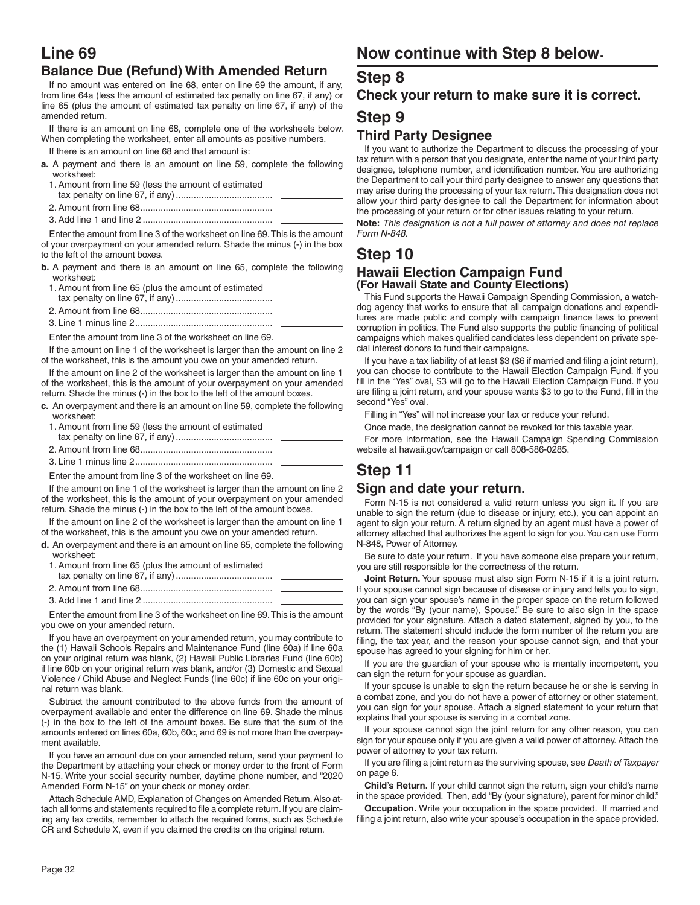# **Line 69**

### **Balance Due (Refund) With Amended Return**

If no amount was entered on line 68, enter on line 69 the amount, if any, from line 64a (less the amount of estimated tax penalty on line 67, if any) or line 65 (plus the amount of estimated tax penalty on line 67, if any) of the amended return.

If there is an amount on line 68, complete one of the worksheets below. When completing the worksheet, enter all amounts as positive numbers.

If there is an amount on line 68 and that amount is:

- **a.** A payment and there is an amount on line 59, complete the following worksheet:
- 1. Amount from line 59 (less the amount of estimated
- tax penalty on line 67, if any) ......................................
- 2. Amount from line 68 .................................................... 3. Add line 1 and line 2 ...................................................

Enter the amount from line 3 of the worksheet on line 69. This is the amount of your overpayment on your amended return. Shade the minus (-) in the box to the left of the amount boxes.

- **b.** A payment and there is an amount on line 65, complete the following worksheet:
	- 1. Amount from line 65 (plus the amount of estimated
	- tax penalty on line 67, if any) ...................................... 2. Amount from line 68 ....................................................
	- 3. Line 1 minus line 2 ......................................................

Enter the amount from line 3 of the worksheet on line 69.

If the amount on line 1 of the worksheet is larger than the amount on line 2 of the worksheet, this is the amount you owe on your amended return.

If the amount on line 2 of the worksheet is larger than the amount on line 1 of the worksheet, this is the amount of your overpayment on your amended return. Shade the minus (-) in the box to the left of the amount boxes.

**c.** An overpayment and there is an amount on line 59, complete the following worksheet:

| 1. Amount from line 59 (less the amount of estimated |  |
|------------------------------------------------------|--|
| tay nanalty on ling 67 if any)                       |  |

Enter the amount from line 3 of the worksheet on line 69.

If the amount on line 1 of the worksheet is larger than the amount on line 2 of the worksheet, this is the amount of your overpayment on your amended return. Shade the minus (-) in the box to the left of the amount boxes.

If the amount on line 2 of the worksheet is larger than the amount on line 1 of the worksheet, this is the amount you owe on your amended return.

- **d.** An overpayment and there is an amount on line 65, complete the following worksheet:
	- 1. Amount from line 65 (plus the amount of estimated tax penalty on line 67, if any) ......................................
	- 2. Amount from line 68 .................................................... 3. Add line 1 and line 2 ...................................................

Enter the amount from line 3 of the worksheet on line 69. This is the amount you owe on your amended return.

If you have an overpayment on your amended return, you may contribute to the (1) Hawaii Schools Repairs and Maintenance Fund (line 60a) if line 60a on your original return was blank, (2) Hawaii Public Libraries Fund (line 60b) if line 60b on your original return was blank, and/or (3) Domestic and Sexual Violence / Child Abuse and Neglect Funds (line 60c) if line 60c on your original return was blank.

Subtract the amount contributed to the above funds from the amount of overpayment available and enter the difference on line 69. Shade the minus (-) in the box to the left of the amount boxes. Be sure that the sum of the amounts entered on lines 60a, 60b, 60c, and 69 is not more than the overpayment available.

If you have an amount due on your amended return, send your payment to the Department by attaching your check or money order to the front of Form N-15. Write your social security number, daytime phone number, and "2020 Amended Form N-15" on your check or money order.

Attach Schedule AMD, Explanation of Changes on Amended Return. Also attach all forms and statements required to file a complete return. If you are claiming any tax credits, remember to attach the required forms, such as Schedule CR and Schedule X, even if you claimed the credits on the original return.

## **Now continue with Step 8 below.**

### **Step 8**

### **Check your return to make sure it is correct.**

### **Step 9**

### **Third Party Designee**

If you want to authorize the Department to discuss the processing of your tax return with a person that you designate, enter the name of your third party designee, telephone number, and identification number. You are authorizing the Department to call your third party designee to answer any questions that may arise during the processing of your tax return. This designation does not allow your third party designee to call the Department for information about the processing of your return or for other issues relating to your return.

**Note:** *This designation is not a full power of attorney and does not replace Form N-848.*

# **Step 10**

#### **Hawaii Election Campaign Fund (For Hawaii State and County Elections)**

This Fund supports the Hawaii Campaign Spending Commission, a watchdog agency that works to ensure that all campaign donations and expenditures are made public and comply with campaign finance laws to prevent corruption in politics. The Fund also supports the public financing of political campaigns which makes qualified candidates less dependent on private special interest donors to fund their campaigns.

If you have a tax liability of at least \$3 (\$6 if married and filing a joint return), you can choose to contribute to the Hawaii Election Campaign Fund. If you fill in the "Yes" oval, \$3 will go to the Hawaii Election Campaign Fund. If you are filing a joint return, and your spouse wants \$3 to go to the Fund, fill in the second "Yes" oval.

Filling in "Yes" will not increase your tax or reduce your refund.

Once made, the designation cannot be revoked for this taxable year.

For more information, see the Hawaii Campaign Spending Commission website at hawaii.gov/campaign or call 808-586-0285.

# **Step 11**

### **Sign and date your return.**

Form N-15 is not considered a valid return unless you sign it. If you are unable to sign the return (due to disease or injury, etc.), you can appoint an agent to sign your return. A return signed by an agent must have a power of attorney attached that authorizes the agent to sign for you. You can use Form N-848, Power of Attorney.

Be sure to date your return. If you have someone else prepare your return, you are still responsible for the correctness of the return.

**Joint Return.** Your spouse must also sign Form N-15 if it is a joint return. If your spouse cannot sign because of disease or injury and tells you to sign, you can sign your spouse's name in the proper space on the return followed by the words "By (your name), Spouse." Be sure to also sign in the space provided for your signature. Attach a dated statement, signed by you, to the return. The statement should include the form number of the return you are filing, the tax year, and the reason your spouse cannot sign, and that your spouse has agreed to your signing for him or her.

If you are the guardian of your spouse who is mentally incompetent, you can sign the return for your spouse as guardian.

If your spouse is unable to sign the return because he or she is serving in a combat zone, and you do not have a power of attorney or other statement, you can sign for your spouse. Attach a signed statement to your return that explains that your spouse is serving in a combat zone.

If your spouse cannot sign the joint return for any other reason, you can sign for your spouse only if you are given a valid power of attorney. Attach the power of attorney to your tax return.

If you are filing a joint return as the surviving spouse, see *Death of Taxpayer* on page 6.

**Child's Return.** If your child cannot sign the return, sign your child's name in the space provided. Then, add "By (your signature), parent for minor child."

**Occupation.** Write your occupation in the space provided. If married and filing a joint return, also write your spouse's occupation in the space provided.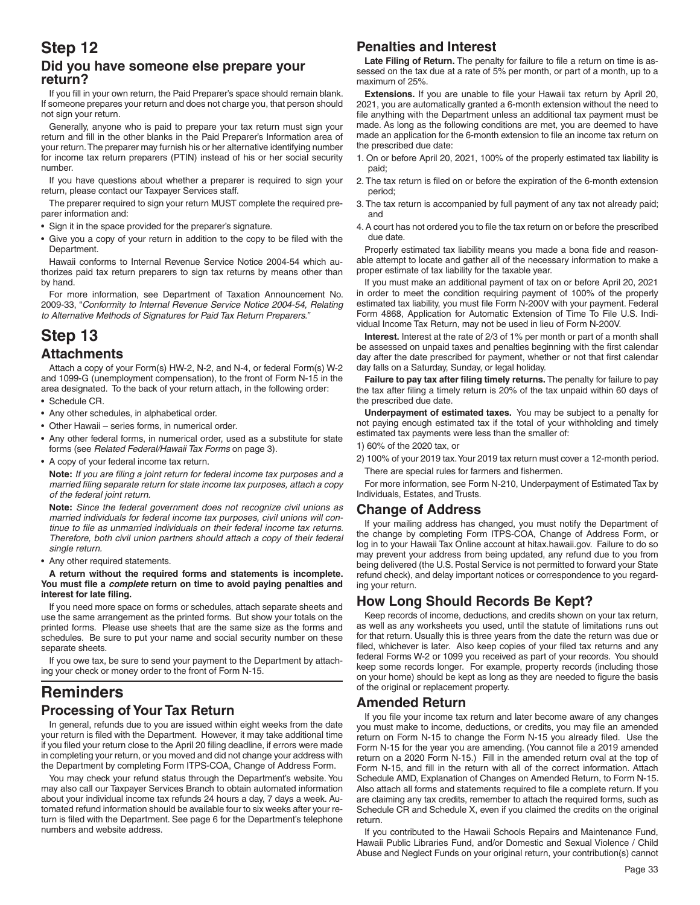### **Step 12 Did you have someone else prepare your return?**

If you fill in your own return, the Paid Preparer's space should remain blank. If someone prepares your return and does not charge you, that person should not sign your return.

Generally, anyone who is paid to prepare your tax return must sign your return and fill in the other blanks in the Paid Preparer's Information area of your return. The preparer may furnish his or her alternative identifying number for income tax return preparers (PTIN) instead of his or her social security number.

If you have questions about whether a preparer is required to sign your return, please contact our Taxpayer Services staff.

The preparer required to sign your return MUST complete the required preparer information and:

- Sign it in the space provided for the preparer's signature.
- Give you a copy of your return in addition to the copy to be filed with the Department.

Hawaii conforms to Internal Revenue Service Notice 2004-54 which authorizes paid tax return preparers to sign tax returns by means other than by hand.

For more information, see Department of Taxation Announcement No. 2009-33, "*Conformity to Internal Revenue Service Notice 2004-54, Relating to Alternative Methods of Signatures for Paid Tax Return Preparers."*

### **Step 13 Attachments**

Attach a copy of your Form(s) HW-2, N-2, and N-4, or federal Form(s) W-2 and 1099-G (unemployment compensation), to the front of Form N-15 in the area designated. To the back of your return attach, in the following order:

- Schedule CR.
- Any other schedules, in alphabetical order.
- Other Hawaii series forms, in numerical order.
- Any other federal forms, in numerical order, used as a substitute for state forms (see *Related Federal/Hawaii Tax Forms* on page 3).
- A copy of your federal income tax return.

**Note:** *If you are filing a joint return for federal income tax purposes and a married filing separate return for state income tax purposes, attach a copy of the federal joint return.*

**Note:** *Since the federal government does not recognize civil unions as married individuals for federal income tax purposes, civil unions will con*tinue to file as unmarried individuals on their federal income tax returns. *Therefore, both civil union partners should attach a copy of their federal single return.*

• Any other required statements.

**A return without the required forms and statements is incomplete.**  You must file a *complete* return on time to avoid paying penalties and **interest for late filing.** 

If you need more space on forms or schedules, attach separate sheets and use the same arrangement as the printed forms. But show your totals on the printed forms. Please use sheets that are the same size as the forms and schedules. Be sure to put your name and social security number on these separate sheets.

If you owe tax, be sure to send your payment to the Department by attaching your check or money order to the front of Form N-15.

# **Reminders**

### **Processing of Your Tax Return**

In general, refunds due to you are issued within eight weeks from the date your return is filed with the Department. However, it may take additional time if you filed your return close to the April 20 filing deadline, if errors were made in completing your return, or you moved and did not change your address with the Department by completing Form ITPS-COA, Change of Address Form.

You may check your refund status through the Department's website. You may also call our Taxpayer Services Branch to obtain automated information about your individual income tax refunds 24 hours a day, 7 days a week. Automated refund information should be available four to six weeks after your return is filed with the Department. See page 6 for the Department's telephone numbers and website address.

#### **Penalties and Interest**

Late Filing of Return. The penalty for failure to file a return on time is assessed on the tax due at a rate of 5% per month, or part of a month, up to a maximum of 25%.

Extensions. If you are unable to file your Hawaii tax return by April 20, 2021, you are automatically granted a 6-month extension without the need to file anything with the Department unless an additional tax payment must be made. As long as the following conditions are met, you are deemed to have made an application for the 6-month extension to file an income tax return on the prescribed due date:

- 1. On or before April 20, 2021, 100% of the properly estimated tax liability is paid;
- 2. The tax return is filed on or before the expiration of the 6-month extension period;
- 3. The tax return is accompanied by full payment of any tax not already paid; and
- 4. A court has not ordered you to file the tax return on or before the prescribed due date.

Properly estimated tax liability means you made a bona fide and reasonable attempt to locate and gather all of the necessary information to make a proper estimate of tax liability for the taxable year.

If you must make an additional payment of tax on or before April 20, 2021 in order to meet the condition requiring payment of 100% of the properly estimated tax liability, you must file Form N-200V with your payment. Federal Form 4868, Application for Automatic Extension of Time To File U.S. Individual Income Tax Return, may not be used in lieu of Form N-200V.

**Interest.** Interest at the rate of 2/3 of 1% per month or part of a month shall be assessed on unpaid taxes and penalties beginning with the first calendar day after the date prescribed for payment, whether or not that first calendar day falls on a Saturday, Sunday, or legal holiday.

Failure to pay tax after filing timely returns. The penalty for failure to pay the tax after filing a timely return is 20% of the tax unpaid within 60 days of the prescribed due date.

**Underpayment of estimated taxes.** You may be subject to a penalty for not paying enough estimated tax if the total of your withholding and timely estimated tax payments were less than the smaller of:

1) 60% of the 2020 tax, or

2) 100% of your 2019 tax. Your 2019 tax return must cover a 12-month period. There are special rules for farmers and fishermen.

For more information, see Form N-210, Underpayment of Estimated Tax by Individuals, Estates, and Trusts.

#### **Change of Address**

If your mailing address has changed, you must notify the Department of the change by completing Form ITPS-COA, Change of Address Form, or log in to your Hawaii Tax Online account at hitax.hawaii.gov. Failure to do so may prevent your address from being updated, any refund due to you from being delivered (the U.S. Postal Service is not permitted to forward your State refund check), and delay important notices or correspondence to you regarding your return.

#### **How Long Should Records Be Kept?**

Keep records of income, deductions, and credits shown on your tax return, as well as any worksheets you used, until the statute of limitations runs out for that return. Usually this is three years from the date the return was due or filed, whichever is later. Also keep copies of your filed tax returns and any federal Forms W-2 or 1099 you received as part of your records. You should keep some records longer. For example, property records (including those on your home) should be kept as long as they are needed to figure the basis of the original or replacement property.

#### **Amended Return**

If you file your income tax return and later become aware of any changes you must make to income, deductions, or credits, you may file an amended return on Form N-15 to change the Form N-15 you already filed. Use the Form N-15 for the year you are amending. (You cannot file a 2019 amended return on a 2020 Form N-15.) Fill in the amended return oval at the top of Form N-15, and fill in the return with all of the correct information. Attach Schedule AMD, Explanation of Changes on Amended Return, to Form N-15. Also attach all forms and statements required to file a complete return. If you are claiming any tax credits, remember to attach the required forms, such as Schedule CR and Schedule X, even if you claimed the credits on the original return.

If you contributed to the Hawaii Schools Repairs and Maintenance Fund, Hawaii Public Libraries Fund, and/or Domestic and Sexual Violence / Child Abuse and Neglect Funds on your original return, your contribution(s) cannot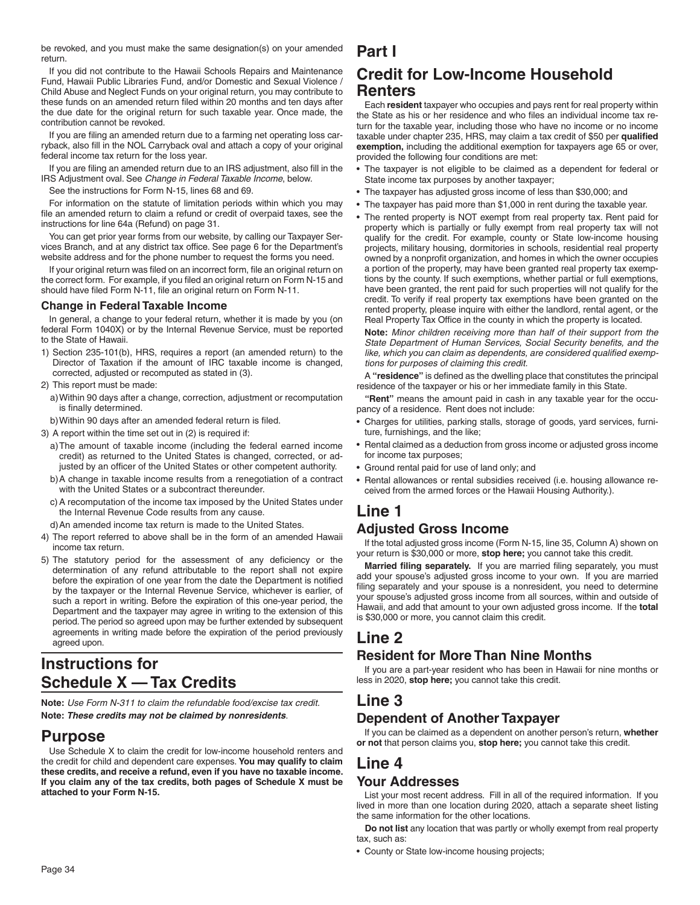be revoked, and you must make the same designation(s) on your amended return.

If you did not contribute to the Hawaii Schools Repairs and Maintenance Fund, Hawaii Public Libraries Fund, and/or Domestic and Sexual Violence / Child Abuse and Neglect Funds on your original return, you may contribute to these funds on an amended return filed within 20 months and ten days after the due date for the original return for such taxable year. Once made, the contribution cannot be revoked.

If you are filing an amended return due to a farming net operating loss carryback, also fill in the NOL Carryback oval and attach a copy of your original federal income tax return for the loss year.

If you are filing an amended return due to an IRS adjustment, also fill in the IRS Adjustment oval. See *Change in Federal Taxable Income*, below.

See the instructions for Form N-15, lines 68 and 69.

For information on the statute of limitation periods within which you may file an amended return to claim a refund or credit of overpaid taxes, see the instructions for line 64a (Refund) on page 31.

You can get prior year forms from our website, by calling our Taxpayer Services Branch, and at any district tax office. See page 6 for the Department's website address and for the phone number to request the forms you need.

If your original return was filed on an incorrect form, file an original return on the correct form. For example, if you filed an original return on Form N-15 and should have filed Form N-11, file an original return on Form N-11.

#### **Change in Federal Taxable Income**

In general, a change to your federal return, whether it is made by you (on federal Form 1040X) or by the Internal Revenue Service, must be reported to the State of Hawaii.

- 1) Section 235-101(b), HRS, requires a report (an amended return) to the Director of Taxation if the amount of IRC taxable income is changed, corrected, adjusted or recomputed as stated in (3).
- 2) This report must be made:
	- a) Within 90 days after a change, correction, adjustment or recomputation is finally determined.
- b) Within 90 days after an amended federal return is filed.
- 3) A report within the time set out in (2) is required if:
	- a) The amount of taxable income (including the federal earned income credit) as returned to the United States is changed, corrected, or adjusted by an officer of the United States or other competent authority.
	- b) A change in taxable income results from a renegotiation of a contract with the United States or a subcontract thereunder.
	- c) A recomputation of the income tax imposed by the United States under the Internal Revenue Code results from any cause.
- d) An amended income tax return is made to the United States.
- 4) The report referred to above shall be in the form of an amended Hawaii income tax return.
- 5) The statutory period for the assessment of any deficiency or the determination of any refund attributable to the report shall not expire before the expiration of one year from the date the Department is notified by the taxpayer or the Internal Revenue Service, whichever is earlier, of such a report in writing. Before the expiration of this one-year period, the Department and the taxpayer may agree in writing to the extension of this period. The period so agreed upon may be further extended by subsequent agreements in writing made before the expiration of the period previously agreed upon.

# **Instructions for Schedule X — Tax Credits**

**Note:** *Use Form N-311 to claim the refundable food/excise tax credit.* **Note:** *These credits may not be claimed by nonresidents*.

### **Purpose**

Use Schedule X to claim the credit for low-income household renters and the credit for child and dependent care expenses. **You may qualify to claim these credits, and receive a refund, even if you have no taxable income. If you claim any of the tax credits, both pages of Schedule X must be attached to your Form N-15.**

# **Credit for Low-Income Household Renters**

Each **resident** taxpayer who occupies and pays rent for real property within the State as his or her residence and who files an individual income tax return for the taxable year, including those who have no income or no income taxable under chapter 235, HRS, may claim a tax credit of \$50 per qualified **exemption,** including the additional exemption for taxpayers age 65 or over, provided the following four conditions are met:

- The taxpayer is not eligible to be claimed as a dependent for federal or State income tax purposes by another taxpayer;
- The taxpayer has adjusted gross income of less than \$30,000; and
- The taxpayer has paid more than \$1,000 in rent during the taxable year.
- The rented property is NOT exempt from real property tax. Rent paid for property which is partially or fully exempt from real property tax will not qualify for the credit. For example, county or State low-income housing projects, military housing, dormitories in schools, residential real property owned by a nonprofit organization, and homes in which the owner occupies a portion of the property, may have been granted real property tax exemptions by the county. If such exemptions, whether partial or full exemptions, have been granted, the rent paid for such properties will not qualify for the credit. To verify if real property tax exemptions have been granted on the rented property, please inquire with either the landlord, rental agent, or the Real Property Tax Office in the county in which the property is located.

**Note:** *Minor children receiving more than half of their support from the*  State Department of Human Services, Social Security benefits, and the like, which you can claim as dependents, are considered qualified exemp*tions for purposes of claiming this credit.*

A "residence" is defined as the dwelling place that constitutes the principal residence of the taxpayer or his or her immediate family in this State.

**"Rent"** means the amount paid in cash in any taxable year for the occupancy of a residence. Rent does not include:

- Charges for utilities, parking stalls, storage of goods, yard services, furniture, furnishings, and the like;
- Rental claimed as a deduction from gross income or adjusted gross income for income tax purposes;
- Ground rental paid for use of land only; and
- Rental allowances or rental subsidies received (i.e. housing allowance received from the armed forces or the Hawaii Housing Authority.).

# **Line 1**

**Part I**

### **Adjusted Gross Income**

If the total adjusted gross income (Form N-15, line 35, Column A) shown on your return is \$30,000 or more, **stop here;** you cannot take this credit.

Married filing separately. If you are married filing separately, you must add your spouse's adjusted gross income to your own. If you are married filing separately and your spouse is a nonresident, you need to determine your spouse's adjusted gross income from all sources, within and outside of Hawaii, and add that amount to your own adjusted gross income. If the **total** is \$30,000 or more, you cannot claim this credit.

# **Line 2**

### **Resident for More Than Nine Months**

If you are a part-year resident who has been in Hawaii for nine months or less in 2020, **stop here;** you cannot take this credit.

### **Line 3**

### **Dependent of Another Taxpayer**

If you can be claimed as a dependent on another person's return, **whether or not** that person claims you, **stop here;** you cannot take this credit.

# **Line 4**

### **Your Addresses**

List your most recent address. Fill in all of the required information. If you lived in more than one location during 2020, attach a separate sheet listing the same information for the other locations.

**Do not list** any location that was partly or wholly exempt from real property tax, such as:

• County or State low-income housing projects;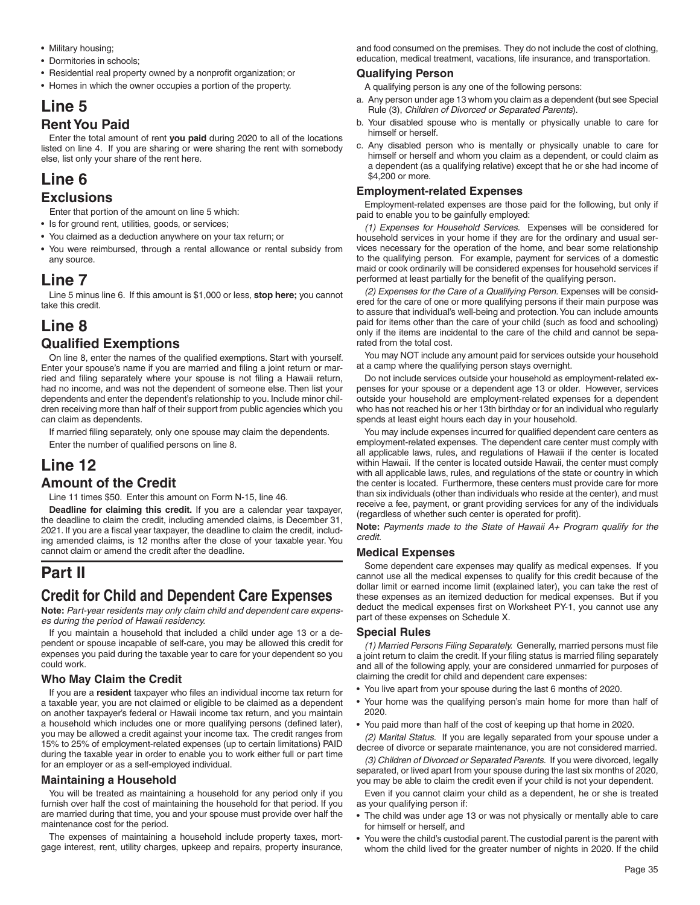- Military housing;
- Dormitories in schools;
- Residential real property owned by a nonprofit organization; or
- Homes in which the owner occupies a portion of the property.

### **Line 5 Rent You Paid**

Enter the total amount of rent **you paid** during 2020 to all of the locations listed on line 4. If you are sharing or were sharing the rent with somebody else, list only your share of the rent here.

# **Line 6**

### **Exclusions**

Enter that portion of the amount on line 5 which:

- Is for ground rent, utilities, goods, or services;
- You claimed as a deduction anywhere on your tax return; or
- You were reimbursed, through a rental allowance or rental subsidy from any source.

### **Line 7**

Line 5 minus line 6. If this amount is \$1,000 or less, **stop here;** you cannot take this credit.

## **Line 8 Qualified Exemptions**

On line 8, enter the names of the qualified exemptions. Start with yourself. Enter your spouse's name if you are married and filing a joint return or married and filing separately where your spouse is not filing a Hawaii return, had no income, and was not the dependent of someone else. Then list your dependents and enter the dependent's relationship to you. Include minor children receiving more than half of their support from public agencies which you can claim as dependents.

If married filing separately, only one spouse may claim the dependents.

Enter the number of qualified persons on line 8.

## **Line 12**

### **Amount of the Credit**

Line 11 times \$50. Enter this amount on Form N-15, line 46.

**Deadline for claiming this credit.** If you are a calendar year taxpayer, the deadline to claim the credit, including amended claims, is December 31, 2021. If you are a fiscal year taxpayer, the deadline to claim the credit, including amended claims, is 12 months after the close of your taxable year. You cannot claim or amend the credit after the deadline.

# **Part II**

# **Credit for Child and Dependent Care Expenses**

**Note:** *Part-year residents may only claim child and dependent care expenses during the period of Hawaii residency.*

If you maintain a household that included a child under age 13 or a dependent or spouse incapable of self-care, you may be allowed this credit for expenses you paid during the taxable year to care for your dependent so you could work.

#### **Who May Claim the Credit**

If you are a **resident** taxpayer who files an individual income tax return for a taxable year, you are not claimed or eligible to be claimed as a dependent on another taxpayer's federal or Hawaii income tax return, and you maintain a household which includes one or more qualifying persons (defined later), you may be allowed a credit against your income tax. The credit ranges from 15% to 25% of employment-related expenses (up to certain limitations) PAID during the taxable year in order to enable you to work either full or part time for an employer or as a self-employed individual.

#### **Maintaining a Household**

You will be treated as maintaining a household for any period only if you furnish over half the cost of maintaining the household for that period. If you are married during that time, you and your spouse must provide over half the maintenance cost for the period.

The expenses of maintaining a household include property taxes, mortgage interest, rent, utility charges, upkeep and repairs, property insurance, and food consumed on the premises. They do not include the cost of clothing, education, medical treatment, vacations, life insurance, and transportation.

#### **Qualifying Person**

A qualifying person is any one of the following persons:

- a. Any person under age 13 whom you claim as a dependent (but see Special Rule (3), *Children of Divorced or Separated Parents*).
- b. Your disabled spouse who is mentally or physically unable to care for himself or herself.
- c. Any disabled person who is mentally or physically unable to care for himself or herself and whom you claim as a dependent, or could claim as a dependent (as a qualifying relative) except that he or she had income of \$4,200 or more.

#### **Employment-related Expenses**

Employment-related expenses are those paid for the following, but only if paid to enable you to be gainfully employed:

*(1) Expenses for Household Services.* Expenses will be considered for household services in your home if they are for the ordinary and usual services necessary for the operation of the home, and bear some relationship to the qualifying person. For example, payment for services of a domestic maid or cook ordinarily will be considered expenses for household services if performed at least partially for the benefit of the qualifying person.

*(2) Expenses for the Care of a Qualifying Person.* Expenses will be considered for the care of one or more qualifying persons if their main purpose was to assure that individual's well-being and protection. You can include amounts paid for items other than the care of your child (such as food and schooling) only if the items are incidental to the care of the child and cannot be separated from the total cost.

You may NOT include any amount paid for services outside your household at a camp where the qualifying person stays overnight.

Do not include services outside your household as employment-related expenses for your spouse or a dependent age 13 or older. However, services outside your household are employment-related expenses for a dependent who has not reached his or her 13th birthday or for an individual who regularly spends at least eight hours each day in your household.

You may include expenses incurred for qualified dependent care centers as employment-related expenses. The dependent care center must comply with all applicable laws, rules, and regulations of Hawaii if the center is located within Hawaii. If the center is located outside Hawaii, the center must comply with all applicable laws, rules, and regulations of the state or country in which the center is located. Furthermore, these centers must provide care for more than six individuals (other than individuals who reside at the center), and must receive a fee, payment, or grant providing services for any of the individuals (regardless of whether such center is operated for profit).

**Note:** *Payments made to the State of Hawaii A+ Program qualify for the credit.*

#### **Medical Expenses**

Some dependent care expenses may qualify as medical expenses. If you cannot use all the medical expenses to qualify for this credit because of the dollar limit or earned income limit (explained later), you can take the rest of these expenses as an itemized deduction for medical expenses. But if you deduct the medical expenses first on Worksheet PY-1, you cannot use any part of these expenses on Schedule X.

#### **Special Rules**

*(1) Married Persons Filing Separately.* Generally, married persons must file a joint return to claim the credit. If your filing status is married filing separately and all of the following apply, your are considered unmarried for purposes of claiming the credit for child and dependent care expenses:

- You live apart from your spouse during the last 6 months of 2020.
- Your home was the qualifying person's main home for more than half of 2020.
- You paid more than half of the cost of keeping up that home in 2020.

*(2) Marital Status.* If you are legally separated from your spouse under a decree of divorce or separate maintenance, you are not considered married.

*(3) Children of Divorced or Separated Parents.* If you were divorced, legally separated, or lived apart from your spouse during the last six months of 2020, you may be able to claim the credit even if your child is not your dependent.

Even if you cannot claim your child as a dependent, he or she is treated as your qualifying person if:

- The child was under age 13 or was not physically or mentally able to care for himself or herself, and
- You were the child's custodial parent. The custodial parent is the parent with whom the child lived for the greater number of nights in 2020. If the child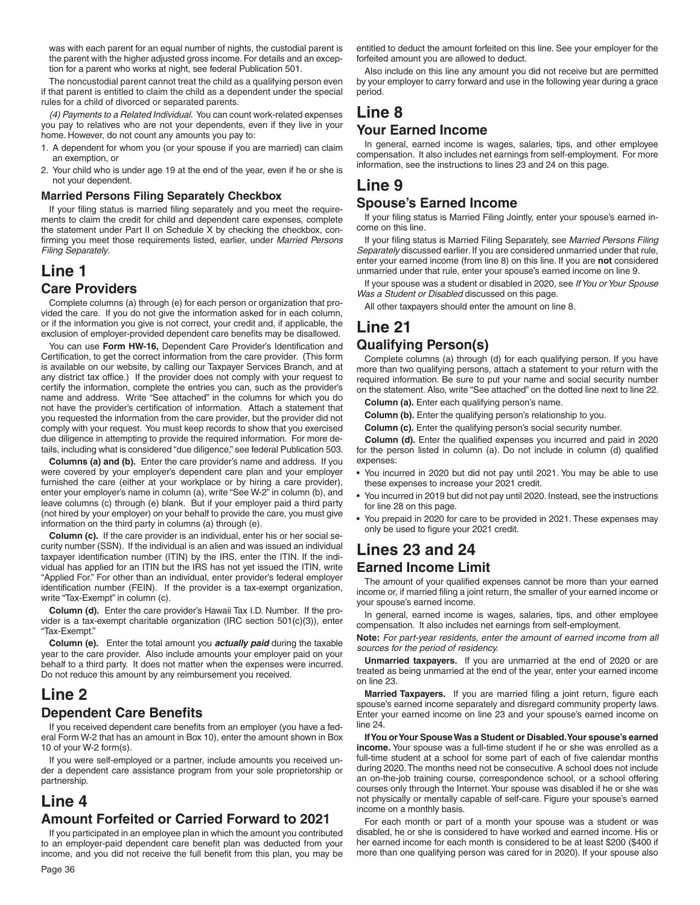was with each parent for an equal number of nights, the custodial parent is the parent with the higher adjusted gross income. For details and an exception for a parent who works at night, see federal Publication 501.

The noncustodial parent cannot treat the child as a qualifying person even if that parent is entitled to claim the child as a dependent under the special rules for a child of divorced or separated parents.

*(4) Payments to a Related Individual.* You can count work-related expenses you pay to relatives who are not your dependents, even if they live in your home. However, do not count any amounts you pay to:

- 1. A dependent for whom you (or your spouse if you are married) can claim an exemption, or
- 2. Your child who is under age 19 at the end of the year, even if he or she is not your dependent.

#### **Married Persons Filing Separately Checkbox**

If your filing status is married filing separately and you meet the requirements to claim the credit for child and dependent care expenses, complete the statement under Part II on Schedule X by checking the checkbox, confirming you meet those requirements listed, earlier, under Married Persons *Filing Separately*.

### **Line 1 Care Providers**

Complete columns (a) through (e) for each person or organization that provided the care. If you do not give the information asked for in each column, or if the information you give is not correct, your credit and, if applicable, the exclusion of employer-provided dependent care benefits may be disallowed.

You can use Form HW-16, Dependent Care Provider's Identification and Certification, to get the correct information from the care provider. (This form is available on our website, by calling our Taxpayer Services Branch, and at any district tax office.) If the provider does not comply with your request to certify the information, complete the entries you can, such as the provider's name and address. Write "See attached" in the columns for which you do not have the provider's certification of information. Attach a statement that you requested the information from the care provider, but the provider did not comply with your request. You must keep records to show that you exercised due diligence in attempting to provide the required information. For more details, including what is considered "due diligence," see federal Publication 503.

**Columns (a) and (b).** Enter the care provider's name and address. If you were covered by your employer's dependent care plan and your employer furnished the care (either at your workplace or by hiring a care provider), enter your employer's name in column (a), write "See W-2" in column (b), and leave columns (c) through (e) blank. But if your employer paid a third party (not hired by your employer) on your behalf to provide the care, you must give information on the third party in columns (a) through (e).

**Column (c).** If the care provider is an individual, enter his or her social security number (SSN). If the individual is an alien and was issued an individual taxpayer identification number (ITIN) by the IRS, enter the ITIN. If the individual has applied for an ITIN but the IRS has not yet issued the ITIN, write "Applied For." For other than an individual, enter provider's federal employer identification number (FEIN). If the provider is a tax-exempt organization, write "Tax-Exempt" in column (c).

**Column (d).** Enter the care provider's Hawaii Tax I.D. Number. If the provider is a tax-exempt charitable organization (IRC section 501(c)(3)), enter "Tax-Exempt."

**Column (e).** Enter the total amount you *actually paid* during the taxable year to the care provider. Also include amounts your employer paid on your behalf to a third party. It does not matter when the expenses were incurred. Do not reduce this amount by any reimbursement you received.

### **Line 2 Dependent Care Benefits**

If you received dependent care benefits from an employer (you have a federal Form W-2 that has an amount in Box 10), enter the amount shown in Box 10 of your W-2 form(s).

If you were self-employed or a partner, include amounts you received under a dependent care assistance program from your sole proprietorship or partnership.

# **Line 4 Amount Forfeited or Carried Forward to 2021**

If you participated in an employee plan in which the amount you contributed to an employer-paid dependent care benefit plan was deducted from your income, and you did not receive the full benefit from this plan, you may be

entitled to deduct the amount forfeited on this line. See your employer for the forfeited amount you are allowed to deduct.

Also include on this line any amount you did not receive but are permitted by your employer to carry forward and use in the following year during a grace period.

# **Line 8**

### **Your Earned Income**

In general, earned income is wages, salaries, tips, and other employee compensation. It also includes net earnings from self-employment. For more information, see the instructions to lines 23 and 24 on this page.

# **Line 9**

#### **Spouse's Earned Income**

If your filing status is Married Filing Jointly, enter your spouse's earned income on this line.

If your filing status is Married Filing Separately, see Married Persons Filing *Separately* discussed earlier*.* If you are considered unmarried under that rule, enter your earned income (from line 8) on this line. If you are **not** considered unmarried under that rule, enter your spouse's earned income on line 9.

If your spouse was a student or disabled in 2020, see *If You or Your Spouse Was a Student or Disabled* discussed on this page.

All other taxpayers should enter the amount on line 8.

# **Line 21**

### **Qualifying Person(s)**

Complete columns (a) through (d) for each qualifying person. If you have more than two qualifying persons, attach a statement to your return with the required information. Be sure to put your name and social security number on the statement. Also, write "See attached" on the dotted line next to line 22.

**Column (a).** Enter each qualifying person's name.

**Column (b).** Enter the qualifying person's relationship to you.

**Column (c).** Enter the qualifying person's social security number.

**Column (d).** Enter the qualified expenses you incurred and paid in 2020 for the person listed in column (a). Do not include in column (d) qualified expenses:

- You incurred in 2020 but did not pay until 2021. You may be able to use these expenses to increase your 2021 credit.
- You incurred in 2019 but did not pay until 2020. Instead, see the instructions for line 28 on this page.
- You prepaid in 2020 for care to be provided in 2021. These expenses may only be used to figure your 2021 credit.

### **Lines 23 and 24 Earned Income Limit**

The amount of your qualified expenses cannot be more than your earned income or, if married filing a joint return, the smaller of your earned income or your spouse's earned income.

In general, earned income is wages, salaries, tips, and other employee compensation. It also includes net earnings from self-employment.

**Note:** *For part-year residents, enter the amount of earned income from all sources for the period of residency.*

**Unmarried taxpayers.** If you are unmarried at the end of 2020 or are treated as being unmarried at the end of the year, enter your earned income on line 23.

**Married Taxpayers.** If you are married filing a joint return, figure each spouse's earned income separately and disregard community property laws. Enter your earned income on line 23 and your spouse's earned income on line 24.

**If You or Your Spouse Was a Student or Disabled. Your spouse's earned income.** Your spouse was a full-time student if he or she was enrolled as a full-time student at a school for some part of each of five calendar months during 2020. The months need not be consecutive. A school does not include an on-the-job training course, correspondence school, or a school offering courses only through the Internet. Your spouse was disabled if he or she was not physically or mentally capable of self-care. Figure your spouse's earned income on a monthly basis.

For each month or part of a month your spouse was a student or was disabled, he or she is considered to have worked and earned income. His or her earned income for each month is considered to be at least \$200 (\$400 if more than one qualifying person was cared for in 2020). If your spouse also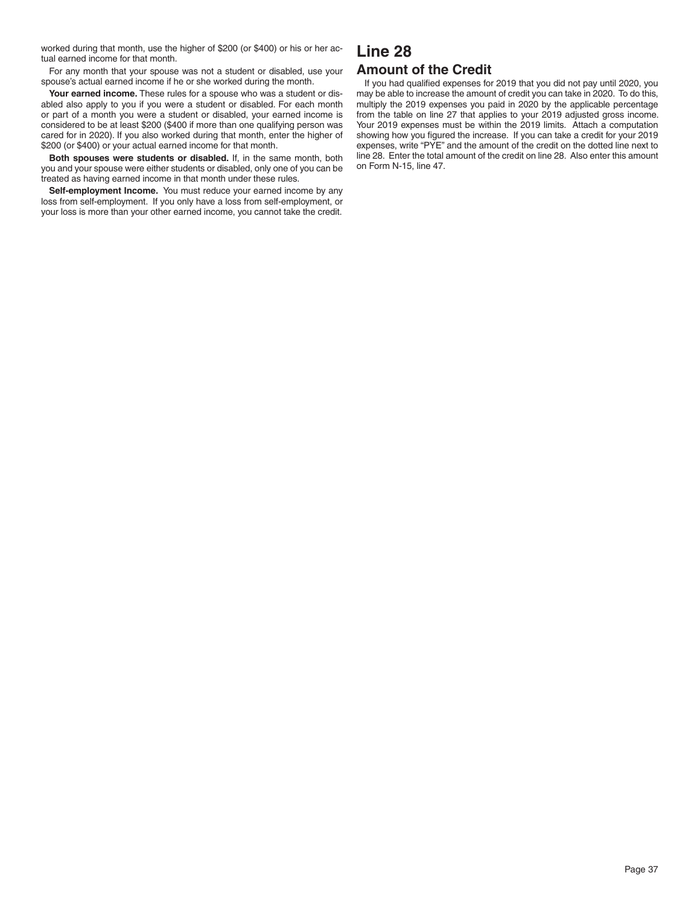worked during that month, use the higher of \$200 (or \$400) or his or her actual earned income for that month.

For any month that your spouse was not a student or disabled, use your spouse's actual earned income if he or she worked during the month.

**Your earned income.** These rules for a spouse who was a student or disabled also apply to you if you were a student or disabled. For each month or part of a month you were a student or disabled, your earned income is considered to be at least \$200 (\$400 if more than one qualifying person was cared for in 2020). If you also worked during that month, enter the higher of \$200 (or \$400) or your actual earned income for that month.

**Both spouses were students or disabled.** If, in the same month, both you and your spouse were either students or disabled, only one of you can be treated as having earned income in that month under these rules.

**Self-employment Income.** You must reduce your earned income by any loss from self-employment. If you only have a loss from self-employment, or your loss is more than your other earned income, you cannot take the credit.

### **Line 28 Amount of the Credit**

If you had qualified expenses for 2019 that you did not pay until 2020, you may be able to increase the amount of credit you can take in 2020. To do this, multiply the 2019 expenses you paid in 2020 by the applicable percentage from the table on line 27 that applies to your 2019 adjusted gross income. Your 2019 expenses must be within the 2019 limits. Attach a computation showing how you figured the increase. If you can take a credit for your 2019 expenses, write "PYE" and the amount of the credit on the dotted line next to line 28. Enter the total amount of the credit on line 28. Also enter this amount on Form N-15, line 47.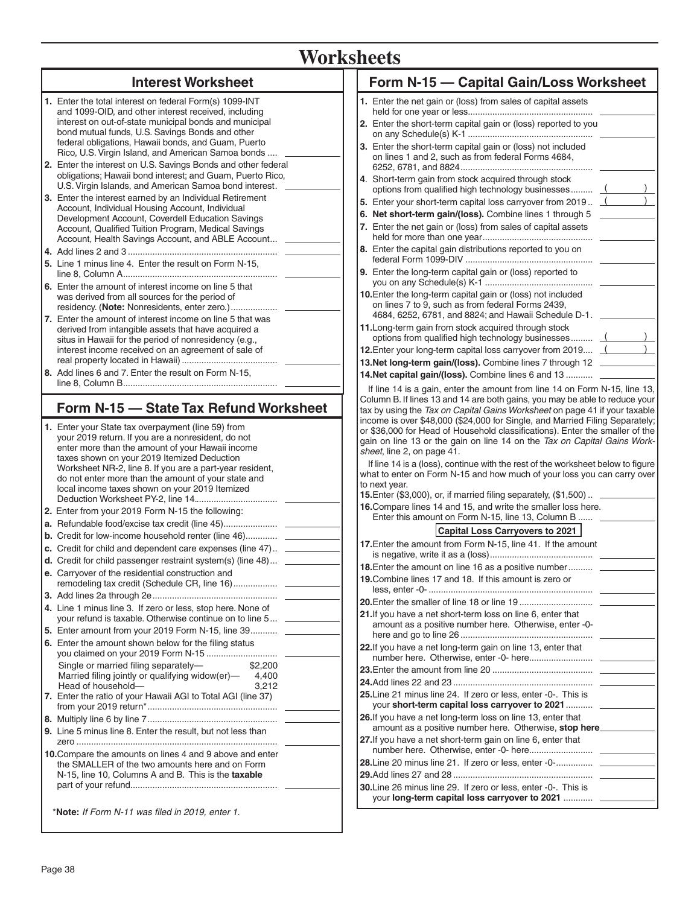# **Worksheets**

| <b>Interest Worksheet</b>                                                                                                                                                                                                                                                                                                                                                                                                                                                                                                                                                                                                                                                                                                                                                                                                                                                                                                                                                                                                                                                                                                                                                                                                                                                                                                                                                                                                                                                                                                                                                                                                                                                                                                                                                                                                                                                                                                                                                                                                                                                                                                                                                                                                                                                                                                                                                                                                                                                                                    | Form N-15 - Capital Gain/Loss Worksheet                                                                                                                                           |
|--------------------------------------------------------------------------------------------------------------------------------------------------------------------------------------------------------------------------------------------------------------------------------------------------------------------------------------------------------------------------------------------------------------------------------------------------------------------------------------------------------------------------------------------------------------------------------------------------------------------------------------------------------------------------------------------------------------------------------------------------------------------------------------------------------------------------------------------------------------------------------------------------------------------------------------------------------------------------------------------------------------------------------------------------------------------------------------------------------------------------------------------------------------------------------------------------------------------------------------------------------------------------------------------------------------------------------------------------------------------------------------------------------------------------------------------------------------------------------------------------------------------------------------------------------------------------------------------------------------------------------------------------------------------------------------------------------------------------------------------------------------------------------------------------------------------------------------------------------------------------------------------------------------------------------------------------------------------------------------------------------------------------------------------------------------------------------------------------------------------------------------------------------------------------------------------------------------------------------------------------------------------------------------------------------------------------------------------------------------------------------------------------------------------------------------------------------------------------------------------------------------|-----------------------------------------------------------------------------------------------------------------------------------------------------------------------------------|
| 1. Enter the total interest on federal Form(s) 1099-INT                                                                                                                                                                                                                                                                                                                                                                                                                                                                                                                                                                                                                                                                                                                                                                                                                                                                                                                                                                                                                                                                                                                                                                                                                                                                                                                                                                                                                                                                                                                                                                                                                                                                                                                                                                                                                                                                                                                                                                                                                                                                                                                                                                                                                                                                                                                                                                                                                                                      | 1. Enter the net gain or (loss) from sales of capital assets                                                                                                                      |
| and 1099-OID, and other interest received, including<br>interest on out-of-state municipal bonds and municipal                                                                                                                                                                                                                                                                                                                                                                                                                                                                                                                                                                                                                                                                                                                                                                                                                                                                                                                                                                                                                                                                                                                                                                                                                                                                                                                                                                                                                                                                                                                                                                                                                                                                                                                                                                                                                                                                                                                                                                                                                                                                                                                                                                                                                                                                                                                                                                                               | 2. Enter the short-term capital gain or (loss) reported to you                                                                                                                    |
| bond mutual funds, U.S. Savings Bonds and other                                                                                                                                                                                                                                                                                                                                                                                                                                                                                                                                                                                                                                                                                                                                                                                                                                                                                                                                                                                                                                                                                                                                                                                                                                                                                                                                                                                                                                                                                                                                                                                                                                                                                                                                                                                                                                                                                                                                                                                                                                                                                                                                                                                                                                                                                                                                                                                                                                                              |                                                                                                                                                                                   |
| federal obligations, Hawaii bonds, and Guam, Puerto<br>Rico, U.S. Virgin Island, and American Samoa bonds                                                                                                                                                                                                                                                                                                                                                                                                                                                                                                                                                                                                                                                                                                                                                                                                                                                                                                                                                                                                                                                                                                                                                                                                                                                                                                                                                                                                                                                                                                                                                                                                                                                                                                                                                                                                                                                                                                                                                                                                                                                                                                                                                                                                                                                                                                                                                                                                    | 3. Enter the short-term capital gain or (loss) not included                                                                                                                       |
| 2. Enter the interest on U.S. Savings Bonds and other federal                                                                                                                                                                                                                                                                                                                                                                                                                                                                                                                                                                                                                                                                                                                                                                                                                                                                                                                                                                                                                                                                                                                                                                                                                                                                                                                                                                                                                                                                                                                                                                                                                                                                                                                                                                                                                                                                                                                                                                                                                                                                                                                                                                                                                                                                                                                                                                                                                                                | on lines 1 and 2, such as from federal Forms 4684,                                                                                                                                |
| obligations; Hawaii bond interest; and Guam, Puerto Rico,<br>U.S. Virgin Islands, and American Samoa bond interest.                                                                                                                                                                                                                                                                                                                                                                                                                                                                                                                                                                                                                                                                                                                                                                                                                                                                                                                                                                                                                                                                                                                                                                                                                                                                                                                                                                                                                                                                                                                                                                                                                                                                                                                                                                                                                                                                                                                                                                                                                                                                                                                                                                                                                                                                                                                                                                                          | 4. Short-term gain from stock acquired through stock                                                                                                                              |
| 3. Enter the interest earned by an Individual Retirement                                                                                                                                                                                                                                                                                                                                                                                                                                                                                                                                                                                                                                                                                                                                                                                                                                                                                                                                                                                                                                                                                                                                                                                                                                                                                                                                                                                                                                                                                                                                                                                                                                                                                                                                                                                                                                                                                                                                                                                                                                                                                                                                                                                                                                                                                                                                                                                                                                                     | options from qualified high technology businesses (<br>5. Enter your short-term capital loss carryover from 2019. $($                                                             |
| Account, Individual Housing Account, Individual<br>Development Account, Coverdell Education Savings                                                                                                                                                                                                                                                                                                                                                                                                                                                                                                                                                                                                                                                                                                                                                                                                                                                                                                                                                                                                                                                                                                                                                                                                                                                                                                                                                                                                                                                                                                                                                                                                                                                                                                                                                                                                                                                                                                                                                                                                                                                                                                                                                                                                                                                                                                                                                                                                          | 6. Net short-term gain/(loss). Combine lines 1 through 5                                                                                                                          |
| Account, Qualified Tuition Program, Medical Savings                                                                                                                                                                                                                                                                                                                                                                                                                                                                                                                                                                                                                                                                                                                                                                                                                                                                                                                                                                                                                                                                                                                                                                                                                                                                                                                                                                                                                                                                                                                                                                                                                                                                                                                                                                                                                                                                                                                                                                                                                                                                                                                                                                                                                                                                                                                                                                                                                                                          | 7. Enter the net gain or (loss) from sales of capital assets                                                                                                                      |
| Account, Health Savings Account, and ABLE Account __                                                                                                                                                                                                                                                                                                                                                                                                                                                                                                                                                                                                                                                                                                                                                                                                                                                                                                                                                                                                                                                                                                                                                                                                                                                                                                                                                                                                                                                                                                                                                                                                                                                                                                                                                                                                                                                                                                                                                                                                                                                                                                                                                                                                                                                                                                                                                                                                                                                         | 8. Enter the capital gain distributions reported to you on                                                                                                                        |
| 5. Line 1 minus line 4. Enter the result on Form N-15,                                                                                                                                                                                                                                                                                                                                                                                                                                                                                                                                                                                                                                                                                                                                                                                                                                                                                                                                                                                                                                                                                                                                                                                                                                                                                                                                                                                                                                                                                                                                                                                                                                                                                                                                                                                                                                                                                                                                                                                                                                                                                                                                                                                                                                                                                                                                                                                                                                                       |                                                                                                                                                                                   |
| 6. Enter the amount of interest income on line 5 that                                                                                                                                                                                                                                                                                                                                                                                                                                                                                                                                                                                                                                                                                                                                                                                                                                                                                                                                                                                                                                                                                                                                                                                                                                                                                                                                                                                                                                                                                                                                                                                                                                                                                                                                                                                                                                                                                                                                                                                                                                                                                                                                                                                                                                                                                                                                                                                                                                                        | 9. Enter the long-term capital gain or (loss) reported to                                                                                                                         |
| was derived from all sources for the period of<br>7. Enter the amount of interest income on line 5 that was                                                                                                                                                                                                                                                                                                                                                                                                                                                                                                                                                                                                                                                                                                                                                                                                                                                                                                                                                                                                                                                                                                                                                                                                                                                                                                                                                                                                                                                                                                                                                                                                                                                                                                                                                                                                                                                                                                                                                                                                                                                                                                                                                                                                                                                                                                                                                                                                  | 10. Enter the long-term capital gain or (loss) not included<br>on lines 7 to 9, such as from federal Forms 2439,<br>4684, 6252, 6781, and 8824; and Hawaii Schedule D-1. ________ |
| derived from intangible assets that have acquired a<br>situs in Hawaii for the period of nonresidency (e.g.,                                                                                                                                                                                                                                                                                                                                                                                                                                                                                                                                                                                                                                                                                                                                                                                                                                                                                                                                                                                                                                                                                                                                                                                                                                                                                                                                                                                                                                                                                                                                                                                                                                                                                                                                                                                                                                                                                                                                                                                                                                                                                                                                                                                                                                                                                                                                                                                                 | 11. Long-term gain from stock acquired through stock<br>options from qualified high technology businesses (                                                                       |
| interest income received on an agreement of sale of                                                                                                                                                                                                                                                                                                                                                                                                                                                                                                                                                                                                                                                                                                                                                                                                                                                                                                                                                                                                                                                                                                                                                                                                                                                                                                                                                                                                                                                                                                                                                                                                                                                                                                                                                                                                                                                                                                                                                                                                                                                                                                                                                                                                                                                                                                                                                                                                                                                          | 12. Enter your long-term capital loss carryover from 2019 (                                                                                                                       |
| 8. Add lines 6 and 7. Enter the result on Form N-15,                                                                                                                                                                                                                                                                                                                                                                                                                                                                                                                                                                                                                                                                                                                                                                                                                                                                                                                                                                                                                                                                                                                                                                                                                                                                                                                                                                                                                                                                                                                                                                                                                                                                                                                                                                                                                                                                                                                                                                                                                                                                                                                                                                                                                                                                                                                                                                                                                                                         | 13. Net long-term gain/(loss). Combine lines 7 through 12                                                                                                                         |
|                                                                                                                                                                                                                                                                                                                                                                                                                                                                                                                                                                                                                                                                                                                                                                                                                                                                                                                                                                                                                                                                                                                                                                                                                                                                                                                                                                                                                                                                                                                                                                                                                                                                                                                                                                                                                                                                                                                                                                                                                                                                                                                                                                                                                                                                                                                                                                                                                                                                                                              |                                                                                                                                                                                   |
| 14. Net capital gain/(loss). Combine lines 6 and 13<br>If line 14 is a gain, enter the amount from line 14 on Form N-15, line 13,<br>Column B. If lines 13 and 14 are both gains, you may be able to reduce your<br>Form N-15 - State Tax Refund Worksheet<br>tax by using the Tax on Capital Gains Worksheet on page 41 if your taxable<br>income is over \$48,000 (\$24,000 for Single, and Married Filing Separately;<br>1. Enter your State tax overpayment (line 59) from<br>or \$36,000 for Head of Household classifications). Enter the smaller of the<br>your 2019 return. If you are a nonresident, do not<br>gain on line 13 or the gain on line 14 on the Tax on Capital Gains Work-<br>enter more than the amount of your Hawaii income<br>sheet, line 2, on page 41.<br>taxes shown on your 2019 Itemized Deduction<br>If line 14 is a (loss), continue with the rest of the worksheet below to figure<br>Worksheet NR-2, line 8. If you are a part-year resident,<br>what to enter on Form N-15 and how much of your loss you can carry over<br>do not enter more than the amount of your state and<br>to next year.<br>local income taxes shown on your 2019 Itemized<br><b>15.</b> Enter (\$3,000), or, if married filing separately, (\$1,500)  ____________<br>16. Compare lines 14 and 15, and write the smaller loss here.<br>2. Enter from your 2019 Form N-15 the following:<br>Enter this amount on Form N-15, line 13, Column B<br>Capital Loss Carryovers to 2021<br><b>b.</b> Credit for low-income household renter (line 46)<br>17. Enter the amount from Form N-15, line 41. If the amount<br>c. Credit for child and dependent care expenses (line 47) ______<br><b>d.</b> Credit for child passenger restraint system(s) (line 48) _____<br><b>18.</b> Enter the amount on line 16 as a positive number<br>e. Carryover of the residential construction and<br>19. Combine lines 17 and 18. If this amount is zero or<br>4. Line 1 minus line 3. If zero or less, stop here. None of<br>21. If you have a net short-term loss on line 6, enter that<br>your refund is taxable. Otherwise continue on to line 5 __________<br>amount as a positive number here. Otherwise, enter -0-<br>5. Enter amount from your 2019 Form N-15, line 39<br>6. Enter the amount shown below for the filing status<br>22. If you have a net long-term gain on line 13, enter that<br>\$2,200<br>Single or married filing separately-<br>Married filing jointly or qualifying widow(er)- 4,400 |                                                                                                                                                                                   |
| 7. Enter the ratio of your Hawaii AGI to Total AGI (line 37)                                                                                                                                                                                                                                                                                                                                                                                                                                                                                                                                                                                                                                                                                                                                                                                                                                                                                                                                                                                                                                                                                                                                                                                                                                                                                                                                                                                                                                                                                                                                                                                                                                                                                                                                                                                                                                                                                                                                                                                                                                                                                                                                                                                                                                                                                                                                                                                                                                                 | 25. Line 21 minus line 24. If zero or less, enter -0-. This is                                                                                                                    |
|                                                                                                                                                                                                                                                                                                                                                                                                                                                                                                                                                                                                                                                                                                                                                                                                                                                                                                                                                                                                                                                                                                                                                                                                                                                                                                                                                                                                                                                                                                                                                                                                                                                                                                                                                                                                                                                                                                                                                                                                                                                                                                                                                                                                                                                                                                                                                                                                                                                                                                              | 26. If you have a net long-term loss on line 13, enter that                                                                                                                       |
| 9. Line 5 minus line 8. Enter the result, but not less than                                                                                                                                                                                                                                                                                                                                                                                                                                                                                                                                                                                                                                                                                                                                                                                                                                                                                                                                                                                                                                                                                                                                                                                                                                                                                                                                                                                                                                                                                                                                                                                                                                                                                                                                                                                                                                                                                                                                                                                                                                                                                                                                                                                                                                                                                                                                                                                                                                                  | amount as a positive number here. Otherwise, stop here<br>27. If you have a net short-term gain on line 6, enter that                                                             |
| 10. Compare the amounts on lines 4 and 9 above and enter                                                                                                                                                                                                                                                                                                                                                                                                                                                                                                                                                                                                                                                                                                                                                                                                                                                                                                                                                                                                                                                                                                                                                                                                                                                                                                                                                                                                                                                                                                                                                                                                                                                                                                                                                                                                                                                                                                                                                                                                                                                                                                                                                                                                                                                                                                                                                                                                                                                     |                                                                                                                                                                                   |
| the SMALLER of the two amounts here and on Form                                                                                                                                                                                                                                                                                                                                                                                                                                                                                                                                                                                                                                                                                                                                                                                                                                                                                                                                                                                                                                                                                                                                                                                                                                                                                                                                                                                                                                                                                                                                                                                                                                                                                                                                                                                                                                                                                                                                                                                                                                                                                                                                                                                                                                                                                                                                                                                                                                                              |                                                                                                                                                                                   |
| N-15, line 10, Columns A and B. This is the taxable                                                                                                                                                                                                                                                                                                                                                                                                                                                                                                                                                                                                                                                                                                                                                                                                                                                                                                                                                                                                                                                                                                                                                                                                                                                                                                                                                                                                                                                                                                                                                                                                                                                                                                                                                                                                                                                                                                                                                                                                                                                                                                                                                                                                                                                                                                                                                                                                                                                          | 30. Line 26 minus line 29. If zero or less, enter -0-. This is                                                                                                                    |
|                                                                                                                                                                                                                                                                                                                                                                                                                                                                                                                                                                                                                                                                                                                                                                                                                                                                                                                                                                                                                                                                                                                                                                                                                                                                                                                                                                                                                                                                                                                                                                                                                                                                                                                                                                                                                                                                                                                                                                                                                                                                                                                                                                                                                                                                                                                                                                                                                                                                                                              | your long-term capital loss carryover to 2021                                                                                                                                     |
| *Note: If Form N-11 was filed in 2019, enter 1.                                                                                                                                                                                                                                                                                                                                                                                                                                                                                                                                                                                                                                                                                                                                                                                                                                                                                                                                                                                                                                                                                                                                                                                                                                                                                                                                                                                                                                                                                                                                                                                                                                                                                                                                                                                                                                                                                                                                                                                                                                                                                                                                                                                                                                                                                                                                                                                                                                                              |                                                                                                                                                                                   |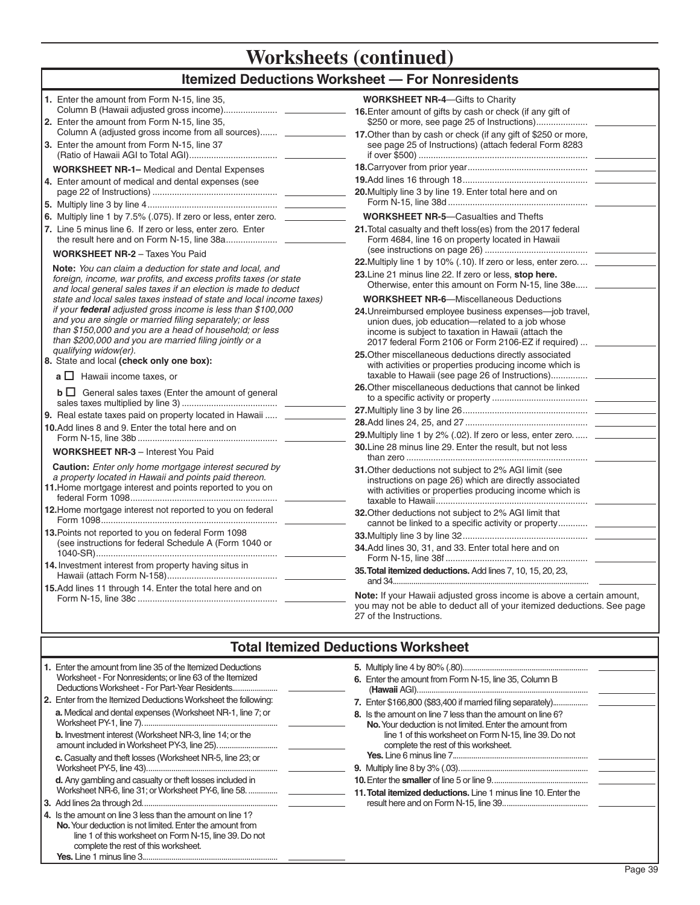# **Itemized Deductions Worksheet — For Nonresidents**

| 1. Enter the amount from Form N-15, line 35,                                                                                                                                    | <b>WORKSHEET NR-4-Gifts to Charity</b>                                                                        |
|---------------------------------------------------------------------------------------------------------------------------------------------------------------------------------|---------------------------------------------------------------------------------------------------------------|
|                                                                                                                                                                                 |                                                                                                               |
| 2. Enter the amount from Form N-15, line 35.                                                                                                                                    |                                                                                                               |
| Column A (adjusted gross income from all sources) _______________ 17. Other than by cash or check (if any gift of \$250 or more,<br>3. Enter the amount from Form N-15, line 37 | see page 25 of Instructions) (attach federal Form 8283                                                        |
|                                                                                                                                                                                 |                                                                                                               |
| <b>WORKSHEET NR-1-</b> Medical and Dental Expenses                                                                                                                              |                                                                                                               |
| 4. Enter amount of medical and dental expenses (see                                                                                                                             |                                                                                                               |
|                                                                                                                                                                                 | 20. Multiply line 3 by line 19. Enter total here and on                                                       |
|                                                                                                                                                                                 |                                                                                                               |
| 6. Multiply line 1 by 7.5% (.075). If zero or less, enter zero. _______________                                                                                                 | <b>WORKSHEET NR-5-Casualties and Thefts</b>                                                                   |
| 7. Line 5 minus line 6. If zero or less, enter zero. Enter                                                                                                                      | 21. Total casualty and theft loss(es) from the 2017 federal                                                   |
|                                                                                                                                                                                 | Form 4684, line 16 on property located in Hawaii                                                              |
| <b>WORKSHEET NR-2 - Taxes You Paid</b>                                                                                                                                          |                                                                                                               |
| Note: You can claim a deduction for state and local, and                                                                                                                        | 22. Multiply line 1 by 10% (.10). If zero or less, enter zero __                                              |
| foreign, income, war profits, and excess profits taxes (or state<br>and local general sales taxes if an election is made to deduct                                              | 23. Line 21 minus line 22. If zero or less, stop here.<br>Otherwise, enter this amount on Form N-15, line 38e |
| state and local sales taxes instead of state and local income taxes)                                                                                                            | <b>WORKSHEET NR-6-Miscellaneous Deductions</b>                                                                |
| if your federal adjusted gross income is less than \$100,000                                                                                                                    | 24. Unreimbursed employee business expenses—job travel,                                                       |
| and you are single or married filing separately; or less<br>than \$150,000 and you are a head of household; or less                                                             | union dues, job education-related to a job whose<br>income is subject to taxation in Hawaii (attach the       |
| than \$200,000 and you are married filing jointly or a                                                                                                                          | 2017 federal Form 2106 or Form 2106-EZ if required)  ___                                                      |
| qualifying widow(er).                                                                                                                                                           | 25. Other miscellaneous deductions directly associated                                                        |
| 8. State and local (check only one box):                                                                                                                                        | with activities or properties producing income which is                                                       |
| $a \Box$ Hawaii income taxes, or                                                                                                                                                |                                                                                                               |
| $\mathbf{b} \square$ General sales taxes (Enter the amount of general                                                                                                           | 26. Other miscellaneous deductions that cannot be linked                                                      |
|                                                                                                                                                                                 |                                                                                                               |
| 9. Real estate taxes paid on property located in Hawaii  __<br>10. Add lines 8 and 9. Enter the total here and on                                                               |                                                                                                               |
|                                                                                                                                                                                 | 29. Multiply line 1 by 2% (.02). If zero or less, enter zero                                                  |
| <b>WORKSHEET NR-3</b> - Interest You Paid                                                                                                                                       | 30. Line 28 minus line 29. Enter the result, but not less                                                     |
| <b>Caution:</b> Enter only home mortgage interest secured by                                                                                                                    | 31. Other deductions not subject to 2% AGI limit (see                                                         |
| a property located in Hawaii and points paid thereon.                                                                                                                           | instructions on page 26) which are directly associated                                                        |
| 11. Home mortgage interest and points reported to you on                                                                                                                        | with activities or properties producing income which is                                                       |
| 12. Home mortgage interest not reported to you on federal                                                                                                                       |                                                                                                               |
|                                                                                                                                                                                 | 32. Other deductions not subject to 2% AGI limit that                                                         |
| 13. Points not reported to you on federal Form 1098                                                                                                                             | cannot be linked to a specific activity or property ________                                                  |
| (see instructions for federal Schedule A (Form 1040 or                                                                                                                          | 34.Add lines 30, 31, and 33. Enter total here and on                                                          |
|                                                                                                                                                                                 |                                                                                                               |
| 14. Investment interest from property having situs in                                                                                                                           | 35. Total itemized deductions. Add lines 7, 10, 15, 20, 23,                                                   |
|                                                                                                                                                                                 |                                                                                                               |
| 15.Add lines 11 through 14. Enter the total here and on                                                                                                                         | Note: If your Hawaii adjusted gross income is above a certain amount,                                         |
|                                                                                                                                                                                 | you may not be able to deduct all of your itemized deductions. See page                                       |
|                                                                                                                                                                                 | 27 of the Instructions.                                                                                       |

### **Total Itemized Deductions Worksheet**

| 1. Enter the amount from line 35 of the Itemized Deductions<br>Worksheet - For Nonresidents; or line 63 of the Itemized<br>Deductions Worksheet - For Part-Year Residents<br>2. Enter from the Itemized Deductions Worksheet the following:<br>a. Medical and dental expenses (Worksheet NR-1, line 7; or<br><b>b.</b> Investment interest (Worksheet NR-3, line 14; or the<br>c. Casualty and theft losses (Worksheet NR-5, line 23; or<br>d. Any gambling and casualty or theft losses included in<br>Worksheet NR-6, line 31; or Worksheet PY-6, line 58.<br>4. Is the amount on line 3 less than the amount on line 1?<br>No. Your deduction is not limited. Enter the amount from<br>line 1 of this worksheet on Form N-15, line 39. Do not | 6. Enter the amount from Form N-15, line 35, Column B<br>7. Enter \$166,800 (\$83,400 if married filing separately)<br>8. Is the amount on line 7 less than the amount on line 6?<br>No. Your deduction is not limited. Enter the amount from<br>line 1 of this worksheet on Form N-15, line 39. Do not<br>complete the rest of this worksheet.<br>11. Total itemized deductions. Line 1 minus line 10. Enter the |
|--------------------------------------------------------------------------------------------------------------------------------------------------------------------------------------------------------------------------------------------------------------------------------------------------------------------------------------------------------------------------------------------------------------------------------------------------------------------------------------------------------------------------------------------------------------------------------------------------------------------------------------------------------------------------------------------------------------------------------------------------|-------------------------------------------------------------------------------------------------------------------------------------------------------------------------------------------------------------------------------------------------------------------------------------------------------------------------------------------------------------------------------------------------------------------|
| complete the rest of this worksheet.                                                                                                                                                                                                                                                                                                                                                                                                                                                                                                                                                                                                                                                                                                             |                                                                                                                                                                                                                                                                                                                                                                                                                   |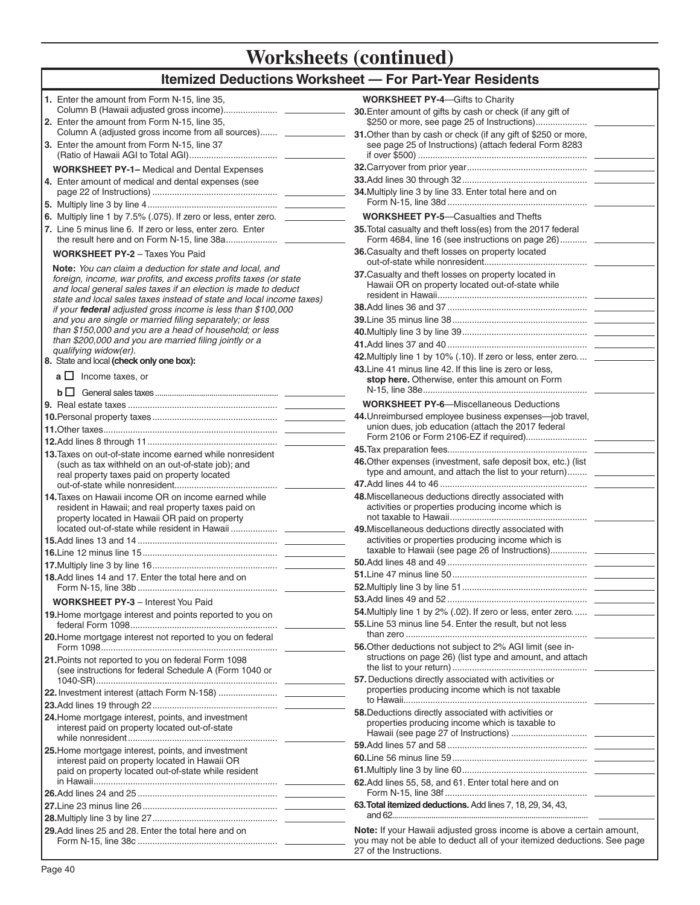# **Itemized Deductions Worksheet — For Part-Year Residents**

| 1. Enter the amount from Form N-15, line 35,                                                                                                                                                                                                                           | <b>WORKSHEET PY-4–Gifts to Charity</b>                                                                                                                                      |
|------------------------------------------------------------------------------------------------------------------------------------------------------------------------------------------------------------------------------------------------------------------------|-----------------------------------------------------------------------------------------------------------------------------------------------------------------------------|
| 2. Enter the amount from Form N-15, line 35,                                                                                                                                                                                                                           | 30. Enter amount of gifts by cash or check (if any gift of                                                                                                                  |
| Column A (adjusted gross income from all sources) _______________<br>3. Enter the amount from Form N-15, line 37                                                                                                                                                       | 31. Other than by cash or check (if any gift of \$250 or more,<br>see page 25 of Instructions) (attach federal Form 8283                                                    |
| <b>WORKSHEET PY-1-</b> Medical and Dental Expenses                                                                                                                                                                                                                     |                                                                                                                                                                             |
| 4. Enter amount of medical and dental expenses (see                                                                                                                                                                                                                    |                                                                                                                                                                             |
|                                                                                                                                                                                                                                                                        | 34. Multiply line 3 by line 33. Enter total here and on                                                                                                                     |
| 6. Multiply line 1 by 7.5% (.075). If zero or less, enter zero. _______________                                                                                                                                                                                        | <b>WORKSHEET PY-5-Casualties and Thefts</b>                                                                                                                                 |
| 7. Line 5 minus line 6. If zero or less, enter zero. Enter                                                                                                                                                                                                             | 35. Total casualty and theft loss(es) from the 2017 federal<br>Form 4684, line 16 (see instructions on page 26)                                                             |
| <b>WORKSHEET PY-2 - Taxes You Paid</b>                                                                                                                                                                                                                                 | 36. Casualty and theft losses on property located                                                                                                                           |
| Note: You can claim a deduction for state and local, and<br>foreign, income, war profits, and excess profits taxes (or state<br>and local general sales taxes if an election is made to deduct<br>state and local sales taxes instead of state and local income taxes) | 37. Casualty and theft losses on property located in<br>Hawaii OR on property located out-of-state while                                                                    |
| if your federal adjusted gross income is less than \$100,000                                                                                                                                                                                                           |                                                                                                                                                                             |
| and you are single or married filing separately; or less                                                                                                                                                                                                               |                                                                                                                                                                             |
| than \$150,000 and you are a head of household; or less<br>than \$200,000 and you are married filing jointly or a                                                                                                                                                      |                                                                                                                                                                             |
| qualifying widow(er).                                                                                                                                                                                                                                                  |                                                                                                                                                                             |
| 8. State and local (check only one box):                                                                                                                                                                                                                               | 42. Multiply line 1 by 10% (.10). If zero or less, enter zero _________                                                                                                     |
| $a \Box$ Income taxes, or                                                                                                                                                                                                                                              | 43. Line 41 minus line 42. If this line is zero or less,<br>stop here. Otherwise, enter this amount on Form                                                                 |
|                                                                                                                                                                                                                                                                        | <b>WORKSHEET PY-6-Miscellaneous Deductions</b>                                                                                                                              |
|                                                                                                                                                                                                                                                                        | 44. Unreimbursed employee business expenses-job travel,                                                                                                                     |
|                                                                                                                                                                                                                                                                        | union dues, job education (attach the 2017 federal                                                                                                                          |
| 13. Taxes on out-of-state income earned while nonresident                                                                                                                                                                                                              |                                                                                                                                                                             |
| (such as tax withheld on an out-of-state job); and<br>real property taxes paid on property located                                                                                                                                                                     | 46. Other expenses (investment, safe deposit box, etc.) (list<br>type and amount, and attach the list to your return)                                                       |
|                                                                                                                                                                                                                                                                        | 48. Miscellaneous deductions directly associated with                                                                                                                       |
| 14. Taxes on Hawaii income OR on income earned while<br>resident in Hawaii; and real property taxes paid on<br>property located in Hawaii OR paid on property                                                                                                          | activities or properties producing income which is                                                                                                                          |
|                                                                                                                                                                                                                                                                        | 49. Miscellaneous deductions directly associated with                                                                                                                       |
|                                                                                                                                                                                                                                                                        | activities or properties producing income which is                                                                                                                          |
|                                                                                                                                                                                                                                                                        |                                                                                                                                                                             |
|                                                                                                                                                                                                                                                                        |                                                                                                                                                                             |
| 18.Add lines 14 and 17. Enter the total here and on                                                                                                                                                                                                                    |                                                                                                                                                                             |
| <b>WORKSHEET PY-3</b> - Interest You Paid                                                                                                                                                                                                                              |                                                                                                                                                                             |
| 19. Home mortgage interest and points reported to you on                                                                                                                                                                                                               | 54. Multiply line 1 by 2% (.02). If zero or less, enter zero                                                                                                                |
| 20. Home mortgage interest not reported to you on federal                                                                                                                                                                                                              | 55. Line 53 minus line 54. Enter the result, but not less                                                                                                                   |
| 21. Points not reported to you on federal Form 1098                                                                                                                                                                                                                    | 56. Other deductions not subject to 2% AGI limit (see in-<br>structions on page 26) (list type and amount, and attach                                                       |
| (see instructions for federal Schedule A (Form 1040 or                                                                                                                                                                                                                 | 57. Deductions directly associated with activities or                                                                                                                       |
|                                                                                                                                                                                                                                                                        | properties producing income which is not taxable                                                                                                                            |
| 24. Home mortgage interest, points, and investment<br>interest paid on property located out-of-state                                                                                                                                                                   | 58. Deductions directly associated with activities or<br>properties producing income which is taxable to                                                                    |
| 25. Home mortgage interest, points, and investment                                                                                                                                                                                                                     |                                                                                                                                                                             |
| interest paid on property located in Hawaii OR                                                                                                                                                                                                                         |                                                                                                                                                                             |
| paid on property located out-of-state while resident                                                                                                                                                                                                                   |                                                                                                                                                                             |
|                                                                                                                                                                                                                                                                        | 62. Add lines 55, 58, and 61. Enter total here and on                                                                                                                       |
|                                                                                                                                                                                                                                                                        | 63. Total itemized deductions. Add lines 7, 18, 29, 34, 43,                                                                                                                 |
|                                                                                                                                                                                                                                                                        |                                                                                                                                                                             |
| 29.Add lines 25 and 28. Enter the total here and on                                                                                                                                                                                                                    | Note: If your Hawaii adjusted gross income is above a certain amount,<br>you may not be able to deduct all of your itemized deductions. See page<br>27 of the Instructions. |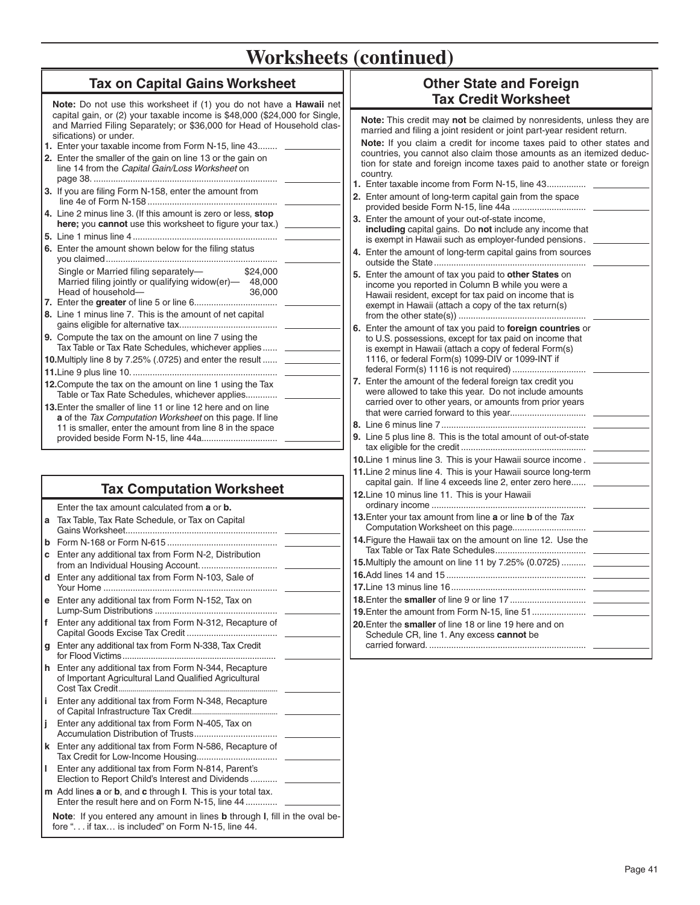### **Tax on Capital Gains Worksheet**

**Note:** Do not use this worksheet if (1) you do not have a **Hawaii** net capital gain, or (2) your taxable income is \$48,000 (\$24,000 for Single, and Married Filing Separately; or \$36,000 for Head of Household classifications) or under.

- **1.** Enter your taxable income from Form N-15, line 43 ........ **2.** Enter the smaller of the gain on line 13 or the gain on line 14 from the *Capital Gain/Loss Worksheet* on page 38. ........................................................................... **3.** If you are filing Form N-158, enter the amount from line 4e of Form N-158 ..................................................... **4.** Line 2 minus line 3. (If this amount is zero or less, **stop**  here; you cannot use this worksheet to figure your tax.) **5.** Line 1 minus line 4 ........................................................... **6.** Enter the amount shown below for the filing status you claimed ...................................................................... Single or Married filing separately- \$24,000
- Head of household— 36,000 **7.** Enter the **greater** of line 5 or line 6 .................................. **8.** Line 1 minus line 7. This is the amount of net capital gains eligible for alternative tax. ....................................... **9.** Compute the tax on the amount on line 7 using the Tax Table or Tax Rate Schedules, whichever applies ...... **10.** Multiply line 8 by 7.25% (.0725) and enter the result ......

Married filing jointly or qualifying widow(er) $-$  48,000

**11.**Line 9 plus line 10. ........................................................... **12.**Compute the tax on the amount on line 1 using the Tax Table or Tax Rate Schedules, whichever applies.............

**13.**Enter the smaller of line 11 or line 12 here and on line **a** of the *Tax Computation Worksheet* on this page. If line 11 is smaller, enter the amount from line 8 in the space provided beside Form N-15, line 44a. ..............................

## **Tax Computation Worksheet**

|    | Enter the tax amount calculated from <b>a</b> or <b>b</b> .                                                                                      |
|----|--------------------------------------------------------------------------------------------------------------------------------------------------|
|    | <b>a</b> Tax Table, Tax Rate Schedule, or Tax on Capital                                                                                         |
| b  |                                                                                                                                                  |
| C  | Enter any additional tax from Form N-2, Distribution                                                                                             |
| d  | Enter any additional tax from Form N-103, Sale of                                                                                                |
| е  | Enter any additional tax from Form N-152, Tax on                                                                                                 |
| f  | Enter any additional tax from Form N-312, Recapture of                                                                                           |
| g  | Enter any additional tax from Form N-338, Tax Credit                                                                                             |
|    | h Enter any additional tax from Form N-344, Recapture<br>of Important Agricultural Land Qualified Agricultural                                   |
| i. | Enter any additional tax from Form N-348, Recapture                                                                                              |
| j  | Enter any additional tax from Form N-405, Tax on                                                                                                 |
| k  | Enter any additional tax from Form N-586, Recapture of                                                                                           |
| ı  | Enter any additional tax from Form N-814, Parent's<br>Election to Report Child's Interest and Dividends                                          |
|    | m Add lines a or b, and c through I. This is your total tax.<br>Enter the result here and on Form N-15, line 44                                  |
|    | Note: If you entered any amount in lines b through I, fill in the oval be-<br>fore " $\ldots$ if tax $\ldots$ is included" on Form N-15. line 44 |

### **Other State and Foreign Tax Credit Worksheet**

**Note:** This credit may **not** be claimed by nonresidents, unless they are married and filing a joint resident or joint part-year resident return.

**Note:** If you claim a credit for income taxes paid to other states and countries, you cannot also claim those amounts as an itemized deduction for state and foreign income taxes paid to another state or foreign country. **1.** Enter taxable income from Form N-15, line 43 ................

- **2.** Enter amount of long-term capital gain from the space provided beside Form N-15, line 44a ..............................
- **3.** Enter the amount of your out-of-state income, **including** capital gains. Do **not** include any income that is exempt in Hawaii such as employer-funded pensions . **4.** Enter the amount of long-term capital gains from sources
- outside the State .............................................................. **5.** Enter the amount of tax you paid to **other States** on income you reported in Column B while you were a Hawaii resident, except for tax paid on income that is exempt in Hawaii (attach a copy of the tax return(s) from the other state(s)) ....................................................
- **6.** Enter the amount of tax you paid to **foreign countries** or to U.S. possessions, except for tax paid on income that is exempt in Hawaii (attach a copy of federal Form(s) 1116, or federal Form(s) 1099-DIV or 1099-INT if federal Form(s) 1116 is not required) ..............................
- **7.** Enter the amount of the federal foreign tax credit you were allowed to take this year. Do not include amounts carried over to other years, or amounts from prior years that were carried forward to this year...............................
- **8.** Line 6 minus line 7 ........................................................... **9.** Line 5 plus line 8. This is the total amount of out-of-state tax eligible for the credit ...................................................
- **10.**Line 1 minus line 3. This is your Hawaii source income . **11.** Line 2 minus line 4. This is your Hawaii source long-term capital gain. If line 4 exceeds line 2, enter zero here......
- **12.**Line 10 minus line 11. This is your Hawaii ordinary income ...............................................................
- **13.**Enter your tax amount from line **a** or line **b** of the *Tax*  Computation Worksheet on this page.............................. **14.**Figure the Hawaii tax on the amount on line 12. Use the
- Tax Table or Tax Rate Schedules ..................................... **15.**Multiply the amount on line 11 by 7.25% (0.0725) .......... **16.**Add lines 14 and 15 ......................................................... **17.**Line 13 minus line 16 ....................................................... **18.**Enter the **smaller** of line 9 or line 17 ...............................
- **19.**Enter the amount from Form N-15, line 51 ...................... **20.**Enter the **smaller** of line 18 or line 19 here and on Schedule CR, line 1. Any excess **cannot** be carried forward. ................................................................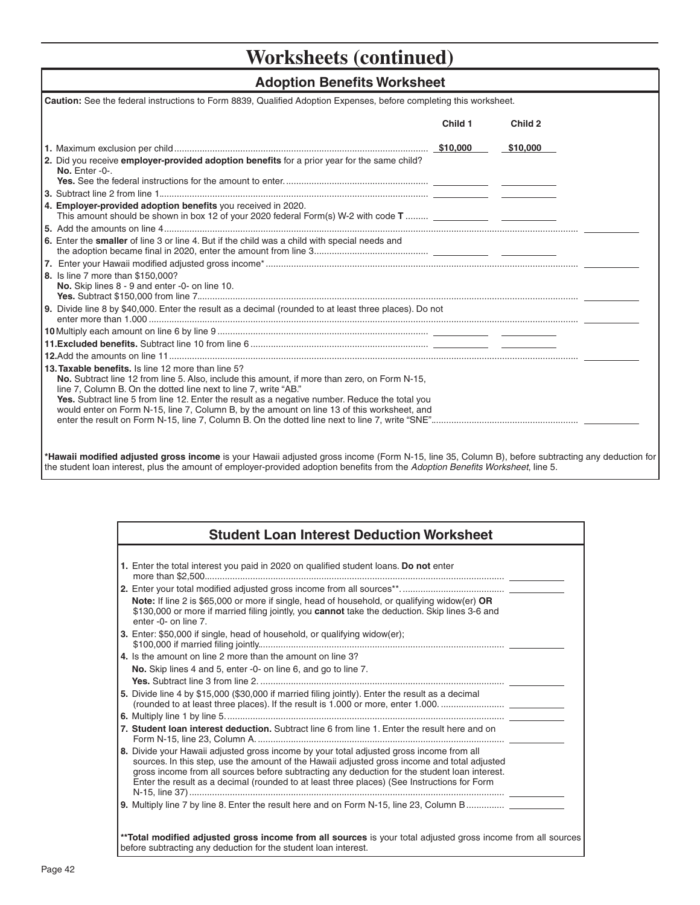### **Adoption Benefits Worksheet**

| Caution: See the federal instructions to Form 8839, Qualified Adoption Expenses, before completing this worksheet.                                                                                                                                                                                                                                                                                                       |         |          |
|--------------------------------------------------------------------------------------------------------------------------------------------------------------------------------------------------------------------------------------------------------------------------------------------------------------------------------------------------------------------------------------------------------------------------|---------|----------|
|                                                                                                                                                                                                                                                                                                                                                                                                                          | Child 1 | Child 2  |
|                                                                                                                                                                                                                                                                                                                                                                                                                          |         | \$10,000 |
| 2. Did you receive employer-provided adoption benefits for a prior year for the same child?<br>No. Enter -0-.                                                                                                                                                                                                                                                                                                            |         |          |
|                                                                                                                                                                                                                                                                                                                                                                                                                          |         |          |
| 4. Employer-provided adoption benefits you received in 2020.                                                                                                                                                                                                                                                                                                                                                             |         |          |
|                                                                                                                                                                                                                                                                                                                                                                                                                          |         |          |
| 6. Enter the smaller of line 3 or line 4. But if the child was a child with special needs and                                                                                                                                                                                                                                                                                                                            |         |          |
|                                                                                                                                                                                                                                                                                                                                                                                                                          |         |          |
| 8. Is line 7 more than \$150,000?<br>No. Skip lines 8 - 9 and enter -0- on line 10.                                                                                                                                                                                                                                                                                                                                      |         |          |
| 9. Divide line 8 by \$40,000. Enter the result as a decimal (rounded to at least three places). Do not                                                                                                                                                                                                                                                                                                                   |         |          |
|                                                                                                                                                                                                                                                                                                                                                                                                                          |         |          |
|                                                                                                                                                                                                                                                                                                                                                                                                                          |         |          |
|                                                                                                                                                                                                                                                                                                                                                                                                                          |         |          |
| 13. Taxable benefits. Is line 12 more than line 5?<br>No. Subtract line 12 from line 5. Also, include this amount, if more than zero, on Form N-15,<br>line 7, Column B. On the dotted line next to line 7, write "AB."<br>Yes. Subtract line 5 from line 12. Enter the result as a negative number. Reduce the total you<br>would enter on Form N-15, line 7, Column B, by the amount on line 13 of this worksheet, and |         |          |

\*Hawaii modified adjusted gross income is your Hawaii adjusted gross income (Form N-15, line 35, Column B), before subtracting any deduction for the student loan interest, plus the amount of employer-provided adoption benefits from the *Adoption Benefits Worksheet*, line 5.

| <b>Student Loan Interest Deduction Worksheet</b>                                                                                                                                                                                                                                                                                                                                         |  |
|------------------------------------------------------------------------------------------------------------------------------------------------------------------------------------------------------------------------------------------------------------------------------------------------------------------------------------------------------------------------------------------|--|
|                                                                                                                                                                                                                                                                                                                                                                                          |  |
| 1. Enter the total interest you paid in 2020 on qualified student loans. Do not enter                                                                                                                                                                                                                                                                                                    |  |
|                                                                                                                                                                                                                                                                                                                                                                                          |  |
| <b>Note:</b> If line 2 is \$65,000 or more if single, head of household, or qualifying widow(er) OR<br>\$130,000 or more if married filing jointly, you cannot take the deduction. Skip lines 3-6 and<br>enter -0- on line 7.                                                                                                                                                            |  |
| <b>3.</b> Enter: \$50,000 if single, head of household, or qualifying widow(er);                                                                                                                                                                                                                                                                                                         |  |
| 4. Is the amount on line 2 more than the amount on line 3?                                                                                                                                                                                                                                                                                                                               |  |
| No. Skip lines 4 and 5, enter -0- on line 6, and go to line 7.                                                                                                                                                                                                                                                                                                                           |  |
|                                                                                                                                                                                                                                                                                                                                                                                          |  |
| 5. Divide line 4 by \$15,000 (\$30,000 if married filing jointly). Enter the result as a decimal<br>(rounded to at least three places). If the result is 1.000 or more, enter 1.000                                                                                                                                                                                                      |  |
|                                                                                                                                                                                                                                                                                                                                                                                          |  |
| 7. Student loan interest deduction. Subtract line 6 from line 1. Enter the result here and on                                                                                                                                                                                                                                                                                            |  |
| 8. Divide your Hawaii adjusted gross income by your total adjusted gross income from all<br>sources. In this step, use the amount of the Hawaii adjusted gross income and total adjusted<br>gross income from all sources before subtracting any deduction for the student loan interest.<br>Enter the result as a decimal (rounded to at least three places) (See Instructions for Form |  |
| 9. Multiply line 7 by line 8. Enter the result here and on Form N-15, line 23, Column B                                                                                                                                                                                                                                                                                                  |  |
| **Total modified adjusted gross income from all sources is your total adjusted gross income from all sources<br>before subtracting any deduction for the student loan interest.                                                                                                                                                                                                          |  |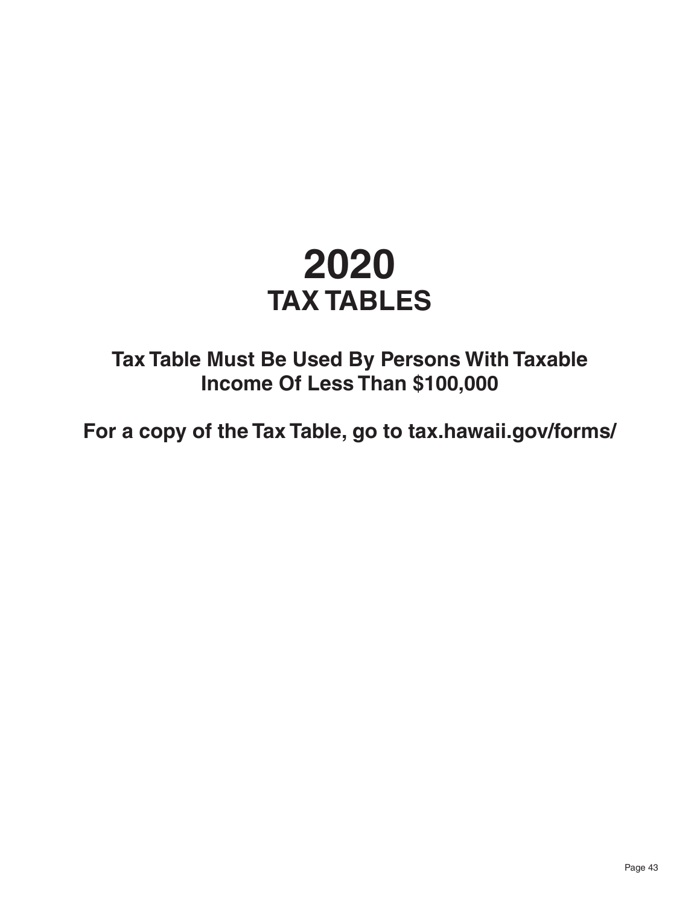# **2020 TAX TABLES**

**Tax Table Must Be Used By Persons With Taxable Income Of Less Than \$100,000**

**For a copy of the Tax Table, go to tax.hawaii.gov/forms/**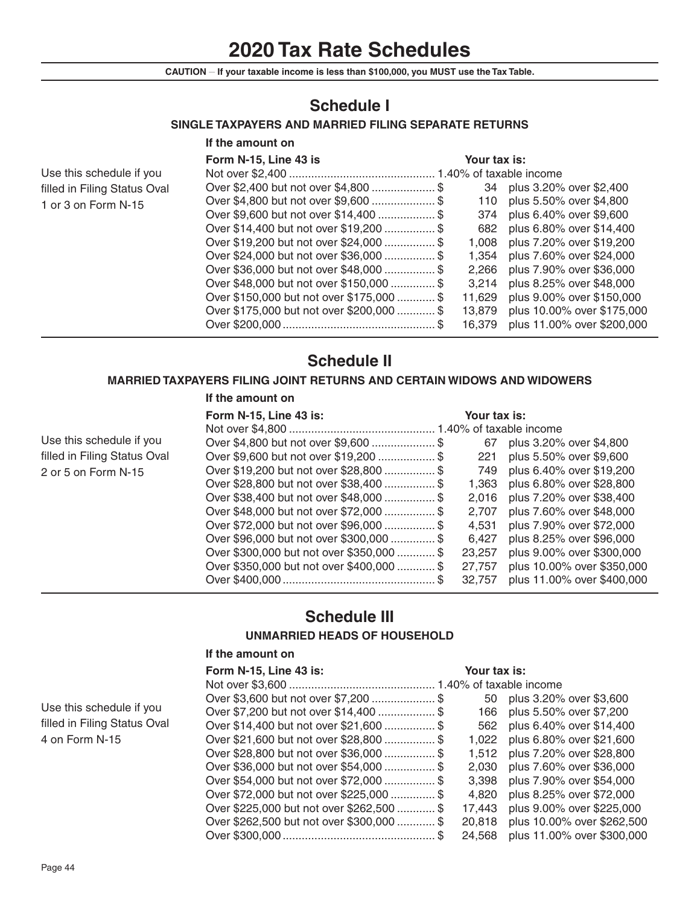# **2020 Tax Rate Schedules**

**CAUTION \_\_ If your taxable income is less than \$100,000, you MUST use the Tax Table.**

# **Schedule I**

### **SINGLE TAXPAYERS AND MARRIED FILING SEPARATE RETURNS**

|                              | If the amount on                          |              |                            |
|------------------------------|-------------------------------------------|--------------|----------------------------|
|                              | Form N-15, Line 43 is                     | Your tax is: |                            |
| Use this schedule if you     |                                           |              |                            |
| filled in Filing Status Oval | Over \$2,400 but not over \$4,800  \$     | 34           | plus 3.20% over \$2,400    |
| 1 or 3 on Form N-15          | Over \$4,800 but not over \$9,600  \$     | 110          | plus 5.50% over \$4,800    |
|                              | Over \$9,600 but not over \$14,400  \$    | 374          | plus 6.40% over \$9,600    |
|                              | Over \$14,400 but not over \$19,200  \$   | 682          | plus 6.80% over \$14,400   |
|                              | Over \$19,200 but not over \$24,000  \$   | 1.008        | plus 7.20% over \$19,200   |
|                              | Over \$24,000 but not over \$36,000  \$   | 1.354        | plus 7.60% over \$24,000   |
|                              | Over \$36,000 but not over \$48,000  \$   | 2.266        | plus 7.90% over \$36,000   |
|                              | Over \$48,000 but not over \$150,000  \$  | 3.214        | plus 8.25% over \$48,000   |
|                              | Over \$150,000 but not over \$175,000  \$ | 11.629       | plus 9.00% over \$150,000  |
|                              | Over \$175,000 but not over \$200,000  \$ | 13.879       | plus 10.00% over \$175,000 |
|                              |                                           | 16.379       | plus 11.00% over \$200,000 |

# **Schedule II**

### **MARRIED TAXPAYERS FILING JOINT RETURNS AND CERTAIN WIDOWS AND WIDOWERS**

#### **If the amount on**

### **Form N-15, Line 43 is: Your tax is:**

| Use this schedule if you     | Over \$4,800 but not over \$9,600  \$     | 67     | plus 3.20% over \$4,800    |
|------------------------------|-------------------------------------------|--------|----------------------------|
| filled in Filing Status Oval | Over \$9,600 but not over \$19,200  \$    | 221    | plus 5.50% over \$9,600    |
| 2 or 5 on Form N-15          | Over \$19,200 but not over \$28,800  \$   | 749    | plus 6.40% over \$19,200   |
|                              | Over \$28,800 but not over \$38,400  \$   | 1.363  | plus 6.80% over \$28,800   |
|                              | Over \$38,400 but not over \$48,000  \$   | 2.016  | plus 7.20% over \$38,400   |
|                              | Over \$48,000 but not over \$72,000  \$   | 2.707  | plus 7.60% over \$48,000   |
|                              | Over \$72,000 but not over \$96,000  \$   | 4.531  | plus 7.90% over \$72,000   |
|                              | Over \$96,000 but not over \$300,000  \$  | 6.427  | plus 8.25% over \$96,000   |
|                              | Over \$300,000 but not over \$350,000  \$ | 23.257 | plus 9.00% over \$300,000  |
|                              | Over \$350,000 but not over \$400,000  \$ | 27.757 | plus 10.00% over \$350,000 |
|                              |                                           | 32.757 | plus 11.00% over \$400,000 |

# **Schedule III**

### **UNMARRIED HEADS OF HOUSEHOLD**

#### **If the amount on**

|                              | Form N-15, Line 43 is:                    | Your tax is: |                              |
|------------------------------|-------------------------------------------|--------------|------------------------------|
|                              |                                           |              |                              |
|                              | Over \$3,600 but not over \$7,200  \$     |              | 50 plus 3.20% over \$3,600   |
| Use this schedule if you     | Over \$7,200 but not over \$14,400  \$    |              | 166 plus 5.50% over \$7,200  |
| filled in Filing Status Oval | Over \$14,400 but not over \$21,600  \$   |              | 562 plus 6.40% over \$14,400 |
| 4 on Form N-15               | Over \$21,600 but not over \$28,800  \$   | 1.022        | plus 6.80% over \$21,600     |
|                              | Over \$28,800 but not over \$36,000  \$   | 1.512        | plus 7.20% over \$28,800     |
|                              | Over \$36,000 but not over \$54,000  \$   | 2.030        | plus 7.60% over \$36,000     |
|                              | Over \$54,000 but not over \$72,000  \$   | 3.398        | plus 7.90% over \$54,000     |
|                              | Over \$72,000 but not over \$225,000  \$  | 4.820        | plus 8.25% over \$72,000     |
|                              | Over \$225,000 but not over \$262,500  \$ | 17.443       | plus 9.00% over \$225,000    |
|                              | Over \$262,500 but not over \$300,000  \$ | 20.818       | plus 10.00% over \$262,500   |
|                              |                                           | 24,568       | plus 11.00% over \$300,000   |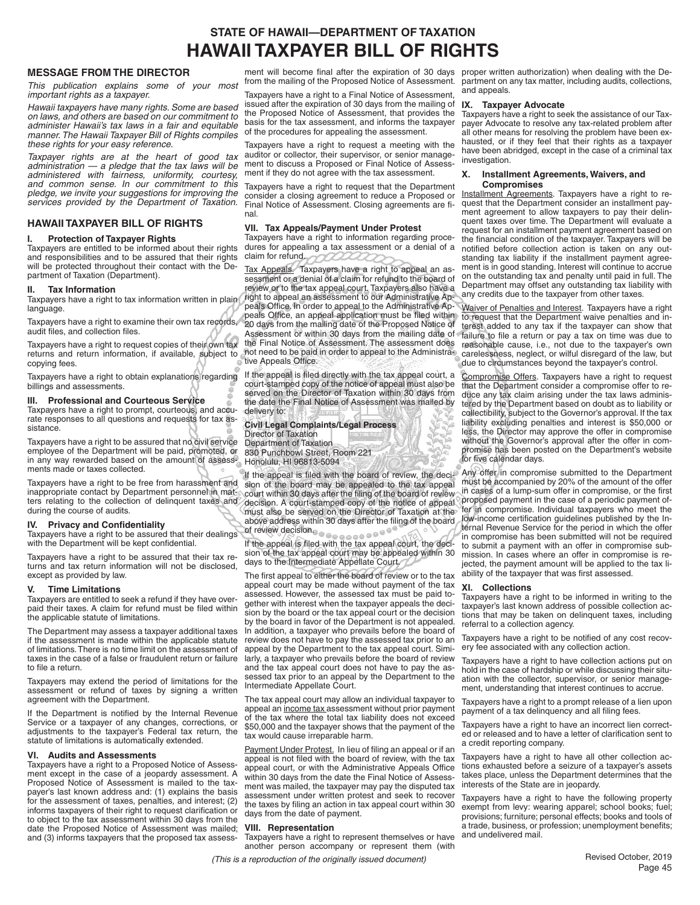## **STATE OF HAWAII—DEPARTMENT OF TAXATION HAWAII TAXPAYER BILL OF RIGHTS**

#### **MESSAGE FROM THE DIRECTOR**

*This publication explains some of your most important rights as a taxpayer.*

*Hawaii taxpayers have many rights. Some are based on laws, and others are based on our commitment to administer Hawaii's tax laws in a fair and equitable manner. The Hawaii Taxpayer Bill of Rights compiles these rights for your easy reference.*

*Taxpayer rights are at the heart of good tax administration — a pledge that the tax laws will be administered with fairness, uniformity, courtesy, and common sense. In our commitment to this pledge, we invite your suggestions for improving the services provided by the Department of Taxation.*

#### **HAWAII TAXPAYER BILL OF RIGHTS**

#### **I. Protection of Taxpayer Rights**

Taxpayers are entitled to be informed about their rights and responsibilities and to be assured that their rights will be protected throughout their contact with the Department of Taxation (Department).

#### **II. Tax Information**

Taxpayers have a right to tax information written in plain language.

Taxpayers have a right to examine their own tax records, audit files, and collection files.

Taxpayers have a right to request copies of their own tax copying fees.

Taxpayers have a right to obtain explanations regarding billings and assessments.

#### **III. Professional and Courteous Service**

Taxpayers have a right to prompt, courteous, and accurate responses to all questions and requests for tax assistance.

Taxpayers have a right to be assured that no civil service employee of the Department will be paid, promoted, or in any way rewarded based on the amount of assessments made or taxes collected.

Taxpayers have a right to be free from harassment and inappropriate contact by Department personnel in matters relating to the collection of delinquent taxes and during the course of audits.

#### **IV.** Privacy and Confidentiality

Taxpayers have a right to be assured that their dealings with the Department will be kept confidential.

Taxpayers have a right to be assured that their tax returns and tax return information will not be disclosed, except as provided by law.

#### **V. Time Limitations**

Taxpayers are entitled to seek a refund if they have overpaid their taxes. A claim for refund must be filed within the applicable statute of limitations.

The Department may assess a taxpayer additional taxes if the assessment is made within the applicable statute of limitations. There is no time limit on the assessment of taxes in the case of a false or fraudulent return or failure to file a return.

Taxpayers may extend the period of limitations for the assessment or refund of taxes by signing a written agreement with the Department.

If the Department is notified by the Internal Revenue Service or a taxpayer of any changes, corrections, or adjustments to the taxpayer's Federal tax return, the statute of limitations is automatically extended.

#### **VI. Audits and Assessments**

Taxpayers have a right to a Proposed Notice of Assessment except in the case of a jeopardy assessment. A Proposed Notice of Assessment is mailed to the taxpayer's last known address and: (1) explains the basis for the assessment of taxes, penalties, and interest; (2) informs taxpayers of their right to request clarification or to object to the tax assessment within 30 days from the date the Proposed Notice of Assessment was mailed; and (3) informs taxpayers that the proposed tax assess-

from the mailing of the Proposed Notice of Assessment.

Taxpayers have a right to a Final Notice of Assessment, issued after the expiration of 30 days from the mailing of the Proposed Notice of Assessment, that provides the basis for the tax assessment, and informs the taxpayer of the procedures for appealing the assessment.

Taxpayers have a right to request a meeting with the auditor or collector, their supervisor, or senior management to discuss a Proposed or Final Notice of Assessment if they do not agree with the tax assessment.

Taxpayers have a right to request that the Department consider a closing agreement to reduce a Proposed or Final Notice of Assessment. Closing agreements are final.

#### **VII. Tax Appeals/Payment Under Protest**

Taxpayers have a right to information regarding procedures for appealing a tax assessment or a denial of a claim for refund.

returns and return information, if available, subject to not need to be paid in order to appeal to the Administra-Tax Appeals. Taxpayers have a right to appeal an assessment or a denial of a claim for refund to the board of review or to the tax appeal court. Taxpayers also have a right to appeal an assessment to our Administrative Appeals Office. In order to appeal to the Administrative Appeals Office, an appeal application must be filed within 20 days from the mailing date of the Proposed Notice of Assessment or within 30 days from the mailing date of the Final Notice of Assessment. The assessment does tive Appeals Office.

> If the appeal is filed directly with the tax appeal court, a court-stamped copy of the notice of appeal must also be served on the Director of Taxation within 30 days from the date the Final Notice of Assessment was mailed by delivery to:

#### **Civil Legal Complaints/Legal Process** Director of Taxation Department of Taxation 830 Punchbowl Street, Room 221 Honolulu, HI 96813-5094

If the appeal is filed with the board of review, the decision of the board may be appealed to the tax appeal court within 30 days after the filing of the board of review decision. A court-stamped copy of the notice of appeal must also be served on the Director of Taxation at the above address within 30 days after the filing of the board of review decision. a a a a a a a a <sup>o a</sup>

If the appeal is filed with the tax appeal court, the decision of the tax appeal court may be appealed within 30 days to the Intermediate Appellate Court.

The first appeal to either the board of review or to the tax appeal court may be made without payment of the tax assessed. However, the assessed tax must be paid together with interest when the taxpayer appeals the decision by the board or the tax appeal court or the decision by the board in favor of the Department is not appealed. In addition, a taxpayer who prevails before the board of review does not have to pay the assessed tax prior to an appeal by the Department to the tax appeal court. Similarly, a taxpayer who prevails before the board of review and the tax appeal court does not have to pay the assessed tax prior to an appeal by the Department to the Intermediate Appellate Court.

The tax appeal court may allow an individual taxpayer to appeal an income tax assessment without prior payment of the tax where the total tax liability does not exceed \$50,000 and the taxpayer shows that the payment of the tax would cause irreparable harm.

Payment Under Protest. In lieu of filing an appeal or if an appeal is not filed with the board of review, with the tax appeal court, or with the Administrative Appeals Office within 30 days from the date the Final Notice of Assessment was mailed, the taxpayer may pay the disputed tax assessment under written protest and seek to recover the taxes by filing an action in tax appeal court within 30 days from the date of payment.

#### **VIII. Representation**

Taxpayers have a right to represent themselves or have another person accompany or represent them (with

*(This is a reproduction of the originally issued document)* Revised October, 2019

ment will become final after the expiration of 30 days proper written authorization) when dealing with the Department on any tax matter, including audits, collections, and appeals.

#### **IX. Taxpayer Advocate**

Taxpayers have a right to seek the assistance of our Taxpayer Advocate to resolve any tax-related problem after all other means for resolving the problem have been exhausted, or if they feel that their rights as a taxpayer have been abridged, except in the case of a criminal tax investigation.

#### **X. Installment Agreements, Waivers, and Compromises**

Installment Agreements. Taxpayers have a right to request that the Department consider an installment payment agreement to allow taxpayers to pay their delinquent taxes over time. The Department will evaluate a request for an installment payment agreement based on the financial condition of the taxpayer. Taxpayers will be notified before collection action is taken on any outstanding tax liability if the installment payment agreement is in good standing. Interest will continue to accrue on the outstanding tax and penalty until paid in full. The Department may offset any outstanding tax liability with any credits due to the taxpayer from other taxes.

Waiver of Penalties and Interest. Taxpayers have a right to request that the Department waive penalties and interest added to any tax if the taxpayer can show that failure to file a return or pay a tax on time was due to reasonable cause, i.e., not due to the taxpayer's own carelessness, neglect, or wilful disregard of the law, but due to circumstances beyond the taxpayer's control.

Compromise Offers. Taxpayers have a right to request that the Department consider a compromise offer to reduce any tax claim arising under the tax laws administered by the Department based on doubt as to liability or collectibility, subject to the Governor's approval. If the tax liability excluding penalties and interest is \$50,000 or less, the Director may approve the offer in compromise without the Governor's approval after the offer in compromise has been posted on the Department's website for five calendar days.

Any offer in compromise submitted to the Department must be accompanied by 20% of the amount of the offer in cases of a lump-sum offer in compromise, or the first proposed payment in the case of a periodic payment offer in compromise. Individual taxpayers who meet the low-income certification guidelines published by the Internal Revenue Service for the period in which the offer in compromise has been submitted will not be required to submit a payment with an offer in compromise submission. In cases where an offer in compromise is rejected, the payment amount will be applied to the tax liability of the taxpayer that was first assessed.

#### **XI. Collections**

Taxpayers have a right to be informed in writing to the taxpayer's last known address of possible collection actions that may be taken on delinquent taxes, including referral to a collection agency.

Taxpayers have a right to be notified of any cost recovery fee associated with any collection action.

Taxpayers have a right to have collection actions put on hold in the case of hardship or while discussing their situation with the collector, supervisor, or senior management, understanding that interest continues to accrue.

Taxpayers have a right to a prompt release of a lien upon payment of a tax delinquency and all filing fees.

Taxpayers have a right to have an incorrect lien corrected or released and to have a letter of clarification sent to a credit reporting company.

Taxpayers have a right to have all other collection actions exhausted before a seizure of a taxpayer's assets takes place, unless the Department determines that the interests of the State are in jeopardy.

Taxpayers have a right to have the following property exempt from levy: wearing apparel; school books; fuel; provisions; furniture; personal effects; books and tools of a trade, business, or profession; unemployment benefits; and undelivered mail.